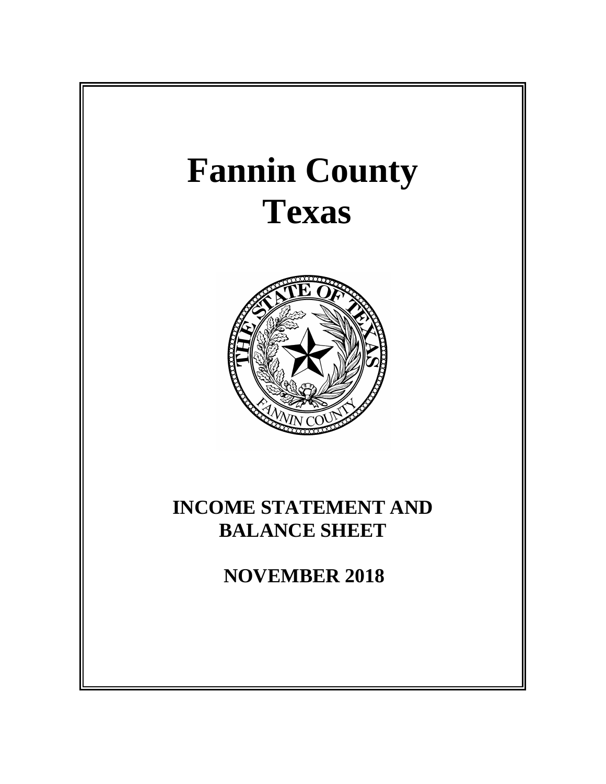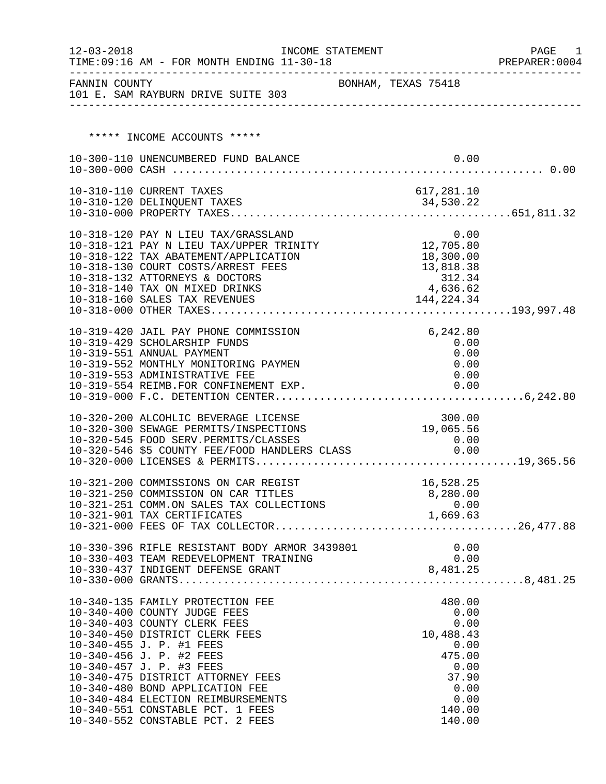| $12 - 03 - 2018$ | TIME: 09:16 AM - FOR MONTH ENDING 11-30-18                                                                                                                                                                                                                                                                                                                                                                   | INCOME STATEMENT    |                                                               |                                                                                                            | PAGE<br>1<br>PREPARER: 0004 |
|------------------|--------------------------------------------------------------------------------------------------------------------------------------------------------------------------------------------------------------------------------------------------------------------------------------------------------------------------------------------------------------------------------------------------------------|---------------------|---------------------------------------------------------------|------------------------------------------------------------------------------------------------------------|-----------------------------|
|                  | FANNIN COUNTY<br>101 E. SAM RAYBURN DRIVE SUITE 303                                                                                                                                                                                                                                                                                                                                                          | BONHAM, TEXAS 75418 |                                                               |                                                                                                            |                             |
|                  |                                                                                                                                                                                                                                                                                                                                                                                                              |                     |                                                               |                                                                                                            |                             |
|                  | ***** INCOME ACCOUNTS *****                                                                                                                                                                                                                                                                                                                                                                                  |                     |                                                               |                                                                                                            |                             |
|                  | 10-300-110 UNENCUMBERED FUND BALANCE                                                                                                                                                                                                                                                                                                                                                                         |                     |                                                               | 0.00                                                                                                       |                             |
|                  | 10-310-110 CURRENT TAXES                                                                                                                                                                                                                                                                                                                                                                                     |                     | 617,281.10                                                    |                                                                                                            |                             |
|                  |                                                                                                                                                                                                                                                                                                                                                                                                              |                     |                                                               |                                                                                                            |                             |
|                  | 10-318-120 PAY N LIEU TAX/GRASSLAND 0.00<br>10-318-121 PAY N LIEU TAX/UPPER TRINITY 12,705.80<br>10-318-122 TAX ABATEMENT/APPLICATION<br>10-318-130 COURT COSTS/ARREST FEES<br>10-318-132 ATTORNEYS & DOCTORS<br>10-318-140 TAX ON MIXED DRINKS<br>10-318-160 SALES TAX REVENUES                                                                                                                             |                     | 18,300.00<br>13,818.38<br>$312.34$<br>4,636.62<br>144, 224.34 |                                                                                                            |                             |
|                  | 10-319-420 JAIL PAY PHONE COMMISSION<br>10-319-429 SCHOLARSHIP FUNDS<br>10-319-551 ANNUAL PAYMENT<br>10-319-552 MONTHLY MONITORING PAYMEN<br>10-319-553 ADMINISTRATIVE FEE<br>10-319-554 REIMB.FOR CONFINEMENT EXP.                                                                                                                                                                                          |                     | 0.00                                                          | 6,242.80<br>0.00<br>0.00<br>0.00<br>0.00                                                                   |                             |
|                  | 10-320-200 ALCOHLIC BEVERAGE LICENSE<br>10-320-300 SEWAGE PERMITS/INSPECTIONS<br>10-320-545 FOOD SERV.PERMITS/CLASSES<br>10-320-546 \$5 COUNTY FEE/FOOD HANDLERS CLASS                                                                                                                                                                                                                                       |                     | 19,065.56                                                     | 300.00<br>0.00<br>0.00                                                                                     |                             |
|                  | 10-321-200 COMMISSIONS ON CAR REGIST<br>10-321-250 COMMISSION ON CAR TITLES<br>10-321-251 COMM.ON SALES TAX COLLECTIONS<br>10-321-901 TAX CERTIFICATES                                                                                                                                                                                                                                                       |                     | 8,280.00<br>1,669.63                                          | 16,528.25<br>0.00                                                                                          |                             |
|                  | 10-330-396 RIFLE RESISTANT BODY ARMOR 3439801                                                                                                                                                                                                                                                                                                                                                                |                     |                                                               | 0.00                                                                                                       |                             |
|                  | 10-340-135 FAMILY PROTECTION FEE<br>10-340-400 COUNTY JUDGE FEES<br>10-340-403 COUNTY CLERK FEES<br>10-340-450 DISTRICT CLERK FEES<br>10-340-455 J. P. #1 FEES<br>10-340-456 J. P. #2 FEES<br>10-340-457 J. P. #3 FEES<br>10-340-475 DISTRICT ATTORNEY FEES<br>10-340-480 BOND APPLICATION FEE<br>10-340-484 ELECTION REIMBURSEMENTS<br>10-340-551 CONSTABLE PCT. 1 FEES<br>10-340-552 CONSTABLE PCT. 2 FEES |                     |                                                               | 480.00<br>0.00<br>0.00<br>10,488.43<br>0.00<br>475.00<br>0.00<br>37.90<br>0.00<br>0.00<br>140.00<br>140.00 |                             |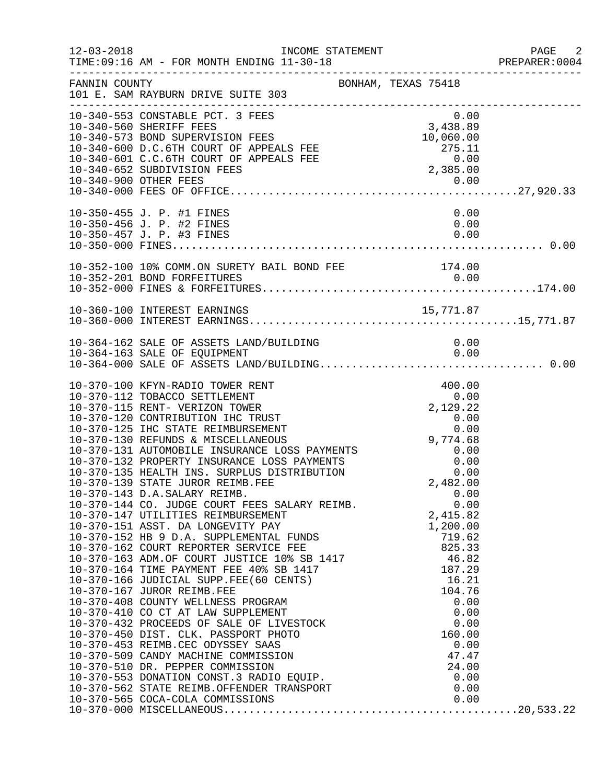| $12 - 03 - 2018$ | INCOME STATEMENT<br>TIME: 09:16 AM - FOR MONTH ENDING 11-30-18                                                                                                                                                                                                                                                                                                                                                                                                                                            |                                                                                                      | PAGE 2<br>PREPARER:0004 |
|------------------|-----------------------------------------------------------------------------------------------------------------------------------------------------------------------------------------------------------------------------------------------------------------------------------------------------------------------------------------------------------------------------------------------------------------------------------------------------------------------------------------------------------|------------------------------------------------------------------------------------------------------|-------------------------|
| FANNIN COUNTY    | BONHAM, TEXAS 75418<br>101 E. SAM RAYBURN DRIVE SUITE 303                                                                                                                                                                                                                                                                                                                                                                                                                                                 |                                                                                                      |                         |
|                  | 10-340-553 CONSTABLE PCT. 3 FEES<br>10-340-560 SHERIFF FEES<br>10-340-573 BOND SUPERVISION FEES<br>10-340-600 D.C.6TH COURT OF APPEALS FEE<br>10-340-601 C.C.6TH COURT OF APPEALS FEE<br>10-340-652 SUBDIVISION FEES                                                                                                                                                                                                                                                                                      | 0.00<br>3,438.89<br>10,060.00<br>$10,000.00$<br>275.11<br>0.00<br>2,385.00                           |                         |
|                  | 10-350-455 J. P. #1 FINES<br>10-350-456 J. P. #2 FINES<br>10-350-457 J. P. #3 FINES                                                                                                                                                                                                                                                                                                                                                                                                                       | 0.00<br>0.00<br>0.00                                                                                 |                         |
|                  | 10-352-100 10% COMM.ON SURETY BAIL BOND FEE 174.00                                                                                                                                                                                                                                                                                                                                                                                                                                                        |                                                                                                      |                         |
|                  | 15, 771.87<br>10-360-100 INTEREST EARNINGS                                                                                                                                                                                                                                                                                                                                                                                                                                                                |                                                                                                      |                         |
|                  | 10-364-162 SALE OF ASSETS LAND/BUILDING<br>10-364-163 SALE OF EQUIPMENT                                                                                                                                                                                                                                                                                                                                                                                                                                   | 0.00<br>0.00                                                                                         |                         |
|                  | 10-370-100 KFYN-RADIO TOWER RENT<br>10-370-112 TOBACCO SETTLEMENT<br>10-370-115 RENT- VERIZON TOWER<br>10-370-120 CONTRIBUTION IHC TRUST<br>10-370-125 IHC STATE REIMBURSEMENT<br>10-370-130 REFUNDS & MISCELLANEOUS<br>10-370-131 AUTOMOBILE INSURANCE LOSS PAYMENTS<br>10-370-132 PROPERTY INSURANCE LOSS PAYMENTS<br>10-370-135 HEALTH INS. SURPLUS DISTRIBUTION<br>10-370-139 STATE JUROR REIMB.FEE<br>10-370-143 D.A.SALARY REIMB.<br>10-370-144 CO. JUDGE COURT FEES SALARY REIMB. 0.00<br>2,415.82 | 400.00<br>0.00<br>$2,129.22$<br>0.00<br>0.00<br>0.00<br>9,774.68<br>0.00<br>0.00<br>0.00<br>2,482.00 |                         |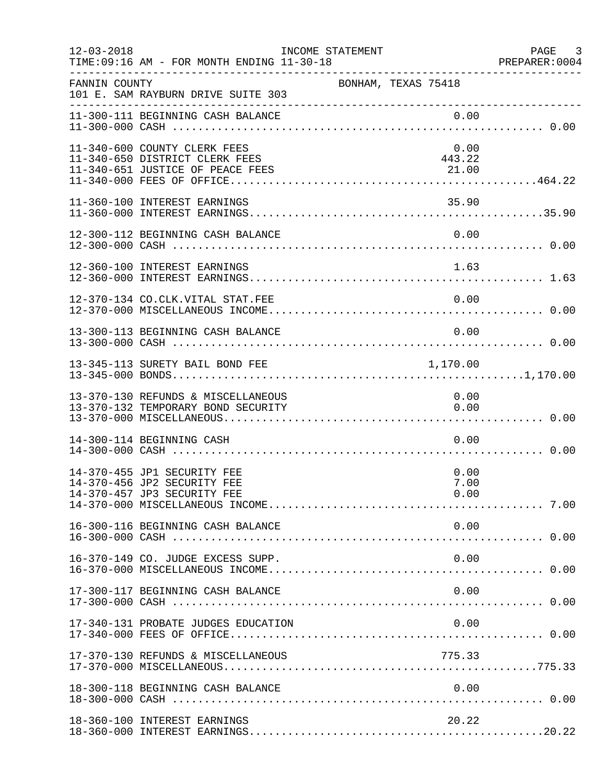| $12 - 03 - 2018$ | TIME: 09:16 AM - FOR MONTH ENDING 11-30-18                                                         | INCOME STATEMENT    |                         | PAGE 3<br>PREPARER:0004 |
|------------------|----------------------------------------------------------------------------------------------------|---------------------|-------------------------|-------------------------|
| FANNIN COUNTY    | 101 E. SAM RAYBURN DRIVE SUITE 303                                                                 | BONHAM, TEXAS 75418 |                         |                         |
|                  | 11-300-111 BEGINNING CASH BALANCE                                                                  |                     | 0.00                    |                         |
|                  | 11-340-600 COUNTY CLERK FEES<br>11-340-650 DISTRICT CLERK FEES<br>11-340-651 JUSTICE OF PEACE FEES |                     | 0.00<br>443.22<br>21.00 |                         |
|                  | 11-360-100 INTEREST EARNINGS                                                                       |                     | 35.90                   |                         |
|                  | 12-300-112 BEGINNING CASH BALANCE                                                                  |                     | 0.00                    |                         |
|                  | 12-360-100 INTEREST EARNINGS                                                                       |                     | 1.63                    |                         |
|                  | 12-370-134 CO.CLK.VITAL STAT.FEE                                                                   |                     | 0.00                    |                         |
|                  | 13-300-113 BEGINNING CASH BALANCE                                                                  |                     | 0.00                    |                         |
|                  | 13-345-113 SURETY BAIL BOND FEE                                                                    |                     | 1,170.00                |                         |
|                  | 13-370-130 REFUNDS & MISCELLANEOUS<br>13-370-132 TEMPORARY BOND SECURITY                           |                     | 0.00<br>0.00            |                         |
|                  | 14-300-114 BEGINNING CASH                                                                          |                     | 0.00                    |                         |
|                  | 14-370-455 JP1 SECURITY FEE<br>14-370-456 JP2 SECURITY FEE<br>14-370-457 JP3 SECURITY FEE          |                     | 0.00<br>7.00<br>0.00    |                         |
|                  | 16-300-116 BEGINNING CASH BALANCE                                                                  |                     | 0.00                    |                         |
|                  | 16-370-149 CO. JUDGE EXCESS SUPP.                                                                  |                     | 0.00                    |                         |
|                  | 17-300-117 BEGINNING CASH BALANCE                                                                  |                     | 0.00                    |                         |
|                  | 17-340-131 PROBATE JUDGES EDUCATION                                                                |                     | 0.00                    |                         |
|                  | 17-370-130 REFUNDS & MISCELLANEOUS                                                                 |                     | 775.33                  |                         |
|                  | 18-300-118 BEGINNING CASH BALANCE                                                                  |                     | 0.00                    |                         |
|                  | 18-360-100 INTEREST EARNINGS                                                                       |                     | 20.22                   |                         |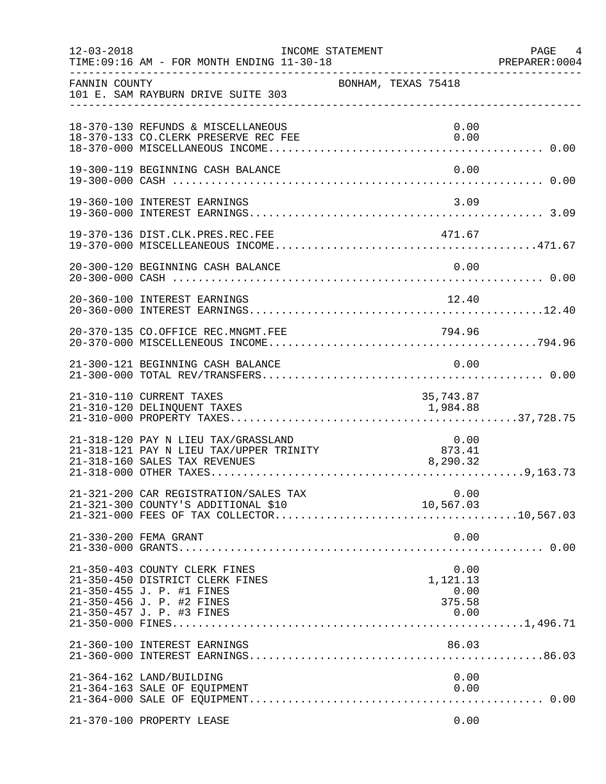| $12 - 03 - 2018$ | TIME: 09:16 AM - FOR MONTH ENDING 11-30-18                                                                                                              | INCOME STATEMENT    |                                            | PAGE 4<br>PREPARER: 0004 |
|------------------|---------------------------------------------------------------------------------------------------------------------------------------------------------|---------------------|--------------------------------------------|--------------------------|
| FANNIN COUNTY    | 101 E. SAM RAYBURN DRIVE SUITE 303                                                                                                                      | BONHAM, TEXAS 75418 |                                            |                          |
|                  | 18-370-130 REFUNDS & MISCELLANEOUS<br>18-370-133 CO.CLERK PRESERVE REC FEE                                                                              |                     | 0.00<br>0.00                               |                          |
|                  | 19-300-119 BEGINNING CASH BALANCE                                                                                                                       |                     | 0.00                                       |                          |
|                  | 19-360-100 INTEREST EARNINGS                                                                                                                            |                     | 3.09                                       |                          |
|                  | 19-370-136 DIST.CLK.PRES.REC.FEE                                                                                                                        |                     | 471.67                                     |                          |
|                  | 20-300-120 BEGINNING CASH BALANCE                                                                                                                       |                     | 0.00                                       |                          |
|                  | 20-360-100 INTEREST EARNINGS                                                                                                                            |                     | 12.40                                      |                          |
|                  |                                                                                                                                                         |                     |                                            |                          |
|                  | 21-300-121 BEGINNING CASH BALANCE                                                                                                                       |                     | 0.00                                       |                          |
|                  | 21-310-110 CURRENT TAXES<br>21-310-120 DELINQUENT TAXES                                                                                                 |                     | 35,743.87<br>1,984.88                      |                          |
|                  | 21-318-120 PAY N LIEU TAX/GRASSLAND<br>21-318-121 PAY N LIEU TAX/UPPER TRINITY<br>21-318-160 SALES TAX REVENUES                                         |                     | 873.41<br>8,290.32                         |                          |
|                  | 21-321-200 CAR REGISTRATION/SALES TAX<br>21-321-300 COUNTY'S ADDITIONAL \$10                                                                            |                     | 0.00<br>10,567.03                          |                          |
|                  | 21-330-200 FEMA GRANT                                                                                                                                   |                     | 0.00                                       |                          |
|                  | 21-350-403 COUNTY CLERK FINES<br>21-350-450 DISTRICT CLERK FINES<br>21-350-455 J. P. #1 FINES<br>21-350-456 J. P. #2 FINES<br>21-350-457 J. P. #3 FINES |                     | 0.00<br>1,121.13<br>0.00<br>375.58<br>0.00 |                          |
|                  | 21-360-100 INTEREST EARNINGS                                                                                                                            |                     | 86.03                                      |                          |
|                  | 21-364-162 LAND/BUILDING<br>21-364-163 SALE OF EQUIPMENT                                                                                                |                     | 0.00<br>0.00                               |                          |
|                  | 21-370-100 PROPERTY LEASE                                                                                                                               |                     | 0.00                                       |                          |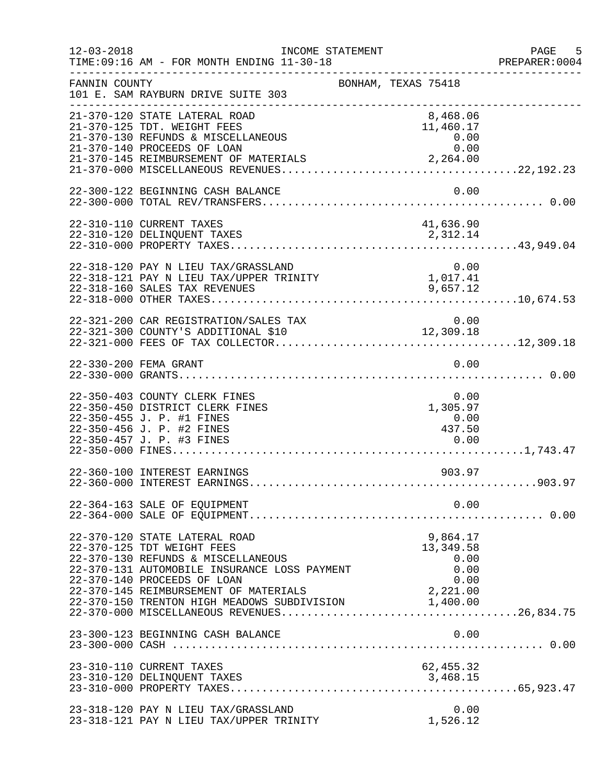| $12 - 03 - 2018$ | INCOME STATEMENT<br>TIME: 09:16 AM - FOR MONTH ENDING 11-30-18                                                                                                                   |                                                                          | PAGE 5<br>PREPARER: 0004 |
|------------------|----------------------------------------------------------------------------------------------------------------------------------------------------------------------------------|--------------------------------------------------------------------------|--------------------------|
| FANNIN COUNTY    | 101 E. SAM RAYBURN DRIVE SUITE 303                                                                                                                                               | BONHAM, TEXAS 75418                                                      |                          |
|                  | 21-370-120 STATE LATERAL ROAD<br>21-370-125 TDT. WEIGHT FEES<br>21-370-130 REFUNDS & MISCELLANEOUS<br>21-370-140 PROCEEDS OF LOAN                                                | 8,468.06<br>11,460.17<br>0.00<br>0.00                                    |                          |
|                  | 22-300-122 BEGINNING CASH BALANCE                                                                                                                                                | 0.00                                                                     |                          |
|                  | 22-310-110 CURRENT TAXES<br>22-310-120 DELINQUENT TAXES                                                                                                                          | 41,636.90<br>2,312.14                                                    |                          |
|                  | 22-318-120 PAY N LIEU TAX/GRASSLAND<br>22-318-121 PAY N LIEU TAX/UPPER TRINITY<br>22-318-160 SALES TAX REVENUES                                                                  | 0.00<br>$\begin{smallmatrix}0.00\\1.017.41\end{smallmatrix}$<br>9,657.12 |                          |
|                  | 22-321-200 CAR REGISTRATION/SALES TAX                                                                                                                                            | 0.00                                                                     |                          |
|                  | 22-330-200 FEMA GRANT                                                                                                                                                            | 0.00                                                                     |                          |
|                  | 22-350-403 COUNTY CLERK FINES<br>22-350-450 DISTRICT CLERK FINES<br>22-350-455 J. P. #1 FINES<br>22-350-456 J. P. #2 FINES<br>22-350-457 J. P. #3 FINES                          | 0.00<br>1,305.97<br>0.00<br>437.50<br>0.00                               |                          |
|                  | 22-360-100 INTEREST EARNINGS                                                                                                                                                     | 903.97                                                                   |                          |
|                  | 22-364-163 SALE OF EQUIPMENT                                                                                                                                                     | 0.00                                                                     |                          |
|                  | 22-370-120 STATE LATERAL ROAD<br>22-370-125 TDT WEIGHT FEES<br>22-370-130 REFUNDS & MISCELLANEOUS<br>22-370-131 AUTOMOBILE INSURANCE LOSS PAYMENT<br>22-370-140 PROCEEDS OF LOAN | 9,864.17<br>13, 349.58<br>0.00<br>0.00<br>0.00                           |                          |
|                  | 23-300-123 BEGINNING CASH BALANCE                                                                                                                                                | 0.00                                                                     |                          |
|                  | 23-310-110 CURRENT TAXES<br>23-310-120 DELINQUENT TAXES                                                                                                                          | 62, 455.32<br>3,468.15                                                   |                          |
|                  | 23-318-120 PAY N LIEU TAX/GRASSLAND<br>23-318-121 PAY N LIEU TAX/UPPER TRINITY                                                                                                   | 0.00<br>1,526.12                                                         |                          |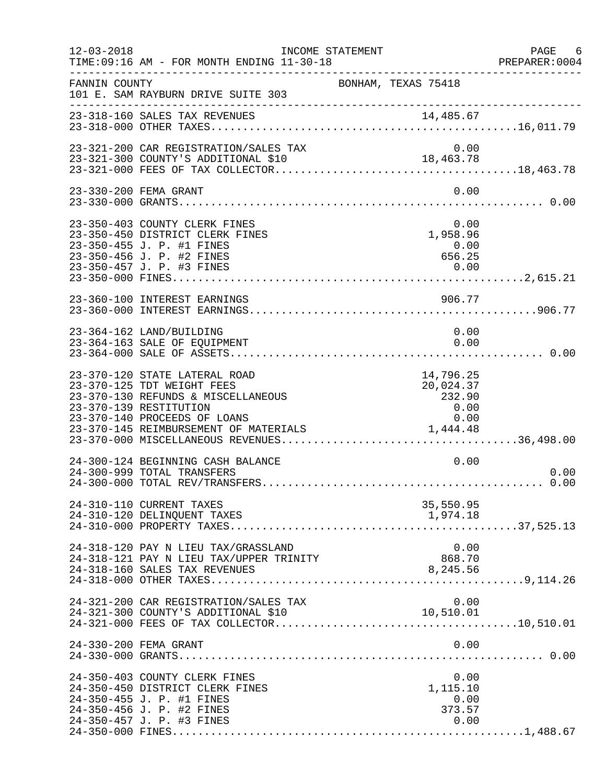| $12 - 03 - 2018$ | INCOME STATEMENT<br>TIME: 09:16 AM - FOR MONTH ENDING 11-30-18                                                                                                                                                                                |                                                  | PAGE 6<br>PREPARER:0004 |
|------------------|-----------------------------------------------------------------------------------------------------------------------------------------------------------------------------------------------------------------------------------------------|--------------------------------------------------|-------------------------|
| FANNIN COUNTY    | 101 E. SAM RAYBURN DRIVE SUITE 303                                                                                                                                                                                                            | BONHAM, TEXAS 75418                              |                         |
|                  | 23-318-160 SALES TAX REVENUES                                                                                                                                                                                                                 |                                                  |                         |
|                  | 23-321-200 CAR REGISTRATION/SALES TAX                                                                                                                                                                                                         | 0.00                                             |                         |
|                  | 23-330-200 FEMA GRANT                                                                                                                                                                                                                         | 0.00                                             |                         |
|                  | 23-350-403 COUNTY CLERK FINES<br>23-350-450 DISTRICT CLERK FINES<br>23-350-455 J. P. #1 FINES<br>23-350-456 J. P. #2 FINES                                                                                                                    | 0.00<br>0.00<br>1,958.96<br>0.00<br>656.25       |                         |
|                  | 23-360-100 INTEREST EARNINGS                                                                                                                                                                                                                  | 906.77                                           |                         |
|                  | 23-364-162 LAND/BUILDING<br>23-364-163 SALE OF EQUIPMENT                                                                                                                                                                                      | 0.00<br>0.00                                     |                         |
|                  | 23-370-120 STATE LATERAL ROAD<br>23-370-125 TDT WEIGHT FEES<br>23-370-130 REFUNDS & MISCELLANEOUS<br>23-370-139 RESTITUTION<br>23-370-140 PROCEEDS OF LOANS<br>23-370-140 PROCEEDS OF HOANS<br>23-370-145 REIMBURSEMENT OF MATERIALS 1,444.48 | 14,796.25<br>20,024.37<br>232.90<br>0.00<br>0.00 |                         |
|                  | 24-300-124 BEGINNING CASH BALANCE<br>24-300-999 TOTAL TRANSFERS                                                                                                                                                                               | 0.00                                             | 0.00                    |
|                  | 24-310-110 CURRENT TAXES<br>24-310-120 DELINQUENT TAXES                                                                                                                                                                                       | 35,550.95<br>1,974.18                            |                         |
|                  | 24-318-120 PAY N LIEU TAX/GRASSLAND<br>24-318-121 PAY N LIEU TAX/UPPER TRINITY<br>24-318-160 SALES TAX REVENUES                                                                                                                               | 0.00<br>868.70<br>8,245.56                       |                         |
|                  | 24-321-200 CAR REGISTRATION/SALES TAX<br>24-321-300 COUNTY'S ADDITIONAL \$10                                                                                                                                                                  | 0.00<br>10,510.01                                |                         |
|                  | 24-330-200 FEMA GRANT                                                                                                                                                                                                                         | 0.00                                             |                         |
|                  | 24-350-403 COUNTY CLERK FINES<br>24-350-450 DISTRICT CLERK FINES<br>24-350-455 J. P. #1 FINES<br>24-350-456 J. P. #2 FINES<br>24-350-457 J. P. #3 FINES                                                                                       | 0.00<br>1,115.10<br>0.00<br>373.57<br>0.00       |                         |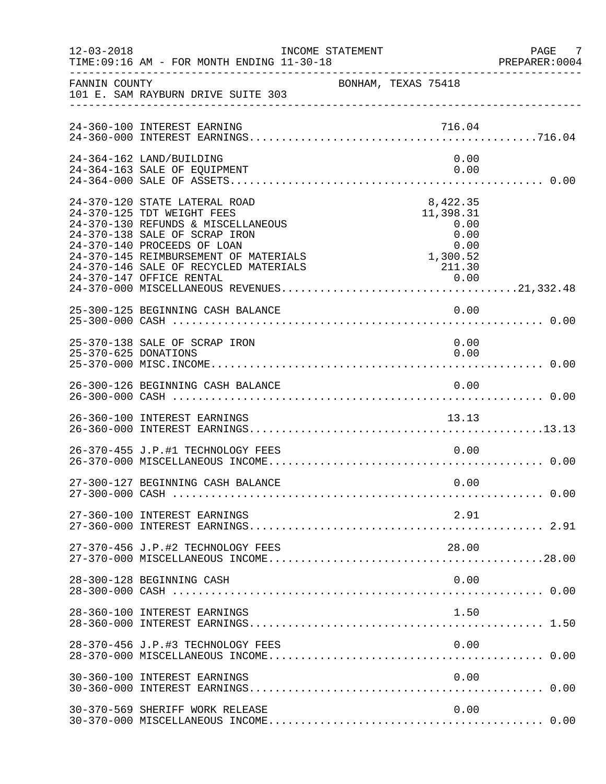| $12 - 03 - 2018$     | TIME: 09:16 AM - FOR MONTH ENDING 11-30-18                                                                                                                                                                                                          | INCOME STATEMENT                                                                | PAGE 7<br>PREPARER:0004 |
|----------------------|-----------------------------------------------------------------------------------------------------------------------------------------------------------------------------------------------------------------------------------------------------|---------------------------------------------------------------------------------|-------------------------|
| FANNIN COUNTY        | 101 E. SAM RAYBURN DRIVE SUITE 303                                                                                                                                                                                                                  | BONHAM, TEXAS 75418                                                             |                         |
|                      | 24-360-100 INTEREST EARNING                                                                                                                                                                                                                         | 716.04                                                                          |                         |
|                      | 24-364-162 LAND/BUILDING<br>24-364-163 SALE OF EQUIPMENT                                                                                                                                                                                            | 0.00<br>0.00                                                                    |                         |
|                      | 24-370-120 STATE LATERAL ROAD<br>24-370-125 TDT WEIGHT FEES<br>24-370-130 REFUNDS & MISCELLANEOUS<br>24-370-138 SALE OF SCRAP IRON<br>24-370-140 PROCEEDS OF LOAN<br>24-370-145 REIMBURSEMENT OF MATERIALS<br>24-370-146 SALE OF RECYCLED MATERIALS | 8,422.35<br>11,398.31<br>0.00<br>0.00<br>0.00<br>$0.00$<br>$1,300.52$<br>211.30 |                         |
|                      | 25-300-125 BEGINNING CASH BALANCE                                                                                                                                                                                                                   | 0.00                                                                            |                         |
| 25-370-625 DONATIONS | 25-370-138 SALE OF SCRAP IRON                                                                                                                                                                                                                       | 0.00<br>0.00                                                                    |                         |
|                      | 26-300-126 BEGINNING CASH BALANCE                                                                                                                                                                                                                   | 0.00                                                                            |                         |
|                      | 26-360-100 INTEREST EARNINGS                                                                                                                                                                                                                        | 13.13                                                                           |                         |
|                      | 26-370-455 J.P.#1 TECHNOLOGY FEES                                                                                                                                                                                                                   | 0.00                                                                            |                         |
|                      | 27-300-127 BEGINNING CASH BALANCE                                                                                                                                                                                                                   | 0.00                                                                            |                         |
|                      | 27-360-100 INTEREST EARNINGS                                                                                                                                                                                                                        | 2.91                                                                            |                         |
|                      | 27-370-456 J.P.#2 TECHNOLOGY FEES                                                                                                                                                                                                                   | 28.00                                                                           |                         |
|                      | 28-300-128 BEGINNING CASH                                                                                                                                                                                                                           | 0.00                                                                            |                         |
|                      | 28-360-100 INTEREST EARNINGS                                                                                                                                                                                                                        | 1.50                                                                            |                         |
|                      | 28-370-456 J.P.#3 TECHNOLOGY FEES                                                                                                                                                                                                                   | 0.00                                                                            |                         |
|                      | 30-360-100 INTEREST EARNINGS                                                                                                                                                                                                                        | 0.00                                                                            |                         |
|                      | 30-370-569 SHERIFF WORK RELEASE                                                                                                                                                                                                                     | 0.00                                                                            |                         |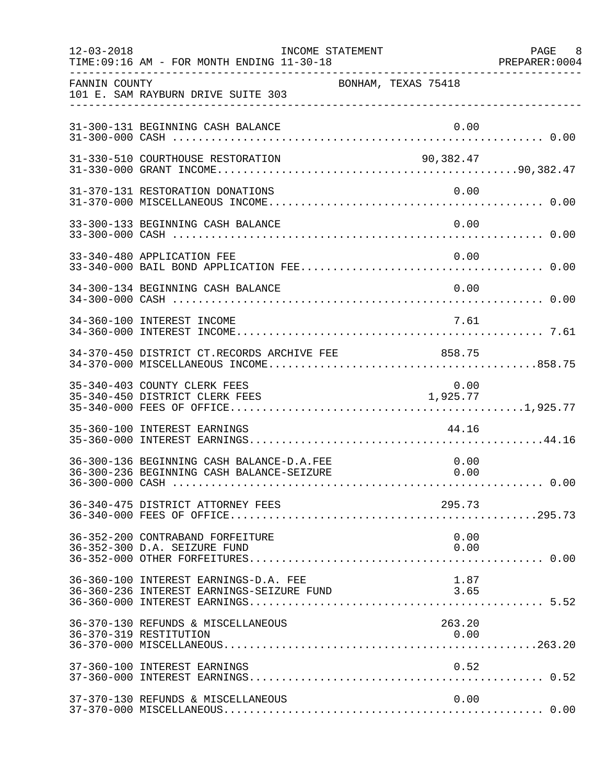| $12 - 03 - 2018$ | TIME: 09:16 AM - FOR MONTH ENDING 11-30-18                                             | INCOME STATEMENT    |                  | PAGE 8<br>PREPARER: 0004 |
|------------------|----------------------------------------------------------------------------------------|---------------------|------------------|--------------------------|
| FANNIN COUNTY    | 101 E. SAM RAYBURN DRIVE SUITE 303                                                     | BONHAM, TEXAS 75418 |                  |                          |
|                  | 31-300-131 BEGINNING CASH BALANCE                                                      |                     | 0.00             |                          |
|                  | 31-330-510 COURTHOUSE RESTORATION                                                      |                     | 90,382.47        |                          |
|                  | 31-370-131 RESTORATION DONATIONS                                                       |                     | 0.00             |                          |
|                  | 33-300-133 BEGINNING CASH BALANCE                                                      |                     | 0.00             |                          |
|                  | 33-340-480 APPLICATION FEE                                                             |                     | 0.00             |                          |
|                  | 34-300-134 BEGINNING CASH BALANCE                                                      |                     | 0.00             |                          |
|                  | 34-360-100 INTEREST INCOME                                                             |                     | 7.61             |                          |
|                  | 34-370-450 DISTRICT CT.RECORDS ARCHIVE FEE 858.75                                      |                     |                  |                          |
|                  | 35-340-403 COUNTY CLERK FEES<br>35-340-450 DISTRICT CLERK FEES                         |                     | 0.00<br>1,925.77 |                          |
|                  | 35-360-100 INTEREST EARNINGS                                                           |                     | 44.16            |                          |
|                  | 36-300-136 BEGINNING CASH BALANCE-D.A.FEE<br>36-300-236 BEGINNING CASH BALANCE-SEIZURE |                     | 0.00<br>0.00     |                          |
|                  | 36-340-475 DISTRICT ATTORNEY FEES                                                      |                     | 295.73           |                          |
|                  | 36-352-200 CONTRABAND FORFEITURE<br>36-352-300 D.A. SEIZURE FUND                       |                     | 0.00<br>0.00     |                          |
|                  | 36-360-100 INTEREST EARNINGS-D.A. FEE<br>36-360-236 INTEREST EARNINGS-SEIZURE FUND     |                     | 1.87<br>3.65     |                          |
|                  | 36-370-130 REFUNDS & MISCELLANEOUS<br>36-370-319 RESTITUTION                           |                     | 263.20<br>0.00   |                          |
|                  | 37-360-100 INTEREST EARNINGS                                                           |                     | 0.52             |                          |
|                  | 37-370-130 REFUNDS & MISCELLANEOUS                                                     |                     | 0.00             |                          |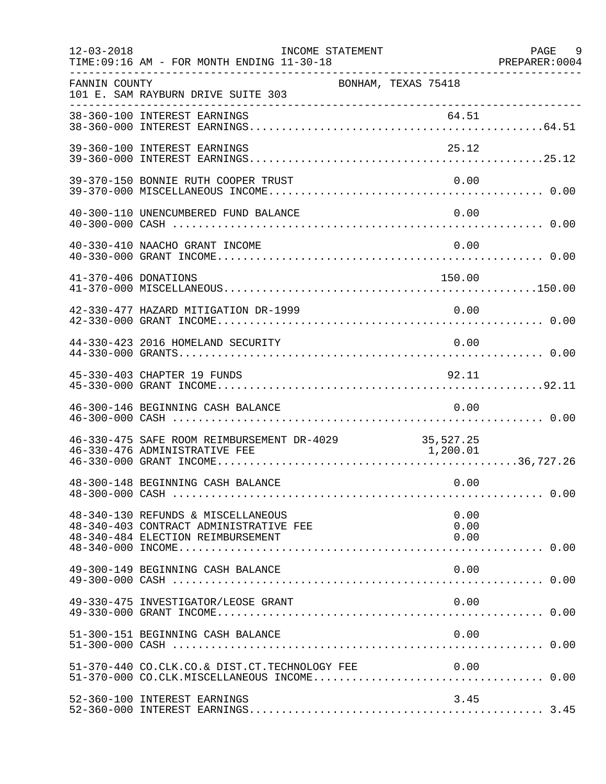| $12 - 03 - 2018$<br>TIME: 09:16 AM - FOR MONTH ENDING 11-30-18                                                         | INCOME STATEMENT |                      | PAGE 9<br>PREPARER: 0004 |
|------------------------------------------------------------------------------------------------------------------------|------------------|----------------------|--------------------------|
| FANNIN COUNTY<br>101 E. SAM RAYBURN DRIVE SUITE 303                                                                    |                  | BONHAM, TEXAS 75418  |                          |
|                                                                                                                        |                  |                      |                          |
| 39-360-100 INTEREST EARNINGS                                                                                           |                  | 25.12                |                          |
| 39-370-150 BONNIE RUTH COOPER TRUST                                                                                    |                  | 0.00                 |                          |
| 40-300-110 UNENCUMBERED FUND BALANCE                                                                                   |                  | 0.00                 |                          |
| 40-330-410 NAACHO GRANT INCOME                                                                                         |                  | 0.00                 |                          |
| 41-370-406 DONATIONS                                                                                                   |                  | 150.00               |                          |
| 42-330-477 HAZARD MITIGATION DR-1999                                                                                   |                  | 0.00                 |                          |
| 44-330-423 2016 HOMELAND SECURITY                                                                                      |                  | 0.00                 |                          |
| 45-330-403 CHAPTER 19 FUNDS                                                                                            |                  | 92.11                |                          |
| 46-300-146 BEGINNING CASH BALANCE                                                                                      |                  | 0.00                 |                          |
| 46-330-475 SAFE ROOM REIMBURSEMENT DR-4029 35,527.25<br>46-330-476 ADMINISTRATIVE FEE<br>46-330-476 ADMINISTRATIVE FEE |                  | 1, 200.01            |                          |
| 48-300-148 BEGINNING CASH BALANCE                                                                                      |                  | 0.00                 |                          |
| 48-340-130 REFUNDS & MISCELLANEOUS<br>48-340-403 CONTRACT ADMINISTRATIVE FEE<br>48-340-484 ELECTION REIMBURSEMENT      |                  | 0.00<br>0.00<br>0.00 |                          |
| 49-300-149 BEGINNING CASH BALANCE                                                                                      |                  | 0.00                 |                          |
| 49-330-475 INVESTIGATOR/LEOSE GRANT                                                                                    |                  | 0.00                 |                          |
| 51-300-151 BEGINNING CASH BALANCE                                                                                      |                  | 0.00                 |                          |
|                                                                                                                        |                  |                      |                          |
| 52-360-100 INTEREST EARNINGS                                                                                           |                  | 3.45                 |                          |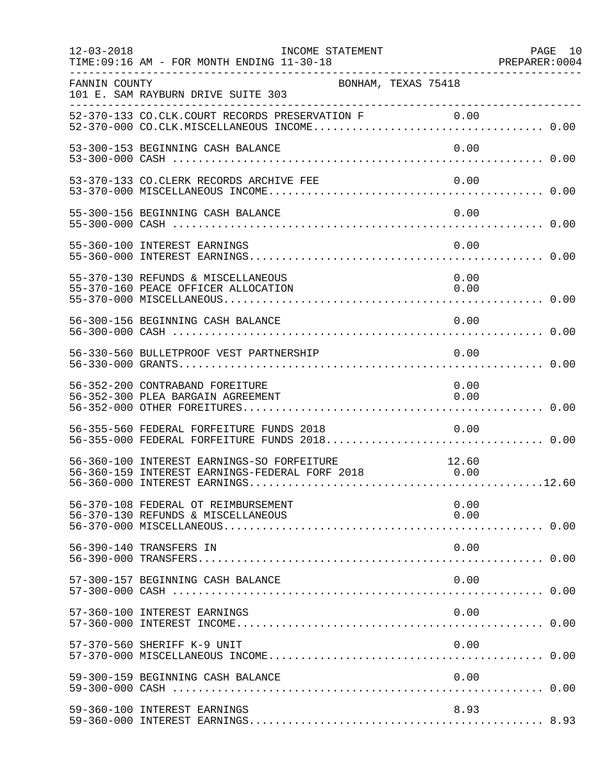| $12 - 03 - 2018$ | INCOME STATEMENT<br>TIME: 09:16 AM - FOR MONTH ENDING 11-30-18                                          | PAGE 10 |
|------------------|---------------------------------------------------------------------------------------------------------|---------|
| FANNIN COUNTY    | BONHAM, TEXAS 75418<br>101 E. SAM RAYBURN DRIVE SUITE 303                                               |         |
|                  |                                                                                                         |         |
|                  | 53-300-153 BEGINNING CASH BALANCE<br>0.00                                                               |         |
|                  | 53-370-133 CO. CLERK RECORDS ARCHIVE FEE<br>0.00                                                        |         |
|                  | 55-300-156 BEGINNING CASH BALANCE<br>0.00                                                               |         |
|                  | 55-360-100 INTEREST EARNINGS<br>0.00                                                                    |         |
|                  | 55-370-130 REFUNDS & MISCELLANEOUS<br>0.00<br>55-370-160 PEACE OFFICER ALLOCATION<br>0.00               |         |
|                  | 56-300-156 BEGINNING CASH BALANCE<br>0.00                                                               |         |
|                  | 56-330-560 BULLETPROOF VEST PARTNERSHIP<br>0.00                                                         |         |
|                  | 56-352-200 CONTRABAND FOREITURE<br>0.00<br>0.00<br>56-352-300 PLEA BARGAIN AGREEMENT                    |         |
|                  | 56-355-560 FEDERAL FORFEITURE FUNDS 2018<br>0.00<br>56-355-000 FEDERAL FORFEITURE FUNDS 2018 0.00       |         |
|                  | 56-360-100 INTEREST EARNINGS-SO FORFEITURE 12.60<br>56-360-159 INTEREST EARNINGS-FEDERAL FORF 2018 0.00 |         |
|                  | 56-370-108 FEDERAL OT REIMBURSEMENT<br>0.00<br>56-370-130 REFUNDS & MISCELLANEOUS<br>0.00               |         |
|                  | 56-390-140 TRANSFERS IN<br>0.00                                                                         |         |
|                  | 57-300-157 BEGINNING CASH BALANCE<br>0.00                                                               |         |
|                  | 0.00<br>57-360-100 INTEREST EARNINGS                                                                    |         |
|                  | 57-370-560 SHERIFF K-9 UNIT<br>0.00                                                                     |         |
|                  | 59-300-159 BEGINNING CASH BALANCE<br>0.00                                                               |         |
|                  | 59-360-100 INTEREST EARNINGS<br>8.93                                                                    |         |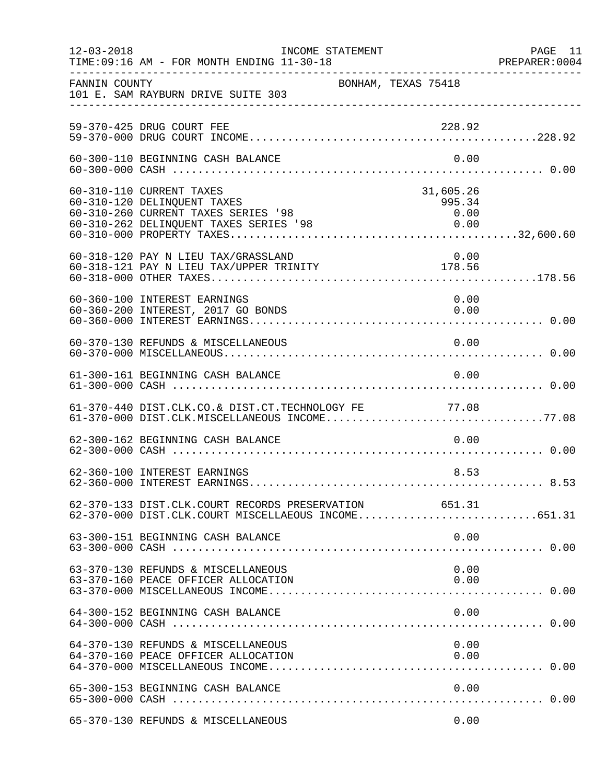| $12 - 03 - 2018$ | TIME: 09:16 AM - FOR MONTH ENDING 11-30-18                                                                                                                      | INCOME STATEMENT    |                                     | PAGE 11<br>PREPARER:0004 |
|------------------|-----------------------------------------------------------------------------------------------------------------------------------------------------------------|---------------------|-------------------------------------|--------------------------|
| FANNIN COUNTY    | 101 E. SAM RAYBURN DRIVE SUITE 303                                                                                                                              | BONHAM, TEXAS 75418 |                                     |                          |
|                  | 59-370-425 DRUG COURT FEE                                                                                                                                       |                     | 228.92                              |                          |
|                  | 60-300-110 BEGINNING CASH BALANCE                                                                                                                               |                     | 0.00                                |                          |
|                  | 60-310-110 CURRENT TAXES<br>60-310-120 DELINQUENT TAXES<br>60-310-260 CURRENT TAXES SERIES '98<br>60-310-262 DELINQUENT TAXES SERIES '98                        |                     | 31,605.26<br>995.34<br>0.00<br>0.00 |                          |
|                  | 60-318-120 PAY N LIEU TAX/GRASSLAND<br>00-318-120 PAI N LIEU TAX/URPER TRINITY 178.56                                                                           |                     | 0.00                                |                          |
|                  | 60-360-100 INTEREST EARNINGS<br>60-360-200 INTEREST, 2017 GO BONDS                                                                                              |                     | 0.00<br>0.00                        |                          |
|                  | 60-370-130 REFUNDS & MISCELLANEOUS                                                                                                                              |                     | 0.00                                |                          |
|                  | 61-300-161 BEGINNING CASH BALANCE                                                                                                                               |                     | 0.00                                |                          |
|                  | 61-370-440 DIST.CLK.CO.& DIST.CT.TECHNOLOGY FE 77.08<br>01 370 740 2101.000 2013 2101.01.1ECHNOLOGI FE (17.00)<br>61-370-000 DIST.CLK.MISCELLANEOUS INCOME77.08 |                     |                                     |                          |
|                  | 62-300-162 BEGINNING CASH BALANCE                                                                                                                               |                     | 0.00                                |                          |
|                  | 62-360-100 INTEREST EARNINGS                                                                                                                                    |                     | 8.53                                |                          |
|                  | 62-370-133 DIST.CLK.COURT RECORDS PRESERVATION 651.31<br>62-370-000 DIST.CLK.COURT MISCELLAEOUS INCOME651.31                                                    |                     |                                     |                          |
|                  | 63-300-151 BEGINNING CASH BALANCE                                                                                                                               |                     | 0.00                                |                          |
|                  | 63-370-130 REFUNDS & MISCELLANEOUS<br>63-370-160 PEACE OFFICER ALLOCATION                                                                                       |                     | 0.00<br>0.00                        |                          |
|                  | 64-300-152 BEGINNING CASH BALANCE                                                                                                                               |                     | 0.00                                |                          |
|                  | 64-370-130 REFUNDS & MISCELLANEOUS<br>64-370-160 PEACE OFFICER ALLOCATION                                                                                       |                     | 0.00<br>0.00                        |                          |
|                  | 65-300-153 BEGINNING CASH BALANCE                                                                                                                               |                     | 0.00                                |                          |
|                  | 65-370-130 REFUNDS & MISCELLANEOUS                                                                                                                              |                     | 0.00                                |                          |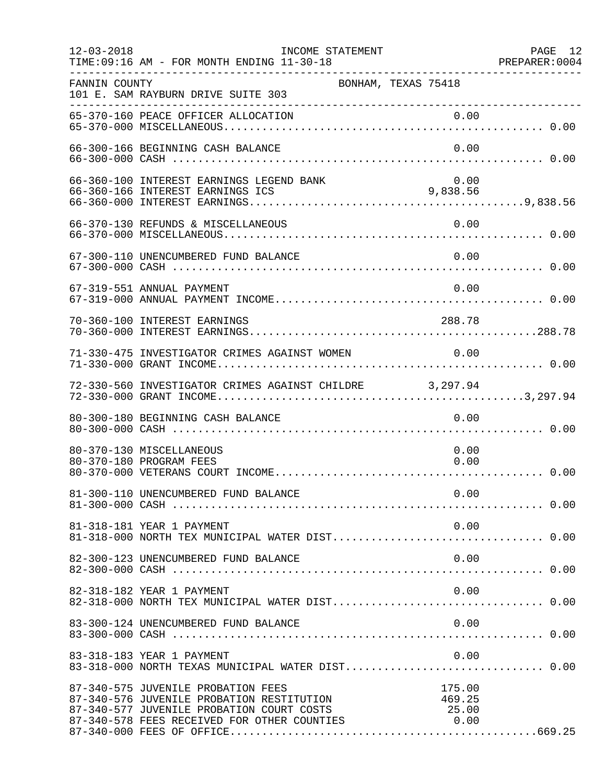| $12 - 03 - 2018$ | INCOME STATEMENT<br>TIME: 09:16 AM - FOR MONTH ENDING 11-30-18                                                                                                              | PREPARER<br>---------------------------------- | PAGE 12<br>PREPARER: 0004 |
|------------------|-----------------------------------------------------------------------------------------------------------------------------------------------------------------------------|------------------------------------------------|---------------------------|
| FANNIN COUNTY    | BONHAM, TEXAS 75418<br>101 E. SAM RAYBURN DRIVE SUITE 303                                                                                                                   |                                                |                           |
|                  |                                                                                                                                                                             |                                                |                           |
|                  | 66-300-166 BEGINNING CASH BALANCE                                                                                                                                           | 0.00                                           |                           |
|                  | 66-360-100 INTEREST EARNINGS LEGEND BANK                                                                                                                                    | 0.00<br>9,838.56                               |                           |
|                  | 66-370-130 REFUNDS & MISCELLANEOUS                                                                                                                                          | 0.00                                           |                           |
|                  | 67-300-110 UNENCUMBERED FUND BALANCE                                                                                                                                        | 0.00                                           |                           |
|                  | 67-319-551 ANNUAL PAYMENT                                                                                                                                                   | 0.00                                           |                           |
|                  | 70-360-100 INTEREST EARNINGS                                                                                                                                                | 288.78                                         |                           |
|                  | 71-330-475 INVESTIGATOR CRIMES AGAINST WOMEN 0.00                                                                                                                           |                                                |                           |
|                  | 72-330-560 INVESTIGATOR CRIMES AGAINST CHILDRE 3,297.94                                                                                                                     |                                                |                           |
|                  | 80-300-180 BEGINNING CASH BALANCE                                                                                                                                           | 0.00                                           |                           |
|                  | 80-370-130 MISCELLANEOUS<br>80-370-180 PROGRAM FEES                                                                                                                         | 0.00<br>0.00                                   |                           |
|                  |                                                                                                                                                                             |                                                |                           |
|                  | 81-318-181 YEAR 1 PAYMENT                                                                                                                                                   | 0.00                                           |                           |
|                  | 82-300-123 UNENCUMBERED FUND BALANCE                                                                                                                                        | 0.00                                           |                           |
|                  | 82-318-182 YEAR 1 PAYMENT                                                                                                                                                   | 0.00                                           |                           |
|                  | 83-300-124 UNENCUMBERED FUND BALANCE                                                                                                                                        | 0.00                                           |                           |
|                  | 83-318-183 YEAR 1 PAYMENT<br>83-318-000 NORTH TEXAS MUNICIPAL WATER DIST 0.00                                                                                               | 0.00                                           |                           |
|                  | 87-340-575 JUVENILE PROBATION FEES<br>87-340-576 JUVENILE PROBATION RESTITUTION<br>87-340-577 JUVENILE PROBATION COURT COSTS<br>87-340-578 FEES RECEIVED FOR OTHER COUNTIES | 175.00<br>469.25<br>25.00<br>0.00              |                           |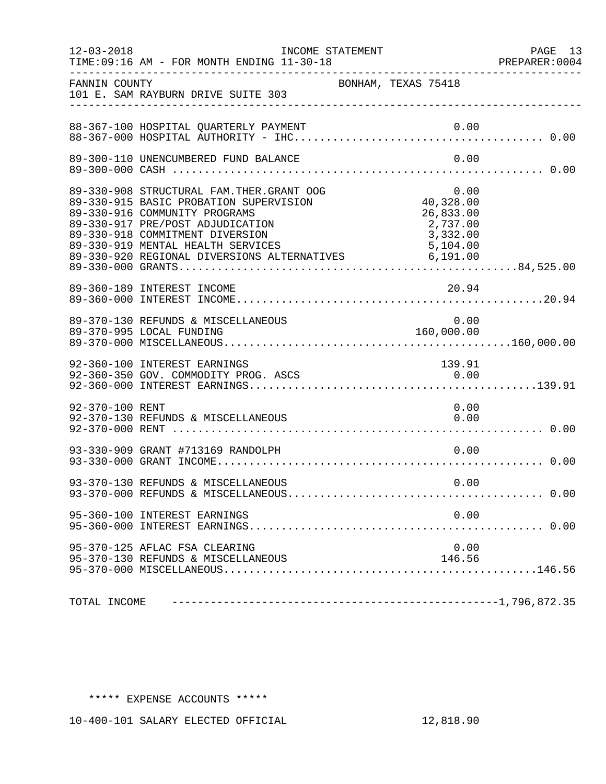| $12 - 03 - 2018$ | TIME: 09:16 AM - FOR MONTH ENDING 11-30-18                                                                                                                                                                                                                                                       | INCOME STATEMENT    |                                                        | PAGE 13<br>PREPARER: 0004 |
|------------------|--------------------------------------------------------------------------------------------------------------------------------------------------------------------------------------------------------------------------------------------------------------------------------------------------|---------------------|--------------------------------------------------------|---------------------------|
| FANNIN COUNTY    | 101 E. SAM RAYBURN DRIVE SUITE 303                                                                                                                                                                                                                                                               | BONHAM, TEXAS 75418 |                                                        |                           |
|                  | 88-367-100 HOSPITAL QUARTERLY PAYMENT                                                                                                                                                                                                                                                            |                     |                                                        |                           |
|                  | 89-300-110 UNENCUMBERED FUND BALANCE                                                                                                                                                                                                                                                             |                     | 0.00                                                   |                           |
|                  | 89-330-908 STRUCTURAL FAM.THER.GRANT OOG<br>89-330-915 BASIC PROBATION SUPERVISION<br>89-330-916 COMMUNITY PROGRAMS<br>89-330-917 PRE/POST ADJUDICATION<br>89-330-918 COMMITMENT DIVERSION<br>89-330-919 MENTAL HEALTH SERVICES 5,104.00<br>89-330-920 REGIONAL DIVERSIONS ALTERNATIVES 6,191.00 |                     | 0.00<br>40,328.00<br>26,833.00<br>2,737.00<br>3,332.00 |                           |
|                  | 89-360-189 INTEREST INCOME                                                                                                                                                                                                                                                                       |                     | 20.94                                                  |                           |
|                  | 89-370-130 REFUNDS & MISCELLANEOUS                                                                                                                                                                                                                                                               |                     | $0.00$<br>160,000.00                                   |                           |
|                  | 92-360-100 INTEREST EARNINGS<br>92-360-350 GOV. COMMODITY PROG. ASCS                                                                                                                                                                                                                             |                     | 139.91<br>0.00                                         |                           |
| 92-370-100 RENT  | 92-370-130 REFUNDS & MISCELLANEOUS                                                                                                                                                                                                                                                               |                     | 0.00<br>0.00                                           |                           |
|                  | 93-330-909 GRANT #713169 RANDOLPH                                                                                                                                                                                                                                                                |                     | 0.00                                                   |                           |
|                  | 93-370-130 REFUNDS & MISCELLANEOUS                                                                                                                                                                                                                                                               |                     | 0.00                                                   |                           |
|                  | 95-360-100 INTEREST EARNINGS                                                                                                                                                                                                                                                                     |                     | 0.00                                                   |                           |
|                  | 95-370-125 AFLAC FSA CLEARING<br>95-370-130 REFUNDS & MISCELLANEOUS                                                                                                                                                                                                                              |                     | 0.00<br>146.56                                         |                           |
| TOTAL INCOME     |                                                                                                                                                                                                                                                                                                  |                     |                                                        |                           |

## \*\*\*\*\* EXPENSE ACCOUNTS \*\*\*\*\*

10-400-101 SALARY ELECTED OFFICIAL 12,818.90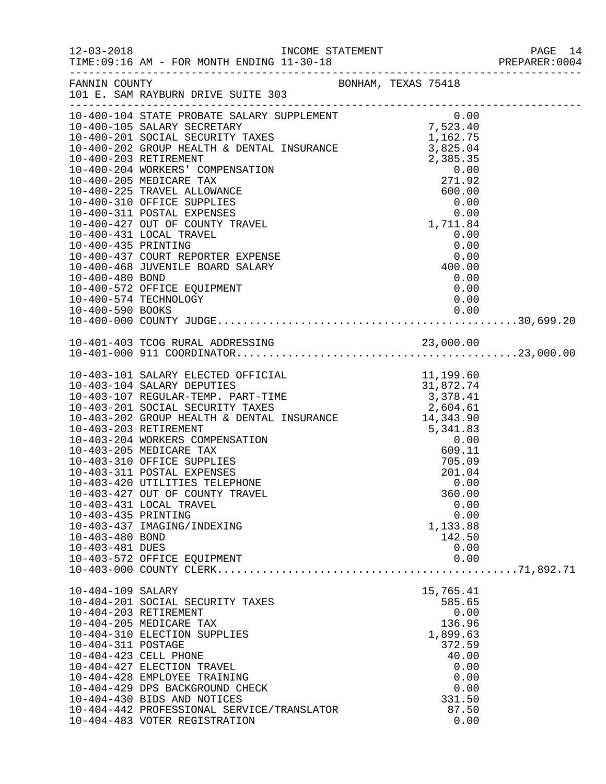|                                                           |                                                                                                                                                                                                                                                                                                                                                              |  |                                                                                                 |                      | PAGE 14<br>PREPARER:0004 |
|-----------------------------------------------------------|--------------------------------------------------------------------------------------------------------------------------------------------------------------------------------------------------------------------------------------------------------------------------------------------------------------------------------------------------------------|--|-------------------------------------------------------------------------------------------------|----------------------|--------------------------|
|                                                           | FANNIN COUNTY BONHAM, TEXAS 75418<br>101 E. SAM RAYBURN DRIVE SUITE 303                                                                                                                                                                                                                                                                                      |  |                                                                                                 |                      |                          |
| 10-400-480 BOND                                           | 10-400-435 PRINTING 0.00<br>10-400-435 PRINTING 0.00<br>10-400-437 COURT REPORTER EXPENSE 0.00<br>10-400-468 JUVENILE BOARD SALARY 400.00<br>10-400-480 BOND 400-480 BOND<br>10-400-572 OFFICE EQUIPMENT<br>10-400-574 TECHNOLOGY                                                                                                                            |  | 0.00<br>0.00                                                                                    |                      |                          |
|                                                           |                                                                                                                                                                                                                                                                                                                                                              |  |                                                                                                 |                      |                          |
| 10-403-435 PRINTING<br>10-403-480 BOND<br>10-403-481 DUES | 10-403-427 OUT OF COUNTY TRAVEL<br>10-403-431 LOCAL TRAVEL<br>10-403-437 IMAGING/INDEXING<br>10-403-572 OFFICE EQUIPMENT                                                                                                                                                                                                                                     |  | 360.00<br>1,133.88<br>142.50<br>0.00<br>0.00                                                    | 0.00<br>0.00         |                          |
| 10-404-109 SALARY<br>10-404-311 POSTAGE                   | 10-404-201 SOCIAL SECURITY TAXES<br>10-404-203 RETIREMENT<br>10-404-205 MEDICARE TAX<br>10-404-310 ELECTION SUPPLIES<br>10-404-423 CELL PHONE<br>10-404-427 ELECTION TRAVEL<br>10-404-428 EMPLOYEE TRAINING<br>10-404-429 DPS BACKGROUND CHECK<br>10-404-430 BIDS AND NOTICES<br>10-404-442 PROFESSIONAL SERVICE/TRANSLATOR<br>10-404-483 VOTER REGISTRATION |  | 15,765.41<br>585.65<br>136.96<br>1,899.63<br>372.59<br>40.00<br>0.00<br>0.00<br>331.50<br>87.50 | 0.00<br>0.00<br>0.00 |                          |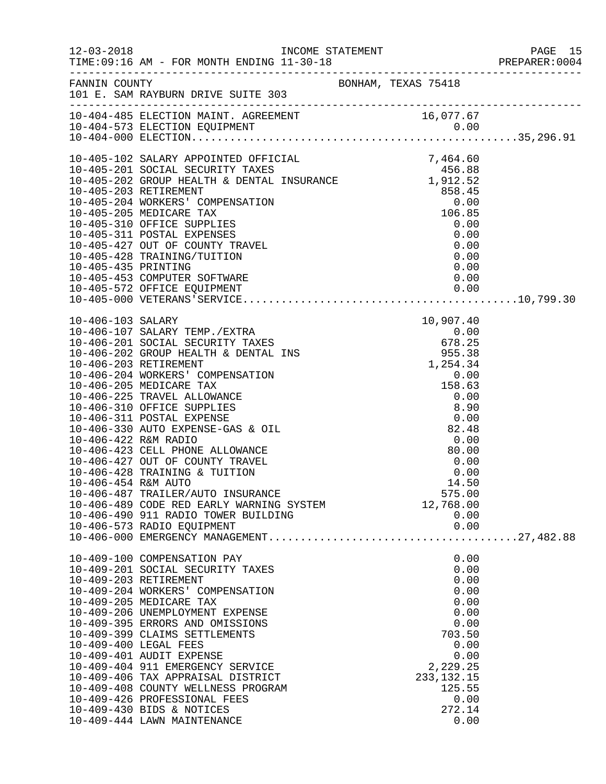|                                             |                                                                                                                                                                                                                                                                                                                                                                                                                                                                                                                                |  |                                                                                                                                                | PREPARER: 0004 |
|---------------------------------------------|--------------------------------------------------------------------------------------------------------------------------------------------------------------------------------------------------------------------------------------------------------------------------------------------------------------------------------------------------------------------------------------------------------------------------------------------------------------------------------------------------------------------------------|--|------------------------------------------------------------------------------------------------------------------------------------------------|----------------|
|                                             | FANNIN COUNTY<br>101 E. SAM RAYBURN DRIVE SUITE 303                                                                                                                                                                                                                                                                                                                                                                                                                                                                            |  |                                                                                                                                                |                |
|                                             |                                                                                                                                                                                                                                                                                                                                                                                                                                                                                                                                |  |                                                                                                                                                |                |
|                                             | 10-405-102 SALARY APPOINTED OFFICIAL<br>10-405-102 SALARY APPOINTED OFFICIAL<br>10-405-201 SOCIAL SECURITY TAXES<br>10-405-202 GROUP HEALTH & DENTAL INSURANCE<br>1912.52<br>10-405-203 RETIREMENT<br>10-405-203 NEDICARE TAX<br>10-405-205<br>10-405-428 TRAINING/TUITION<br>10-405-435 PRINTING<br>10-405-453 COMPUTER SOFTWARE<br>10-405-572 OFFICE EQUIPMENT                                                                                                                                                               |  | 0.00<br>0.00                                                                                                                                   |                |
| 10-406-422 R&M RADIO<br>10-406-454 R&M AUTO | 10-406-423 CELL PHONE ALLOWANCE<br>10-406-427 OUT OF COUNTY TRAVEL<br>10-406-428 TRAINING & TUITION<br>10-406-487 TRAILER/AUTO INSURANCE<br>10-406-489 CODE RED EARLY WARNING SYSTEM<br>10-406-490 911 RADIO TOWER BUILDING<br>10-406-573 RADIO EQUIPMENT                                                                                                                                                                                                                                                                      |  | 0.00<br>80.00<br>0.00<br>0.00<br>14.50<br>575.00<br>12,768.00<br>0.00<br>0.00                                                                  |                |
|                                             | 10-409-100 COMPENSATION PAY<br>10-409-201 SOCIAL SECURITY TAXES<br>10-409-203 RETIREMENT<br>10-409-204 WORKERS' COMPENSATION<br>10-409-205 MEDICARE TAX<br>10-409-206 UNEMPLOYMENT EXPENSE<br>10-409-395 ERRORS AND OMISSIONS<br>10-409-399 CLAIMS SETTLEMENTS<br>10-409-400 LEGAL FEES<br>10-409-401 AUDIT EXPENSE<br>10-409-404 911 EMERGENCY SERVICE<br>10-409-406 TAX APPRAISAL DISTRICT<br>10-409-408 COUNTY WELLNESS PROGRAM<br>10-409-426 PROFESSIONAL FEES<br>10-409-430 BIDS & NOTICES<br>10-409-444 LAWN MAINTENANCE |  | 0.00<br>0.00<br>0.00<br>0.00<br>0.00<br>0.00<br>0.00<br>703.50<br>0.00<br>0.00<br>2,229.25<br>233, 132. 15<br>125.55<br>0.00<br>272.14<br>0.00 |                |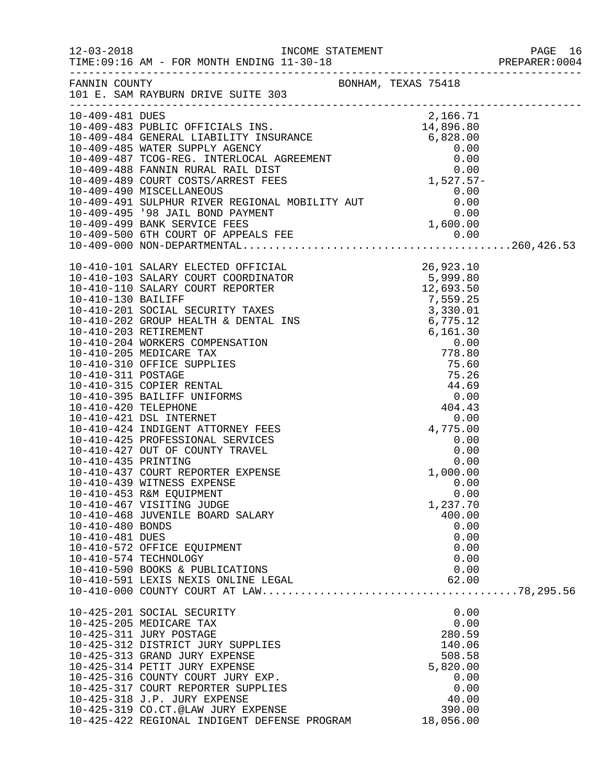| FANNIN COUNTY<br>101 E. SAM RAYBURN DRIVE SUITE 303<br>10-409-481 DUES<br>2,166.71<br>10-410-425 PROFESSIONAL SERVICES<br>0.00<br>10-410-427 OUT OF COUNTY TRAVEL<br>0.00<br>0.00<br>10-410-435 PRINTING<br>10-410-437 COURT REPORTER_EXPENSE<br>1,000.00<br>10-410-439 WITNESS EXPENSE<br>0.00<br>10-410-453 R&M EQUIPMENT<br>0.00<br>10-410-467 VISITING JUDGE<br>1,237.70<br>10-410-468 JUVENILE BOARD SALARY<br>400.00<br>10-410-480 BONDS<br>0.00<br>10-410-481 DUES<br>0.00<br>0.00<br>10-410-572 OFFICE EQUIPMENT<br>10-410-574 TECHNOLOGY<br>0.00<br>0.00<br>10-410-590 BOOKS & PUBLICATIONS<br>10-410-591 LEXIS NEXIS ONLINE LEGAL<br>62.00<br>0.00<br>10-425-201 SOCIAL SECURITY<br>10-425-205 MEDICARE TAX<br>0.00<br>10-425-311 JURY POSTAGE<br>280.59<br>10-425-312 DISTRICT JURY SUPPLIES<br>140.06<br>508.58<br>10-425-313 GRAND JURY EXPENSE<br>10-425-314 PETIT JURY EXPENSE<br>5,820.00<br>10-425-316 COUNTY COURT JURY EXP.<br>0.00<br>10-425-317 COURT REPORTER SUPPLIES<br>0.00<br>10-425-318 J.P. JURY EXPENSE<br>40.00<br>10-425-319 CO.CT.@LAW JURY EXPENSE<br>390.00<br>10-425-422 REGIONAL INDIGENT DEFENSE PROGRAM |  |           |  |
|-----------------------------------------------------------------------------------------------------------------------------------------------------------------------------------------------------------------------------------------------------------------------------------------------------------------------------------------------------------------------------------------------------------------------------------------------------------------------------------------------------------------------------------------------------------------------------------------------------------------------------------------------------------------------------------------------------------------------------------------------------------------------------------------------------------------------------------------------------------------------------------------------------------------------------------------------------------------------------------------------------------------------------------------------------------------------------------------------------------------------------------------------|--|-----------|--|
|                                                                                                                                                                                                                                                                                                                                                                                                                                                                                                                                                                                                                                                                                                                                                                                                                                                                                                                                                                                                                                                                                                                                               |  |           |  |
|                                                                                                                                                                                                                                                                                                                                                                                                                                                                                                                                                                                                                                                                                                                                                                                                                                                                                                                                                                                                                                                                                                                                               |  |           |  |
|                                                                                                                                                                                                                                                                                                                                                                                                                                                                                                                                                                                                                                                                                                                                                                                                                                                                                                                                                                                                                                                                                                                                               |  |           |  |
|                                                                                                                                                                                                                                                                                                                                                                                                                                                                                                                                                                                                                                                                                                                                                                                                                                                                                                                                                                                                                                                                                                                                               |  |           |  |
|                                                                                                                                                                                                                                                                                                                                                                                                                                                                                                                                                                                                                                                                                                                                                                                                                                                                                                                                                                                                                                                                                                                                               |  |           |  |
|                                                                                                                                                                                                                                                                                                                                                                                                                                                                                                                                                                                                                                                                                                                                                                                                                                                                                                                                                                                                                                                                                                                                               |  |           |  |
|                                                                                                                                                                                                                                                                                                                                                                                                                                                                                                                                                                                                                                                                                                                                                                                                                                                                                                                                                                                                                                                                                                                                               |  |           |  |
|                                                                                                                                                                                                                                                                                                                                                                                                                                                                                                                                                                                                                                                                                                                                                                                                                                                                                                                                                                                                                                                                                                                                               |  |           |  |
|                                                                                                                                                                                                                                                                                                                                                                                                                                                                                                                                                                                                                                                                                                                                                                                                                                                                                                                                                                                                                                                                                                                                               |  |           |  |
|                                                                                                                                                                                                                                                                                                                                                                                                                                                                                                                                                                                                                                                                                                                                                                                                                                                                                                                                                                                                                                                                                                                                               |  |           |  |
|                                                                                                                                                                                                                                                                                                                                                                                                                                                                                                                                                                                                                                                                                                                                                                                                                                                                                                                                                                                                                                                                                                                                               |  |           |  |
|                                                                                                                                                                                                                                                                                                                                                                                                                                                                                                                                                                                                                                                                                                                                                                                                                                                                                                                                                                                                                                                                                                                                               |  |           |  |
|                                                                                                                                                                                                                                                                                                                                                                                                                                                                                                                                                                                                                                                                                                                                                                                                                                                                                                                                                                                                                                                                                                                                               |  |           |  |
|                                                                                                                                                                                                                                                                                                                                                                                                                                                                                                                                                                                                                                                                                                                                                                                                                                                                                                                                                                                                                                                                                                                                               |  |           |  |
|                                                                                                                                                                                                                                                                                                                                                                                                                                                                                                                                                                                                                                                                                                                                                                                                                                                                                                                                                                                                                                                                                                                                               |  |           |  |
|                                                                                                                                                                                                                                                                                                                                                                                                                                                                                                                                                                                                                                                                                                                                                                                                                                                                                                                                                                                                                                                                                                                                               |  |           |  |
|                                                                                                                                                                                                                                                                                                                                                                                                                                                                                                                                                                                                                                                                                                                                                                                                                                                                                                                                                                                                                                                                                                                                               |  |           |  |
|                                                                                                                                                                                                                                                                                                                                                                                                                                                                                                                                                                                                                                                                                                                                                                                                                                                                                                                                                                                                                                                                                                                                               |  |           |  |
|                                                                                                                                                                                                                                                                                                                                                                                                                                                                                                                                                                                                                                                                                                                                                                                                                                                                                                                                                                                                                                                                                                                                               |  |           |  |
|                                                                                                                                                                                                                                                                                                                                                                                                                                                                                                                                                                                                                                                                                                                                                                                                                                                                                                                                                                                                                                                                                                                                               |  |           |  |
|                                                                                                                                                                                                                                                                                                                                                                                                                                                                                                                                                                                                                                                                                                                                                                                                                                                                                                                                                                                                                                                                                                                                               |  |           |  |
|                                                                                                                                                                                                                                                                                                                                                                                                                                                                                                                                                                                                                                                                                                                                                                                                                                                                                                                                                                                                                                                                                                                                               |  |           |  |
|                                                                                                                                                                                                                                                                                                                                                                                                                                                                                                                                                                                                                                                                                                                                                                                                                                                                                                                                                                                                                                                                                                                                               |  |           |  |
|                                                                                                                                                                                                                                                                                                                                                                                                                                                                                                                                                                                                                                                                                                                                                                                                                                                                                                                                                                                                                                                                                                                                               |  |           |  |
|                                                                                                                                                                                                                                                                                                                                                                                                                                                                                                                                                                                                                                                                                                                                                                                                                                                                                                                                                                                                                                                                                                                                               |  |           |  |
|                                                                                                                                                                                                                                                                                                                                                                                                                                                                                                                                                                                                                                                                                                                                                                                                                                                                                                                                                                                                                                                                                                                                               |  |           |  |
|                                                                                                                                                                                                                                                                                                                                                                                                                                                                                                                                                                                                                                                                                                                                                                                                                                                                                                                                                                                                                                                                                                                                               |  |           |  |
|                                                                                                                                                                                                                                                                                                                                                                                                                                                                                                                                                                                                                                                                                                                                                                                                                                                                                                                                                                                                                                                                                                                                               |  |           |  |
|                                                                                                                                                                                                                                                                                                                                                                                                                                                                                                                                                                                                                                                                                                                                                                                                                                                                                                                                                                                                                                                                                                                                               |  |           |  |
|                                                                                                                                                                                                                                                                                                                                                                                                                                                                                                                                                                                                                                                                                                                                                                                                                                                                                                                                                                                                                                                                                                                                               |  |           |  |
|                                                                                                                                                                                                                                                                                                                                                                                                                                                                                                                                                                                                                                                                                                                                                                                                                                                                                                                                                                                                                                                                                                                                               |  |           |  |
|                                                                                                                                                                                                                                                                                                                                                                                                                                                                                                                                                                                                                                                                                                                                                                                                                                                                                                                                                                                                                                                                                                                                               |  |           |  |
|                                                                                                                                                                                                                                                                                                                                                                                                                                                                                                                                                                                                                                                                                                                                                                                                                                                                                                                                                                                                                                                                                                                                               |  |           |  |
|                                                                                                                                                                                                                                                                                                                                                                                                                                                                                                                                                                                                                                                                                                                                                                                                                                                                                                                                                                                                                                                                                                                                               |  |           |  |
|                                                                                                                                                                                                                                                                                                                                                                                                                                                                                                                                                                                                                                                                                                                                                                                                                                                                                                                                                                                                                                                                                                                                               |  |           |  |
|                                                                                                                                                                                                                                                                                                                                                                                                                                                                                                                                                                                                                                                                                                                                                                                                                                                                                                                                                                                                                                                                                                                                               |  |           |  |
|                                                                                                                                                                                                                                                                                                                                                                                                                                                                                                                                                                                                                                                                                                                                                                                                                                                                                                                                                                                                                                                                                                                                               |  |           |  |
|                                                                                                                                                                                                                                                                                                                                                                                                                                                                                                                                                                                                                                                                                                                                                                                                                                                                                                                                                                                                                                                                                                                                               |  |           |  |
|                                                                                                                                                                                                                                                                                                                                                                                                                                                                                                                                                                                                                                                                                                                                                                                                                                                                                                                                                                                                                                                                                                                                               |  |           |  |
|                                                                                                                                                                                                                                                                                                                                                                                                                                                                                                                                                                                                                                                                                                                                                                                                                                                                                                                                                                                                                                                                                                                                               |  |           |  |
|                                                                                                                                                                                                                                                                                                                                                                                                                                                                                                                                                                                                                                                                                                                                                                                                                                                                                                                                                                                                                                                                                                                                               |  |           |  |
|                                                                                                                                                                                                                                                                                                                                                                                                                                                                                                                                                                                                                                                                                                                                                                                                                                                                                                                                                                                                                                                                                                                                               |  |           |  |
|                                                                                                                                                                                                                                                                                                                                                                                                                                                                                                                                                                                                                                                                                                                                                                                                                                                                                                                                                                                                                                                                                                                                               |  |           |  |
|                                                                                                                                                                                                                                                                                                                                                                                                                                                                                                                                                                                                                                                                                                                                                                                                                                                                                                                                                                                                                                                                                                                                               |  |           |  |
|                                                                                                                                                                                                                                                                                                                                                                                                                                                                                                                                                                                                                                                                                                                                                                                                                                                                                                                                                                                                                                                                                                                                               |  |           |  |
|                                                                                                                                                                                                                                                                                                                                                                                                                                                                                                                                                                                                                                                                                                                                                                                                                                                                                                                                                                                                                                                                                                                                               |  |           |  |
|                                                                                                                                                                                                                                                                                                                                                                                                                                                                                                                                                                                                                                                                                                                                                                                                                                                                                                                                                                                                                                                                                                                                               |  |           |  |
|                                                                                                                                                                                                                                                                                                                                                                                                                                                                                                                                                                                                                                                                                                                                                                                                                                                                                                                                                                                                                                                                                                                                               |  |           |  |
|                                                                                                                                                                                                                                                                                                                                                                                                                                                                                                                                                                                                                                                                                                                                                                                                                                                                                                                                                                                                                                                                                                                                               |  |           |  |
|                                                                                                                                                                                                                                                                                                                                                                                                                                                                                                                                                                                                                                                                                                                                                                                                                                                                                                                                                                                                                                                                                                                                               |  |           |  |
|                                                                                                                                                                                                                                                                                                                                                                                                                                                                                                                                                                                                                                                                                                                                                                                                                                                                                                                                                                                                                                                                                                                                               |  |           |  |
|                                                                                                                                                                                                                                                                                                                                                                                                                                                                                                                                                                                                                                                                                                                                                                                                                                                                                                                                                                                                                                                                                                                                               |  |           |  |
|                                                                                                                                                                                                                                                                                                                                                                                                                                                                                                                                                                                                                                                                                                                                                                                                                                                                                                                                                                                                                                                                                                                                               |  | 18,056.00 |  |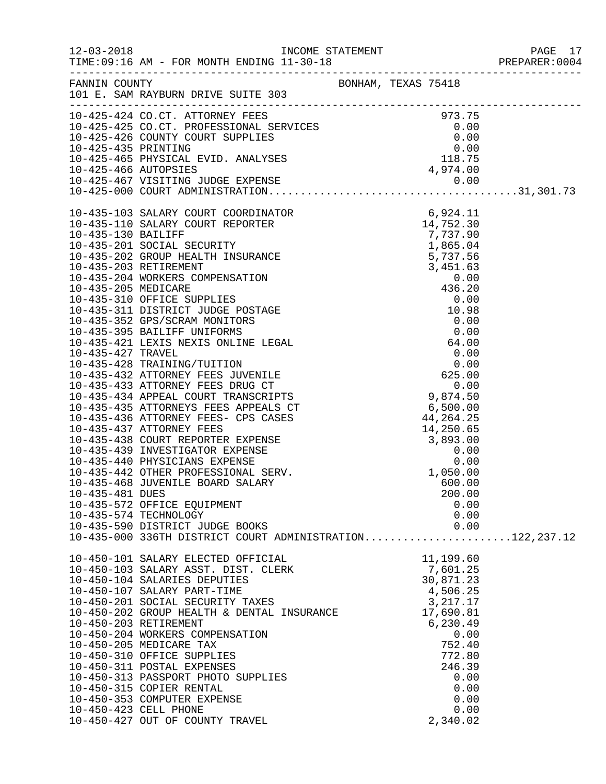|                 |                                                                                                                                                                                                                                                                                                                                                                                                                                                                                                                                                             |                                                                                                                                                          | PREPARER: 0004 |
|-----------------|-------------------------------------------------------------------------------------------------------------------------------------------------------------------------------------------------------------------------------------------------------------------------------------------------------------------------------------------------------------------------------------------------------------------------------------------------------------------------------------------------------------------------------------------------------------|----------------------------------------------------------------------------------------------------------------------------------------------------------|----------------|
|                 | FANNIN COUNTY<br>101 E. SAM RAYBURN DRIVE SUITE 303                                                                                                                                                                                                                                                                                                                                                                                                                                                                                                         |                                                                                                                                                          |                |
|                 | 10-425-425 CO.CT. ATTORNEY FEES<br>10-425-425 CO.CT. PROFESSIONAL SERVICES<br>10-425-426 COUNTY COURT SUPPLIES<br>10-425-436 ERINTING<br>10-425-436 PHYSICAL EVID. ANALYSES<br>10-425-465 PHYSICAL EVID. ANALYSES<br>10-425-466 AUTOPSIES<br>                                                                                                                                                                                                                                                                                                               |                                                                                                                                                          |                |
| 10-435-481 DUES | $[10-425-000\,\,\mathrm{COMHMISTRAT1ON}\,\,\, 10-435-130\,\,\mathrm{SLARY}\,\,\mathrm{COUT}\,\,\, \mathrm{REDNTER}\,\,\, 6.924\,\,\mathrm{11}\,\, 14,752\,\,\mathrm{.30}\,\,\mathrm{10-435-130\,\,\mathrm{DLALRF}\,\,\, \mathrm{COUT}\,\,\, \mathrm{REORTER}\,\,\, 737\,\,\mathrm{.73}\,\,\mathrm{9-130\,\,\mathrm{MLTFF}}\,\,\, 737\,\,\mathrm{.75}\,\,\mathrm{9-130\,\,\mathrm{MLTFF}}\,\,\, 737\$<br>10-435-572 OFFICE EQUIPMENT<br>10-435-574 TECHNOLOGY<br>10-435-590 DISTRICT JUDGE BOOKS<br>10-435-000 336TH DISTRICT COURT ADMINISTRATION122,237.12 | 200.00<br>0.00<br>0.00<br>0.00                                                                                                                           |                |
|                 | 10-450-101 SALARY ELECTED OFFICIAL<br>10-450-103 SALARY ASST. DIST. CLERK<br>10-450-104 SALARIES DEPUTIES<br>10-450-107 SALARY PART-TIME<br>10-450-201 SOCIAL SECURITY TAXES<br>10-450-202 GROUP HEALTH & DENTAL INSURANCE 17,690.81<br>10-450-203 RETIREMENT<br>10-450-204 WORKERS COMPENSATION<br>10-450-205 MEDICARE TAX<br>10-450-310 OFFICE SUPPLIES<br>10-450-311 POSTAL EXPENSES<br>10-450-313 PASSPORT PHOTO SUPPLIES<br>10-450-315 COPIER RENTAL<br>10-450-353 COMPUTER EXPENSE<br>10-450-423 CELL PHONE<br>10-450-427 OUT OF COUNTY TRAVEL        | 11,199.60<br>7,601.25<br>30,871.23<br>4,506.25<br>3,217.17<br>6,230.49<br>0.00<br>752.40<br>772.80<br>246.39<br>0.00<br>0.00<br>0.00<br>0.00<br>2,340.02 |                |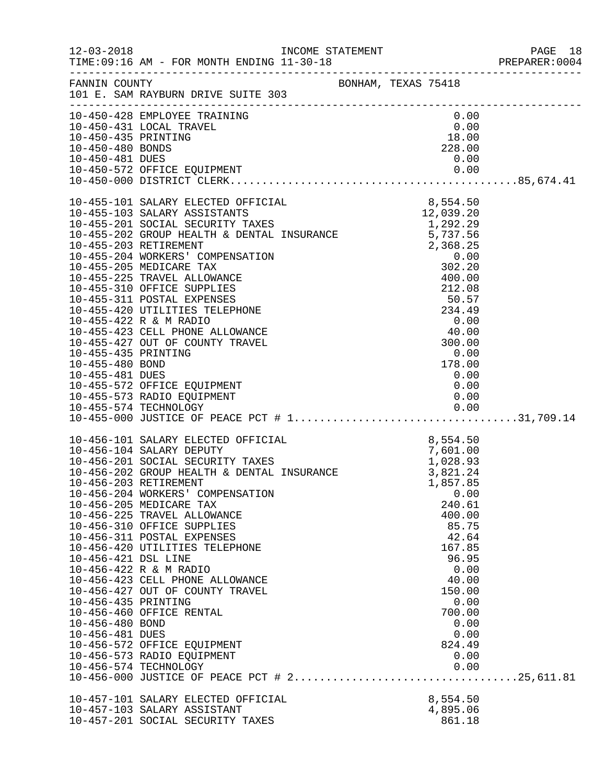|                     |                                                                                                                                                                                                                              |                               |  |                    |      | PREPARER: 0004 |
|---------------------|------------------------------------------------------------------------------------------------------------------------------------------------------------------------------------------------------------------------------|-------------------------------|--|--------------------|------|----------------|
|                     | FANNIN COUNTY BONHAM, TEXAS 75418<br>101 E. SAM RAYBURN DRIVE SUITE 303                                                                                                                                                      |                               |  |                    |      |                |
|                     | 10-450-428 EMPLOYEE TRAINING<br>10-450-431 LOCAL TRAVEL                                                                                                                                                                      | $0.00$<br>$18.00$<br>$228.00$ |  | 0.00               |      |                |
| 10-450-435 PRINTING |                                                                                                                                                                                                                              |                               |  |                    |      |                |
| 10-450-480 BONDS    |                                                                                                                                                                                                                              |                               |  |                    |      |                |
|                     |                                                                                                                                                                                                                              |                               |  |                    |      |                |
|                     |                                                                                                                                                                                                                              |                               |  |                    |      |                |
|                     |                                                                                                                                                                                                                              |                               |  |                    |      |                |
|                     |                                                                                                                                                                                                                              |                               |  |                    |      |                |
|                     |                                                                                                                                                                                                                              |                               |  |                    |      |                |
|                     |                                                                                                                                                                                                                              |                               |  |                    |      |                |
|                     |                                                                                                                                                                                                                              |                               |  |                    |      |                |
|                     |                                                                                                                                                                                                                              |                               |  |                    |      |                |
|                     |                                                                                                                                                                                                                              |                               |  |                    |      |                |
|                     |                                                                                                                                                                                                                              |                               |  |                    |      |                |
|                     |                                                                                                                                                                                                                              |                               |  |                    |      |                |
|                     |                                                                                                                                                                                                                              |                               |  |                    |      |                |
|                     |                                                                                                                                                                                                                              |                               |  |                    |      |                |
|                     |                                                                                                                                                                                                                              |                               |  |                    |      |                |
|                     |                                                                                                                                                                                                                              |                               |  |                    |      |                |
|                     |                                                                                                                                                                                                                              |                               |  |                    |      |                |
|                     | 10-455-573 RADIO EQUIPMENT                                                                                                                                                                                                   |                               |  | 0.00               |      |                |
|                     |                                                                                                                                                                                                                              |                               |  |                    |      |                |
|                     |                                                                                                                                                                                                                              |                               |  |                    |      |                |
|                     | 10-456-101 SALARY ELECTED OFFICIAL 8,554.50<br>10-456-104 SALARY DEPUTY 7<br>10-456-201 SOCIAL SECURITY TAXES 1,028.93<br>10-456-202 GROUP HEALTH & DENTAL INSURANCE 3,821.24<br>10-456-203 RETIREMENT<br>10-456-203 WORKERS |                               |  |                    |      |                |
|                     |                                                                                                                                                                                                                              |                               |  |                    |      |                |
|                     |                                                                                                                                                                                                                              |                               |  |                    |      |                |
|                     |                                                                                                                                                                                                                              |                               |  |                    |      |                |
|                     | 10-456-204 WORKERS' COMPENSATION                                                                                                                                                                                             |                               |  |                    | 0.00 |                |
|                     | 10-456-205 MEDICARE TAX                                                                                                                                                                                                      |                               |  | 240.61             |      |                |
|                     | 10-456-225 TRAVEL ALLOWANCE<br>10-456-310 OFFICE SUPPLIES                                                                                                                                                                    |                               |  | 400.00<br>85.75    |      |                |
|                     | 10-456-311 POSTAL EXPENSES                                                                                                                                                                                                   |                               |  | 42.64              |      |                |
|                     | 10-456-420 UTILITIES TELEPHONE                                                                                                                                                                                               |                               |  | 167.85             |      |                |
| 10-456-421 DSL LINE |                                                                                                                                                                                                                              |                               |  | 96.95              |      |                |
|                     | 10-456-422 R & M RADIO                                                                                                                                                                                                       |                               |  |                    | 0.00 |                |
|                     | 10-456-423 CELL PHONE ALLOWANCE<br>10-456-427 OUT OF COUNTY TRAVEL                                                                                                                                                           |                               |  | 40.00<br>150.00    |      |                |
| 10-456-435 PRINTING |                                                                                                                                                                                                                              |                               |  |                    | 0.00 |                |
|                     | 10-456-460 OFFICE RENTAL                                                                                                                                                                                                     |                               |  | 700.00             |      |                |
| 10-456-480 BOND     |                                                                                                                                                                                                                              |                               |  |                    | 0.00 |                |
| 10-456-481 DUES     |                                                                                                                                                                                                                              |                               |  | 824.49             | 0.00 |                |
|                     | 10-456-572 OFFICE EQUIPMENT<br>10-456-573 RADIO EQUIPMENT                                                                                                                                                                    |                               |  |                    | 0.00 |                |
|                     | 10-456-574 TECHNOLOGY                                                                                                                                                                                                        |                               |  |                    | 0.00 |                |
|                     |                                                                                                                                                                                                                              |                               |  |                    |      |                |
|                     | 10-457-101 SALARY ELECTED OFFICIAL                                                                                                                                                                                           |                               |  | 8,554.50           |      |                |
|                     | 10-457-103 SALARY ASSISTANT<br>10-457-201 SOCIAL SECURITY TAXES                                                                                                                                                              |                               |  | 4,895.06<br>861.18 |      |                |
|                     |                                                                                                                                                                                                                              |                               |  |                    |      |                |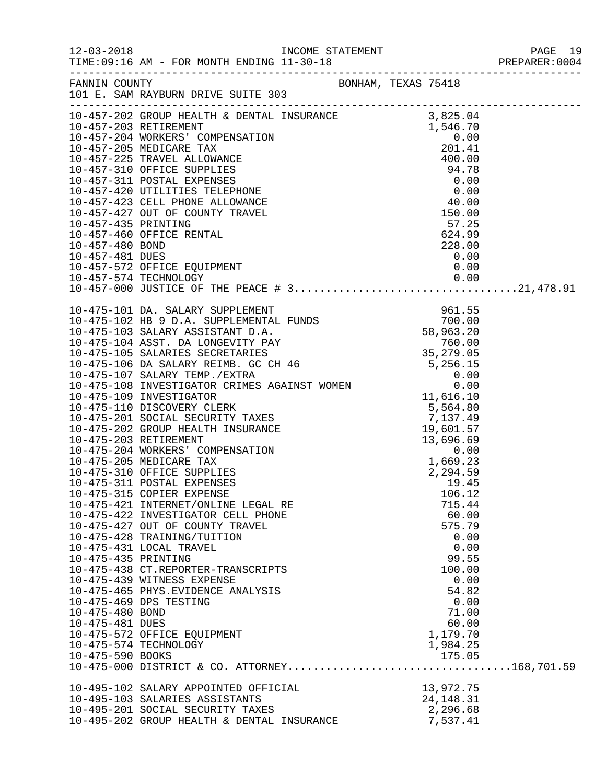|                                                           |                                                                                                                                                                                                                                                                                                                                                                                                |                                                                                                                                           | PREPARER:0004 |
|-----------------------------------------------------------|------------------------------------------------------------------------------------------------------------------------------------------------------------------------------------------------------------------------------------------------------------------------------------------------------------------------------------------------------------------------------------------------|-------------------------------------------------------------------------------------------------------------------------------------------|---------------|
|                                                           | FANNIN COUNTY BONHAM, TEXAS 75418<br>101 E. SAM RAYBURN DRIVE SUITE 303                                                                                                                                                                                                                                                                                                                        |                                                                                                                                           |               |
|                                                           |                                                                                                                                                                                                                                                                                                                                                                                                |                                                                                                                                           |               |
| 10-475-435 PRINTING<br>10-475-480 BOND<br>10-475-481 DUES | 10-475-315 COPIER EXPENSE<br>10-475-421 INTERNET/ONLINE LEGAL RE<br>10-475-422 INVESTIGATOR CELL PHONE<br>10-475-427 OUT OF COUNTY TRAVEL<br>10-475-428 TRAINING/TUITION<br>10-475-431 LOCAL TRAVEL<br>10-475-438 CT.REPORTER-TRANSCRIPTS<br>10-475-439 WITNESS EXPENSE<br>10-475-465 PHYS.EVIDENCE ANALYSIS<br>10-475-469 DPS TESTING<br>10-475-572 OFFICE EQUIPMENT<br>10-475-574 TECHNOLOGY | 106.12<br>715.44<br>60.00<br>575.79<br>0.00<br>0.00<br>99.55<br>100.00<br>0.00<br>54.82<br>0.00<br>71.00<br>60.00<br>1,179.70<br>1,984.25 |               |
|                                                           | 10-495-102 SALARY APPOINTED OFFICIAL<br>10-495-103 SALARIES ASSISTANTS<br>10-495-201 SOCIAL SECURITY TAXES<br>10-495-202 GROUP HEALTH & DENTAL INSURANCE                                                                                                                                                                                                                                       | 13,972.75<br>24, 148. 31<br>2,296.68<br>7,537.41                                                                                          |               |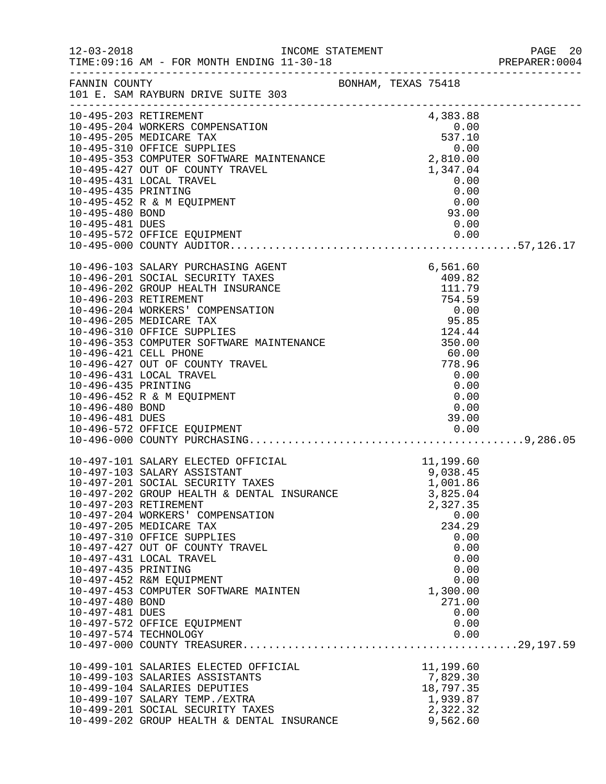|                     |                                                                                                                                                                                            |  |                                               | PREPARER: 0004 |
|---------------------|--------------------------------------------------------------------------------------------------------------------------------------------------------------------------------------------|--|-----------------------------------------------|----------------|
|                     | FANNIN COUNTY BONHAM, TEXAS 75418<br>101 E. SAM RAYBURN DRIVE SUITE 303                                                                                                                    |  |                                               |                |
|                     |                                                                                                                                                                                            |  |                                               |                |
|                     | 10-495-203 RETIREMENT                                                                                                                                                                      |  | 4,383.88                                      |                |
|                     |                                                                                                                                                                                            |  | $\begin{array}{c} 0.00 \\ 537.10 \end{array}$ |                |
|                     |                                                                                                                                                                                            |  |                                               |                |
|                     |                                                                                                                                                                                            |  |                                               |                |
|                     | 10-495-204 WORKERS COMPENSAILON<br>10-495-205 MEDICARE TAX<br>10-495-310 OFFICE SUPPLIES 0.00<br>10-495-353 COMPUTER SOFTWARE MAINTENANCE 2,810.00<br>1,347.04<br>1,347.04<br>0.00<br>0.00 |  |                                               |                |
|                     |                                                                                                                                                                                            |  |                                               |                |
|                     |                                                                                                                                                                                            |  |                                               |                |
| 10-495-435 PRINTING |                                                                                                                                                                                            |  | 0.00                                          |                |
| 10-495-480 BOND     | 10-495-452 R & M EQUIPMENT                                                                                                                                                                 |  | $0.00$<br>93.00                               |                |
| 10-495-481 DUES     |                                                                                                                                                                                            |  | 0.00                                          |                |
|                     |                                                                                                                                                                                            |  |                                               |                |
|                     |                                                                                                                                                                                            |  |                                               |                |
|                     |                                                                                                                                                                                            |  |                                               |                |
|                     | 10-496-103 SALARY PURCHASING AGENT                                                                                                                                                         |  | 6,561.60                                      |                |
|                     | 10-496-201 SOCIAL SECURITY TAXES                                                                                                                                                           |  | 409.82                                        |                |
|                     | 10-496-202 GROUP HEALTH INSURANCE                                                                                                                                                          |  | 111.79                                        |                |
|                     | 10-496-203 RETIREMENT                                                                                                                                                                      |  |                                               |                |
|                     | 10-496-204 WORKERS' COMPENSATION                                                                                                                                                           |  |                                               |                |
|                     | 10-496-205 MEDICARE TAX                                                                                                                                                                    |  |                                               |                |
|                     | 4NCE<br>10N (194.55)<br>100<br>0.00 95.85<br>124.44<br>MAINTENANCE<br>350.00<br>60.00<br>60.00<br>778.96<br>0.00<br>10-496-310 OFFICE SUPPLIES                                             |  |                                               |                |
|                     | 10-496-353 COMPUTER SOFTWARE MAINTENANCE                                                                                                                                                   |  |                                               |                |
|                     | 10-496-421 CELL PHONE                                                                                                                                                                      |  |                                               |                |
|                     | 10-496-427 OUT OF COUNTY TRAVEL<br>10-496-431 LOCAL TRAVEL                                                                                                                                 |  |                                               |                |
| 10-496-435 PRINTING |                                                                                                                                                                                            |  | 0.00                                          |                |
|                     | 10-496-452 R & M EQUIPMENT                                                                                                                                                                 |  | 0.00                                          |                |
| 10-496-480 BOND     |                                                                                                                                                                                            |  | 0.00                                          |                |
| 10-496-481 DUES     |                                                                                                                                                                                            |  | 39.00                                         |                |
|                     | 10-496-572 OFFICE EQUIPMENT                                                                                                                                                                |  | $39.00$<br>0.00                               |                |
|                     |                                                                                                                                                                                            |  |                                               |                |
|                     |                                                                                                                                                                                            |  |                                               |                |
|                     | 10-497-101 SALARY ELECTED OFFICIAL                                                                                                                                                         |  | 11,199.60                                     |                |
|                     | 10-497-103 SALARY ASSISTANT                                                                                                                                                                |  | 9,038.45                                      |                |
|                     | 10-497-201 SOCIAL SECURITY TAXES                                                                                                                                                           |  | 1,001.86                                      |                |
|                     | 10-497-202 GROUP HEALTH & DENTAL INSURANCE                                                                                                                                                 |  | 3,825.04                                      |                |
|                     | 10-497-203 RETIREMENT                                                                                                                                                                      |  | 2,327.35                                      |                |
|                     | 10-497-204 WORKERS' COMPENSATION                                                                                                                                                           |  | 0.00                                          |                |
|                     | 10-497-205 MEDICARE TAX<br>10-497-310 OFFICE SUPPLIES                                                                                                                                      |  | 234.29<br>0.00                                |                |
|                     | 10-497-427 OUT OF COUNTY TRAVEL                                                                                                                                                            |  | 0.00                                          |                |
|                     | 10-497-431 LOCAL TRAVEL                                                                                                                                                                    |  | 0.00                                          |                |
| 10-497-435 PRINTING |                                                                                                                                                                                            |  | 0.00                                          |                |
|                     | 10-497-452 R&M EQUIPMENT                                                                                                                                                                   |  | 0.00                                          |                |
|                     | 10-497-453 COMPUTER SOFTWARE MAINTEN                                                                                                                                                       |  | 1,300.00                                      |                |
| 10-497-480 BOND     |                                                                                                                                                                                            |  | 271.00                                        |                |
| 10-497-481 DUES     |                                                                                                                                                                                            |  | 0.00                                          |                |
|                     | 10-497-572 OFFICE EQUIPMENT                                                                                                                                                                |  | 0.00                                          |                |
|                     | 10-497-574 TECHNOLOGY                                                                                                                                                                      |  | 0.00                                          |                |
|                     |                                                                                                                                                                                            |  |                                               |                |
|                     |                                                                                                                                                                                            |  |                                               |                |
|                     | 10-499-101 SALARIES ELECTED OFFICIAL                                                                                                                                                       |  | 11,199.60                                     |                |
|                     | 10-499-103 SALARIES ASSISTANTS<br>10-499-104 SALARIES DEPUTIES                                                                                                                             |  | 7,829.30<br>18,797.35                         |                |
|                     | 10-499-107 SALARY TEMP./EXTRA                                                                                                                                                              |  | 1,939.87                                      |                |
|                     | 10-499-201 SOCIAL SECURITY TAXES                                                                                                                                                           |  | 2,322.32                                      |                |
|                     | 10-499-202 GROUP HEALTH & DENTAL INSURANCE                                                                                                                                                 |  | 9,562.60                                      |                |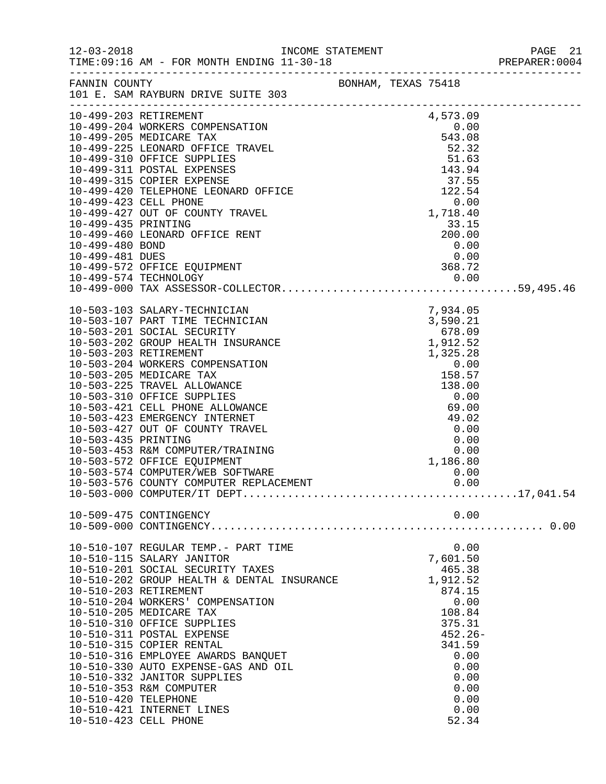|                      |                                                                |  |                | PREPARER: 0004 |
|----------------------|----------------------------------------------------------------|--|----------------|----------------|
|                      | FANNIN COUNTY<br>101 E. SAM RAYBURN DRIVE SUITE 303            |  |                |                |
|                      |                                                                |  |                |                |
|                      |                                                                |  |                |                |
|                      |                                                                |  |                |                |
|                      |                                                                |  |                |                |
|                      |                                                                |  |                |                |
|                      |                                                                |  |                |                |
|                      |                                                                |  |                |                |
|                      |                                                                |  |                |                |
|                      |                                                                |  |                |                |
|                      |                                                                |  |                |                |
|                      |                                                                |  |                |                |
|                      |                                                                |  |                |                |
|                      |                                                                |  |                |                |
|                      |                                                                |  |                |                |
|                      |                                                                |  |                |                |
|                      |                                                                |  |                |                |
|                      |                                                                |  |                |                |
|                      |                                                                |  |                |                |
|                      |                                                                |  |                |                |
|                      |                                                                |  |                |                |
|                      |                                                                |  |                |                |
|                      |                                                                |  |                |                |
|                      |                                                                |  |                |                |
|                      |                                                                |  |                |                |
|                      |                                                                |  |                |                |
|                      |                                                                |  |                |                |
|                      |                                                                |  |                |                |
|                      |                                                                |  |                |                |
|                      |                                                                |  |                |                |
|                      |                                                                |  |                |                |
|                      | 10-503-574 COMPUTER/WEB SOFTWARE                               |  | 0.00           |                |
|                      | 10-503-576 COUNTY COMPUTER REPLACEMENT                         |  | 0.00           |                |
|                      |                                                                |  |                |                |
|                      | 10-509-475 CONTINGENCY                                         |  | 0.00           |                |
|                      |                                                                |  |                |                |
|                      | 10-510-107 REGULAR TEMP.- PART TIME                            |  | 0.00           |                |
|                      | 10-510-115 SALARY JANITOR                                      |  | 7,601.50       |                |
|                      | 10-510-201 SOCIAL SECURITY TAXES                               |  | 465.38         |                |
|                      | 10-510-202 GROUP HEALTH & DENTAL INSURANCE                     |  | 1,912.52       |                |
|                      | 10-510-203 RETIREMENT                                          |  | 874.15         |                |
|                      | 10-510-204 WORKERS' COMPENSATION                               |  | 0.00           |                |
|                      | 10-510-205 MEDICARE TAX                                        |  | 108.84         |                |
|                      | 10-510-310 OFFICE SUPPLIES                                     |  | 375.31         |                |
|                      | 10-510-311 POSTAL EXPENSE                                      |  | $452.26 -$     |                |
|                      | 10-510-315 COPIER RENTAL<br>10-510-316 EMPLOYEE AWARDS BANQUET |  | 341.59<br>0.00 |                |
|                      | 10-510-330 AUTO EXPENSE-GAS AND OIL                            |  | 0.00           |                |
|                      | 10-510-332 JANITOR SUPPLIES                                    |  | 0.00           |                |
|                      | 10-510-353 R&M COMPUTER                                        |  | 0.00           |                |
| 10-510-420 TELEPHONE |                                                                |  | 0.00           |                |
|                      | 10-510-421 INTERNET LINES                                      |  | 0.00           |                |
|                      | 10-510-423 CELL PHONE                                          |  | 52.34          |                |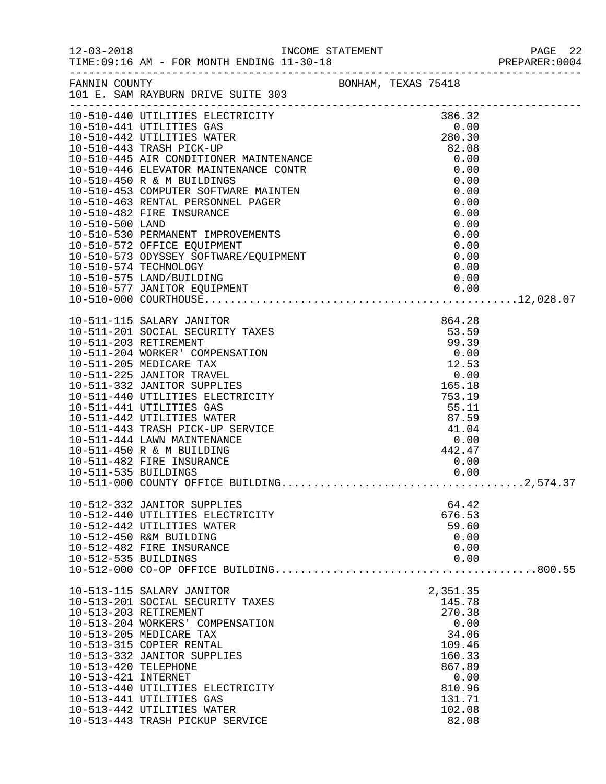|                      |                                                                                                                                                                                                                                                  |       |                           |                   |              | PREPARER: 0004 |
|----------------------|--------------------------------------------------------------------------------------------------------------------------------------------------------------------------------------------------------------------------------------------------|-------|---------------------------|-------------------|--------------|----------------|
|                      | FANNIN COUNTY<br>101 E. SAM RAYBURN DRIVE SUITE 303                                                                                                                                                                                              |       |                           |                   |              |                |
|                      | 10-510-440 UTILITIES ELECTRICITY 386.32<br>10-510-441 UTILITIES GAS 0.00<br>10-510-442 UTILITIES WATER 280.30<br>10-510-443 TRASH PICK-UP 82.08                                                                                                  |       |                           | 386.32            |              |                |
|                      |                                                                                                                                                                                                                                                  |       |                           |                   |              |                |
|                      |                                                                                                                                                                                                                                                  |       |                           |                   |              |                |
|                      |                                                                                                                                                                                                                                                  |       |                           |                   |              |                |
|                      | 10-510-443 TRASH PICK-UP<br>10-510-445 AIR CONDITIONER MAINTENANCE<br>10-510-446 ELEVATOR MAINTENANCE CONTR<br>10-510-450 R & M BUILDINGS<br>10-510-453 COMPUTER SOFTWARE MAINTEN<br>10-510-463 RENTAL PERSONNEL PAGER<br>10-510-482 FIRE INSURA |       |                           | 0.00              |              |                |
|                      |                                                                                                                                                                                                                                                  |       |                           |                   | 0.00         |                |
|                      |                                                                                                                                                                                                                                                  |       |                           |                   | 0.00         |                |
|                      |                                                                                                                                                                                                                                                  |       |                           |                   | 0.00<br>0.00 |                |
|                      |                                                                                                                                                                                                                                                  |       |                           |                   | 0.00         |                |
|                      |                                                                                                                                                                                                                                                  |       |                           |                   | 0.00         |                |
|                      |                                                                                                                                                                                                                                                  |       |                           |                   | 0.00         |                |
|                      |                                                                                                                                                                                                                                                  |       |                           |                   | 0.00         |                |
|                      |                                                                                                                                                                                                                                                  |       |                           | 0.00              |              |                |
|                      | 10-510-574 TECHNOLOGY                                                                                                                                                                                                                            |       |                           |                   | 0.00         |                |
|                      | 10-510-575 LAND/BUILDING                                                                                                                                                                                                                         |       |                           | 0.00              |              |                |
|                      |                                                                                                                                                                                                                                                  |       |                           |                   |              |                |
|                      |                                                                                                                                                                                                                                                  |       |                           |                   |              |                |
|                      | 10-511-115 SALARY JANITOR                                                                                                                                                                                                                        | TAXES |                           | 864.28            |              |                |
|                      | 10-511-201 SOCIAL SECURITY TAXES                                                                                                                                                                                                                 |       |                           | 53.59             |              |                |
|                      | 10-511-203 RETIREMENT                                                                                                                                                                                                                            |       |                           | 99.39             |              |                |
|                      | 10-511-204 WORKER' COMPENSATION                                                                                                                                                                                                                  |       |                           | $0.00$<br>$12.53$ |              |                |
|                      | 10-511-205 MEDICARE TAX                                                                                                                                                                                                                          |       |                           |                   |              |                |
|                      | 10-511-225 JANITOR TRAVEL                                                                                                                                                                                                                        |       |                           | 2.53              |              |                |
|                      | 10-511-332 JANITOR SUPPLIES                                                                                                                                                                                                                      |       |                           | 165.18            |              |                |
|                      | 10-511-440 UTILITIES ELECTRICITY                                                                                                                                                                                                                 |       |                           | 753.19            |              |                |
|                      | 10-511-441 UTILITIES GAS                                                                                                                                                                                                                         |       |                           |                   |              |                |
|                      | 10-511-442 UTILITIES WATER                                                                                                                                                                                                                       |       |                           |                   |              |                |
|                      | 10-511-443 TRASH PICK-UP SERVICE<br>10-511-444 LAWN MAINTENANCE                                                                                                                                                                                  |       | $55.11$<br>87.59<br>41.04 |                   |              |                |
|                      | 10-511-450 R & M BUILDING                                                                                                                                                                                                                        |       |                           | $0.00$<br>442.47  |              |                |
|                      | 10-511-482 FIRE INSURANCE                                                                                                                                                                                                                        |       |                           | 0.00              |              |                |
|                      |                                                                                                                                                                                                                                                  |       |                           |                   |              |                |
|                      |                                                                                                                                                                                                                                                  |       |                           |                   |              |                |
|                      |                                                                                                                                                                                                                                                  |       |                           | 64.42             |              |                |
|                      | 10-512-332 JANITOR SUPPLIES<br>10-512-440 UTILITIES ELECTRICITY                                                                                                                                                                                  |       |                           | 676.53            |              |                |
|                      | 10-512-442 UTILITIES WATER                                                                                                                                                                                                                       |       |                           | 59.60             |              |                |
|                      | 10-512-450 R&M BUILDING                                                                                                                                                                                                                          |       |                           | 0.00              |              |                |
|                      | 10-512-482 FIRE INSURANCE                                                                                                                                                                                                                        |       |                           |                   | 0.00         |                |
| 10-512-535 BUILDINGS |                                                                                                                                                                                                                                                  |       |                           | 0.00              |              |                |
|                      |                                                                                                                                                                                                                                                  |       |                           |                   |              |                |
|                      | 10-513-115 SALARY JANITOR                                                                                                                                                                                                                        |       |                           | 2,351.35          |              |                |
|                      | 10-513-201 SOCIAL SECURITY TAXES                                                                                                                                                                                                                 |       |                           | 145.78            |              |                |
|                      | 10-513-203 RETIREMENT                                                                                                                                                                                                                            |       |                           | 270.38            |              |                |
|                      | 10-513-204 WORKERS' COMPENSATION                                                                                                                                                                                                                 |       |                           | 0.00              |              |                |
|                      | 10-513-205 MEDICARE TAX                                                                                                                                                                                                                          |       |                           | 34.06             |              |                |
|                      | 10-513-315 COPIER RENTAL                                                                                                                                                                                                                         |       |                           | 109.46            |              |                |
|                      | 10-513-332 JANITOR SUPPLIES                                                                                                                                                                                                                      |       |                           | 160.33            |              |                |
| 10-513-420 TELEPHONE |                                                                                                                                                                                                                                                  |       |                           | 867.89            |              |                |
| 10-513-421 INTERNET  |                                                                                                                                                                                                                                                  |       |                           |                   | 0.00         |                |
|                      | 10-513-440 UTILITIES ELECTRICITY                                                                                                                                                                                                                 |       |                           | 810.96            |              |                |
|                      | 10-513-441 UTILITIES GAS                                                                                                                                                                                                                         |       |                           | 131.71            |              |                |
|                      | 10-513-442 UTILITIES WATER                                                                                                                                                                                                                       |       |                           | 102.08            |              |                |
|                      | 10-513-443 TRASH PICKUP SERVICE                                                                                                                                                                                                                  |       |                           | 82.08             |              |                |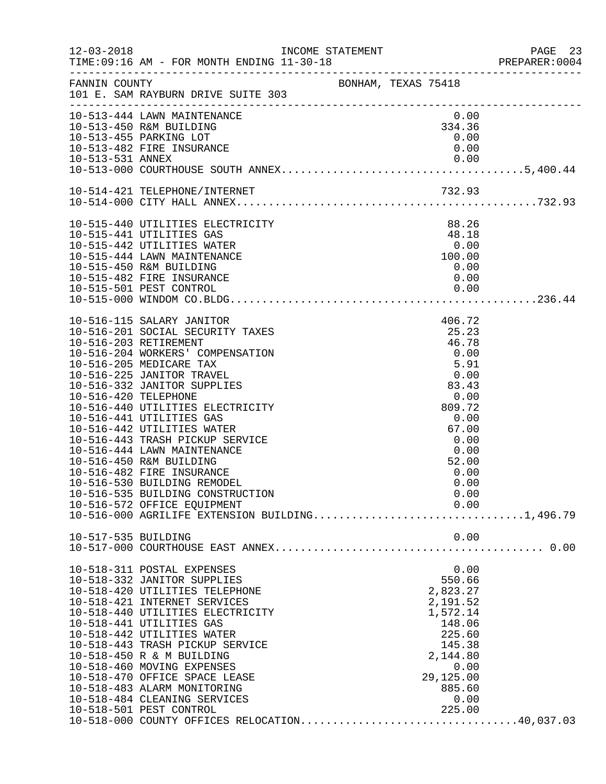|                       |                                                                                 |                     |           |                | PAGE 23<br>PREPARER:0004 |
|-----------------------|---------------------------------------------------------------------------------|---------------------|-----------|----------------|--------------------------|
| FANNIN COUNTY         | 101 E. SAM RAYBURN DRIVE SUITE 303                                              | BONHAM, TEXAS 75418 |           |                |                          |
|                       | 10-513-444 LAWN MAINTENANCE                                                     |                     |           | 0.00           |                          |
|                       | 10-513-450 R&M BUILDING<br>10-513-455 PARKING LOT                               |                     |           | 334.36<br>0.00 |                          |
|                       | 10-513-482 FIRE INSURANCE                                                       |                     |           | 0.00           |                          |
|                       |                                                                                 |                     |           |                |                          |
|                       |                                                                                 |                     |           |                |                          |
|                       |                                                                                 |                     |           |                |                          |
|                       |                                                                                 |                     |           |                |                          |
|                       | 10-515-440 UTILITIES ELECTRICITY                                                |                     |           | 88.26          |                          |
|                       | 10-515-441 UTILITIES GAS                                                        |                     |           | 48.18          |                          |
|                       | 10-515-442 UTILITIES WATER<br>10-515-444 LAWN MAINTENANCE                       |                     | 100.00    | 0.00           |                          |
|                       | 10-515-450 R&M BUILDING                                                         |                     |           | 0.00           |                          |
|                       | 10-515-482 FIRE INSURANCE                                                       |                     |           | 0.00           |                          |
|                       |                                                                                 |                     |           |                |                          |
|                       |                                                                                 |                     |           |                |                          |
|                       | 10-516-115 SALARY JANITOR                                                       |                     |           | 406.72         |                          |
|                       | 10-516-201 SOCIAL SECURITY TAXES                                                |                     |           | 25.23          |                          |
| 10-516-203 RETIREMENT |                                                                                 |                     |           | 46.78          |                          |
|                       | 10-516-204 WORKERS' COMPENSATION                                                |                     |           | 0.00           |                          |
|                       | 10-516-205 MEDICARE TAX<br>10-516-225 JANITOR TRAVEL                            |                     | 0.00      | 5.91           |                          |
|                       | 10-516-332 JANITOR SUPPLIES                                                     |                     | 83.43     |                |                          |
| 10-516-420 TELEPHONE  |                                                                                 |                     |           | 0.00           |                          |
|                       | 10-516-440 UTILITIES ELECTRICITY                                                |                     |           | 809.72         |                          |
|                       | 10-516-441 UTILITIES GAS                                                        |                     |           | 0.00           |                          |
|                       | 10-516-442 UTILITIES WATER                                                      |                     |           | 67.00          |                          |
|                       | 10-516-443 TRASH PICKUP SERVICE                                                 |                     |           | 0.00           |                          |
|                       | 10-516-444 LAWN MAINTENANCE                                                     |                     |           | 0.00           |                          |
|                       | 10-516-450 R&M BUILDING                                                         |                     |           | 52.00          |                          |
|                       | 10-516-482 FIRE INSURANCE                                                       |                     |           | 0.00           |                          |
|                       | 10-516-530 BUILDING REMODEL<br>10-516-535 BUILDING CONSTRUCTION                 |                     |           | 0.00<br>0.00   |                          |
|                       | 10-516-572 OFFICE EQUIPMENT                                                     |                     |           | 0.00           |                          |
|                       | 10-516-000 AGRILIFE EXTENSION BUILDING1,496.79                                  |                     |           |                |                          |
| 10-517-535 BUILDING   |                                                                                 |                     |           | 0.00           |                          |
|                       |                                                                                 |                     |           |                |                          |
|                       | 10-518-311 POSTAL EXPENSES                                                      |                     |           | 0.00           |                          |
|                       | 10-518-332 JANITOR SUPPLIES                                                     |                     |           | 550.66         |                          |
|                       | 10-518-420 UTILITIES TELEPHONE                                                  |                     |           | 2,823.27       |                          |
|                       | 10-518-421 INTERNET SERVICES                                                    |                     |           | 2,191.52       |                          |
|                       | 10-518-440 UTILITIES ELECTRICITY                                                |                     |           | 1,572.14       |                          |
|                       | 10-518-441 UTILITIES GAS                                                        |                     |           | 148.06         |                          |
|                       | 10-518-442 UTILITIES WATER                                                      |                     |           | 225.60         |                          |
|                       | 10-518-443 TRASH PICKUP SERVICE                                                 |                     |           | 145.38         |                          |
|                       | 10-518-450 R & M BUILDING                                                       |                     |           | 2,144.80       |                          |
|                       | 10-518-460 MOVING EXPENSES                                                      |                     |           | 0.00           |                          |
|                       | 10-518-470 OFFICE SPACE LEASE                                                   |                     | 29,125.00 |                |                          |
|                       | 10-518-483 ALARM MONITORING                                                     |                     |           | 885.60         |                          |
|                       | 10-518-484 CLEANING SERVICES<br>10-518-501 PEST CONTROL                         |                     |           | 0.00<br>225.00 |                          |
|                       | 10-518-501 PEST CONTROL 225.00<br>10-518-000 COUNTY OFFICES RELOCATION40,037.03 |                     |           |                |                          |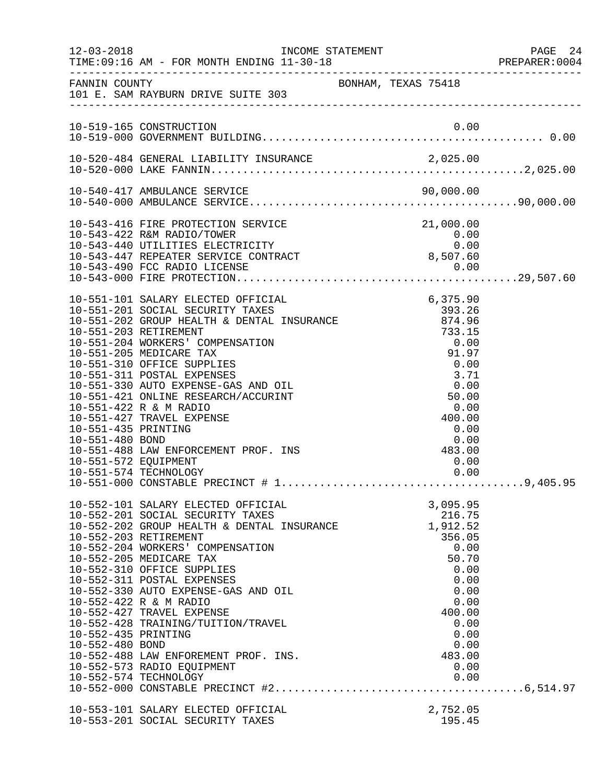|                                                                |                                                                                                                                                                                                                                                                                                                                                                                                                                                                                      |                                                                                                                                               | PAGE 24<br>PREPARER: 0004 |
|----------------------------------------------------------------|--------------------------------------------------------------------------------------------------------------------------------------------------------------------------------------------------------------------------------------------------------------------------------------------------------------------------------------------------------------------------------------------------------------------------------------------------------------------------------------|-----------------------------------------------------------------------------------------------------------------------------------------------|---------------------------|
|                                                                | FANNIN COUNTY<br>101 E. SAM RAYBURN DRIVE SUITE 303                                                                                                                                                                                                                                                                                                                                                                                                                                  | BONHAM, TEXAS 75418                                                                                                                           |                           |
|                                                                | 10-519-165 CONSTRUCTION                                                                                                                                                                                                                                                                                                                                                                                                                                                              |                                                                                                                                               |                           |
|                                                                |                                                                                                                                                                                                                                                                                                                                                                                                                                                                                      |                                                                                                                                               |                           |
|                                                                |                                                                                                                                                                                                                                                                                                                                                                                                                                                                                      |                                                                                                                                               |                           |
|                                                                | 10-543-416 FIRE PROTECTION SERVICE<br>0.00 10-543-440 UTILITIES ELECTRICITY 0.00<br>10-543-440 UTILITIES ELECTRICITY 0.00<br>10-543-447 REPEATER SERVICE CONTRACT 8,507.60<br>10-543-490 FCC RADIO LICENSE                                                                                                                                                                                                                                                                           | 21,000.00                                                                                                                                     |                           |
| 10-551-435 PRINTING<br>10-551-480 BOND<br>10-551-572 EQUIPMENT | 10-551-427 TRAVEL EXPENSE<br>10-551-488 LAW ENFORCEMENT PROF. INS<br>10-551-574 TECHNOLOGY                                                                                                                                                                                                                                                                                                                                                                                           | 400.00<br>0.00<br>$\begin{array}{c} 0.00 \\ 483.00 \end{array}$<br>0.00<br>0.00                                                               |                           |
| 10-552-435 PRINTING<br>10-552-480 BOND                         | 10-552-101 SALARY ELECTED OFFICIAL<br>10-552-201 SOCIAL SECURITY TAXES<br>$10-552-202$ GROUP HEALTH & DENTAL INSURANCE<br>10-552-203 RETIREMENT<br>10-552-204 WORKERS' COMPENSATION<br>10-552-205 MEDICARE TAX<br>10-552-310 OFFICE SUPPLIES<br>10-552-311 POSTAL EXPENSES<br>10-552-330 AUTO EXPENSE-GAS AND OIL<br>10-552-422 R & M RADIO<br>10-552-427 TRAVEL EXPENSE<br>10-552-428 TRAINING/TUITION/TRAVEL<br>10-552-488 LAW ENFOREMENT PROF. INS.<br>10-552-573 RADIO EQUIPMENT | 3,095.95<br>216.75<br>1,912.52<br>356.05<br>0.00<br>50.70<br>0.00<br>0.00<br>0.00<br>0.00<br>400.00<br>0.00<br>0.00<br>0.00<br>483.00<br>0.00 |                           |
|                                                                | 10-553-101 SALARY ELECTED OFFICIAL<br>10-553-201 SOCIAL SECURITY TAXES                                                                                                                                                                                                                                                                                                                                                                                                               | 2,752.05<br>195.45                                                                                                                            |                           |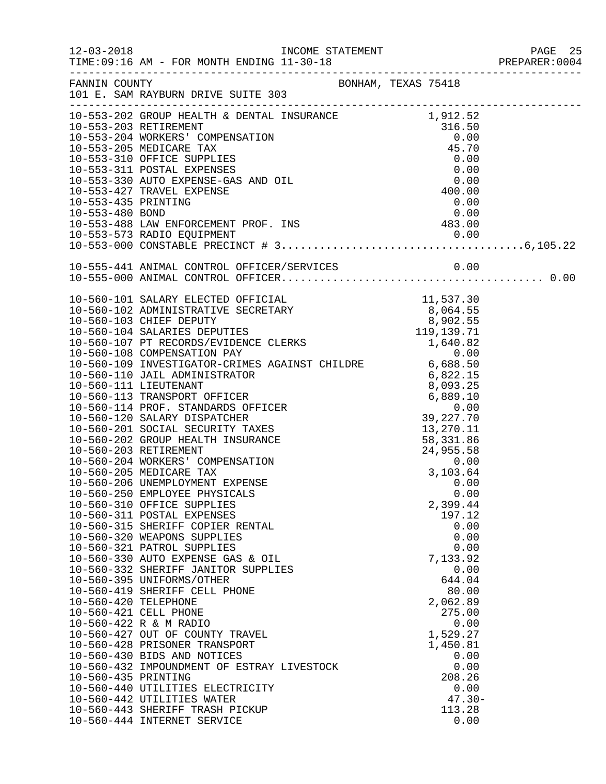|                      |                                                                                                                                                                                                                                              |                | PREPARER: 0004 |
|----------------------|----------------------------------------------------------------------------------------------------------------------------------------------------------------------------------------------------------------------------------------------|----------------|----------------|
|                      | FANNIN COUNTY<br>101 E. SAM RAYBURN DRIVE SUITE 303                                                                                                                                                                                          |                |                |
|                      | 10-553-202 GROUP HEALTH & DENTAL INSURANCE<br>10-553-203 RETIREMENT<br>10-553-203 RETIREMENT<br>10-553-204 WORKERS' COMPENSATION<br>10-553-205 MEDICARE TAX<br>10-553-310 OFFICE SUPPLIES<br>10-553-310 OFFICE SUPPLIES<br>10-553-311 POSTAL |                |                |
|                      |                                                                                                                                                                                                                                              |                |                |
|                      |                                                                                                                                                                                                                                              |                |                |
|                      |                                                                                                                                                                                                                                              |                |                |
|                      |                                                                                                                                                                                                                                              |                |                |
|                      |                                                                                                                                                                                                                                              |                |                |
|                      |                                                                                                                                                                                                                                              |                |                |
|                      |                                                                                                                                                                                                                                              |                |                |
|                      |                                                                                                                                                                                                                                              |                |                |
|                      |                                                                                                                                                                                                                                              |                |                |
|                      |                                                                                                                                                                                                                                              |                |                |
|                      | 10-553-488 LAW ENFORCEMENT PROF. INS<br>10-553-573 RADIO EQUIPMENT<br>10-553-573 RADIO EQUIPMENT<br>10-553-000 CONSTABLE PRECINCT # 3                                                                                                        |                |                |
|                      |                                                                                                                                                                                                                                              |                |                |
|                      |                                                                                                                                                                                                                                              |                |                |
|                      |                                                                                                                                                                                                                                              |                |                |
|                      |                                                                                                                                                                                                                                              |                |                |
|                      |                                                                                                                                                                                                                                              |                |                |
|                      |                                                                                                                                                                                                                                              |                |                |
|                      |                                                                                                                                                                                                                                              |                |                |
|                      |                                                                                                                                                                                                                                              |                |                |
|                      |                                                                                                                                                                                                                                              |                |                |
|                      |                                                                                                                                                                                                                                              |                |                |
|                      |                                                                                                                                                                                                                                              |                |                |
|                      |                                                                                                                                                                                                                                              |                |                |
|                      |                                                                                                                                                                                                                                              |                |                |
|                      |                                                                                                                                                                                                                                              |                |                |
|                      |                                                                                                                                                                                                                                              |                |                |
|                      |                                                                                                                                                                                                                                              |                |                |
|                      |                                                                                                                                                                                                                                              |                |                |
|                      |                                                                                                                                                                                                                                              |                |                |
|                      |                                                                                                                                                                                                                                              |                |                |
|                      |                                                                                                                                                                                                                                              |                |                |
|                      | 10-560-250 EMPLOYEE PHYSICALS                                                                                                                                                                                                                | 0.00           |                |
|                      | 10-560-310 OFFICE SUPPLIES                                                                                                                                                                                                                   | 2,399.44       |                |
|                      | 10-560-311 POSTAL EXPENSES                                                                                                                                                                                                                   | 197.12         |                |
|                      | 10-560-315 SHERIFF COPIER RENTAL<br>10-560-320 WEAPONS SUPPLIES                                                                                                                                                                              | 0.00<br>0.00   |                |
|                      | 10-560-321 PATROL SUPPLIES                                                                                                                                                                                                                   | 0.00           |                |
|                      | 10-560-330 AUTO EXPENSE GAS & OIL                                                                                                                                                                                                            | 7,133.92       |                |
|                      | 10-560-332 SHERIFF JANITOR SUPPLIES                                                                                                                                                                                                          | 0.00           |                |
|                      | 10-560-395 UNIFORMS/OTHER                                                                                                                                                                                                                    | 644.04         |                |
|                      | 10-560-419 SHERIFF CELL PHONE                                                                                                                                                                                                                | 80.00          |                |
| 10-560-420 TELEPHONE |                                                                                                                                                                                                                                              | 2,062.89       |                |
|                      | 10-560-421 CELL PHONE                                                                                                                                                                                                                        | 275.00         |                |
|                      | 10-560-422 R & M RADIO                                                                                                                                                                                                                       | 0.00           |                |
|                      | 10-560-427 OUT OF COUNTY TRAVEL                                                                                                                                                                                                              | 1,529.27       |                |
|                      | 10-560-428 PRISONER TRANSPORT                                                                                                                                                                                                                | 1,450.81       |                |
|                      | 10-560-430 BIDS AND NOTICES                                                                                                                                                                                                                  | 0.00           |                |
| 10-560-435 PRINTING  | 10-560-432 IMPOUNDMENT OF ESTRAY LIVESTOCK                                                                                                                                                                                                   | 0.00           |                |
|                      | 10-560-440 UTILITIES ELECTRICITY                                                                                                                                                                                                             | 208.26<br>0.00 |                |
|                      | 10-560-442 UTILITIES WATER                                                                                                                                                                                                                   | $47.30 -$      |                |
|                      | 10-560-443 SHERIFF TRASH PICKUP                                                                                                                                                                                                              | 113.28         |                |
|                      | 10-560-444 INTERNET SERVICE                                                                                                                                                                                                                  | 0.00           |                |
|                      |                                                                                                                                                                                                                                              |                |                |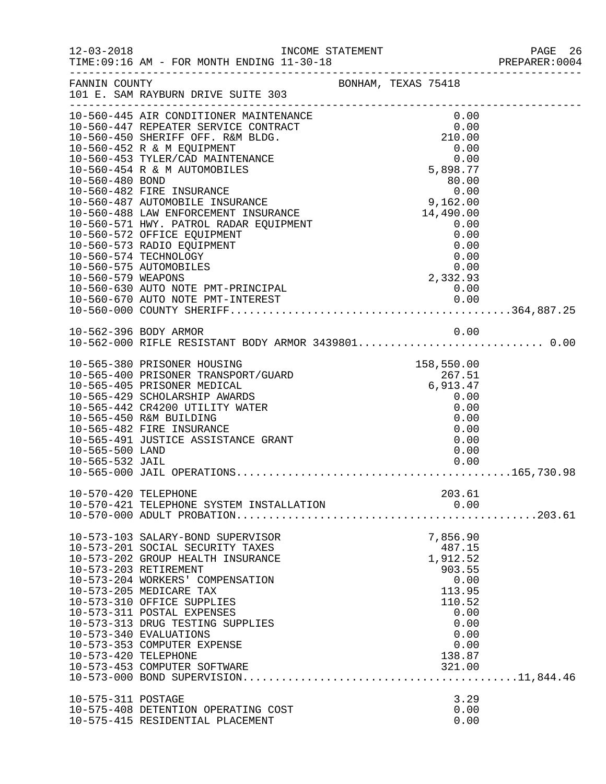12-03-2018 INCOME STATEMENT PAGE 26

|                      | TIME: 09:16 AM - FOR MONTH ENDING 11-30-18 |                                                                  | PREPARER: 0004 |
|----------------------|--------------------------------------------|------------------------------------------------------------------|----------------|
| FANNIN COUNTY        |                                            | BONHAM, TEXAS 75418                                              |                |
|                      | 101 E. SAM RAYBURN DRIVE SUITE 303         |                                                                  |                |
|                      | 10-560-445 AIR CONDITIONER MAINTENANCE     | 0.00                                                             |                |
|                      | 10-560-447 REPEATER SERVICE CONTRACT       | NNCE<br>TT 0.00<br>210.00<br>210.00<br>0.00<br>5,898.77<br>80.00 |                |
|                      | 10-560-450 SHERIFF OFF. R&M BLDG.          |                                                                  |                |
|                      | 10-560-452 R & M EQUIPMENT                 |                                                                  |                |
|                      | 10-560-453 TYLER/CAD MAINTENANCE           |                                                                  |                |
|                      |                                            |                                                                  |                |
|                      |                                            |                                                                  |                |
|                      |                                            |                                                                  |                |
|                      |                                            |                                                                  |                |
|                      |                                            |                                                                  |                |
|                      |                                            |                                                                  |                |
|                      |                                            |                                                                  |                |
|                      |                                            |                                                                  |                |
|                      |                                            |                                                                  |                |
|                      |                                            |                                                                  |                |
|                      |                                            |                                                                  |                |
|                      |                                            |                                                                  |                |
|                      |                                            |                                                                  |                |
|                      |                                            |                                                                  |                |
|                      | 10-562-396 BODY ARMOR                      | 0.00                                                             |                |
|                      |                                            |                                                                  |                |
|                      | 10-565-380 PRISONER HOUSING                | 158,550.00                                                       |                |
|                      | 10-565-400 PRISONER TRANSPORT/GUARD        |                                                                  |                |
|                      | 10-565-405 PRISONER MEDICAL                |                                                                  |                |
|                      | 10-565-429 SCHOLARSHIP AWARDS              | $267.51$<br>$6,913.47$<br>$0.00$<br>$0.00$<br>0.00               |                |
|                      | 10-565-442 CR4200 UTILITY WATER            |                                                                  |                |
|                      | 10-565-450 R&M BUILDING                    |                                                                  |                |
|                      | 10-565-482 FIRE INSURANCE                  | 0.00                                                             |                |
|                      | 10-565-491 JUSTICE ASSISTANCE GRANT        | 0.00                                                             |                |
| 10-565-500 LAND      |                                            | 0.00                                                             |                |
| 10-565-532 JAIL      |                                            | 0.00                                                             |                |
|                      |                                            |                                                                  |                |
| 10-570-420 TELEPHONE |                                            | 203.61                                                           |                |
|                      | 10-570-421 TELEPHONE SYSTEM INSTALLATION   |                                                                  |                |
|                      |                                            |                                                                  |                |
|                      |                                            |                                                                  |                |
|                      | 10-573-103 SALARY-BOND SUPERVISOR          | 7,856.90                                                         |                |
|                      | 10-573-201 SOCIAL SECURITY TAXES           | 487.15                                                           |                |
|                      | 10-573-202 GROUP HEALTH INSURANCE          | 1,912.52                                                         |                |
|                      | 10-573-203 RETIREMENT                      | 903.55                                                           |                |
|                      | 10-573-204 WORKERS' COMPENSATION           | 0.00                                                             |                |
|                      | 10-573-205 MEDICARE TAX                    | 113.95                                                           |                |
|                      | 10-573-310 OFFICE SUPPLIES                 | 110.52                                                           |                |
|                      | 10-573-311 POSTAL EXPENSES                 | 0.00                                                             |                |
|                      | 10-573-313 DRUG TESTING SUPPLIES           | 0.00                                                             |                |
|                      | 10-573-340 EVALUATIONS                     | 0.00                                                             |                |
|                      | 10-573-353 COMPUTER EXPENSE                | 0.00                                                             |                |
| 10-573-420 TELEPHONE |                                            | 138.87<br>321.00                                                 |                |
|                      | 10-573-453 COMPUTER SOFTWARE               |                                                                  |                |
|                      |                                            |                                                                  |                |
| 10-575-311 POSTAGE   |                                            | 3.29                                                             |                |
|                      | 10-575-408 DETENTION OPERATING COST        | 0.00                                                             |                |
|                      | 10-575-415 RESIDENTIAL PLACEMENT           | 0.00                                                             |                |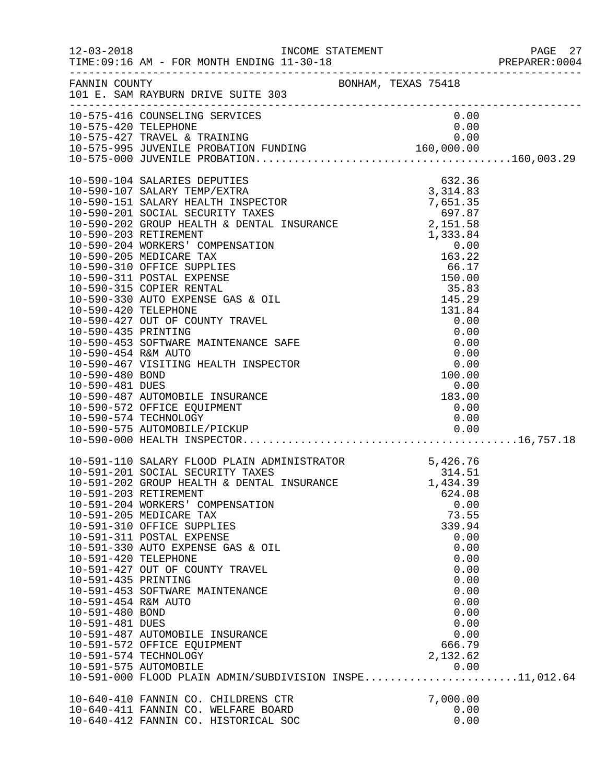|                                                                                                                                                            | FANNIN COUNTY BONHAM, TEXAS 75418<br>101 E. SAM RAYBURN DRIVE SUITE 303                                                                                                                                                                                                                                                                                                                                                                                                                                                                           |  |                                        |                                                                                                       |
|------------------------------------------------------------------------------------------------------------------------------------------------------------|---------------------------------------------------------------------------------------------------------------------------------------------------------------------------------------------------------------------------------------------------------------------------------------------------------------------------------------------------------------------------------------------------------------------------------------------------------------------------------------------------------------------------------------------------|--|----------------------------------------|-------------------------------------------------------------------------------------------------------|
|                                                                                                                                                            | 10-575-416 COUNSELING SERVICES                                                                                                                                                                                                                                                                                                                                                                                                                                                                                                                    |  | 0.00                                   |                                                                                                       |
| 10-590-481 DUES                                                                                                                                            | 10-590-107 SALARY TEMP/EXTRA<br>10-590-151 SALARY HEALTH INSPECTOR<br>10-590-201 SOCIAL SECURITY TAXES<br>10-590-202 GROUP HEALTH & DENTAL INSURANCE<br>10-590-202 GROUP HEALTH & DENTAL INSURANCE<br>10-590-203 RETIREMENT<br>10-590-203<br>10-590-487 AUTOMOBILE INSURANCE<br>10-590-572 OFFICE EQUIPMENT<br>10-590-574 TECHNOLOGY                                                                                                                                                                                                              |  | $0.00$<br>183.00<br>0.00               | 0.00                                                                                                  |
| 10-591-203 RETIREMENT<br>10-591-420 TELEPHONE<br>10-591-435 PRINTING<br>10-591-454 R&M AUTO<br>10-591-480 BOND<br>10-591-481 DUES<br>10-591-575 AUTOMOBILE | 10-591-110 SALARY FLOOD PLAIN ADMINISTRATOR 5,426.76<br>10-591-201 SOCIAL SECURITY TAXES 314.51<br>10-591-202 GROUP HEALTH & DENTAL INSURANCE 1,434.39<br>10-591-204 WORKERS' COMPENSATION<br>10-591-205 MEDICARE TAX<br>10-591-310 OFFICE SUPPLIES<br>10-591-311 POSTAL EXPENSE<br>10-591-330 AUTO EXPENSE GAS & OIL<br>10-591-427 OUT OF COUNTY TRAVEL<br>10-591-453 SOFTWARE MAINTENANCE<br>10-591-487 AUTOMOBILE INSURANCE<br>10-591-572 OFFICE EQUIPMENT<br>10-591-574 TECHNOLOGY<br>10-591-000 FLOOD PLAIN ADMIN/SUBDIVISION INSPE11,012.64 |  | 624.08<br>339.94<br>666.79<br>2,132.62 | 0.00<br>73.55<br>0.00<br>0.00<br>0.00<br>0.00<br>0.00<br>0.00<br>0.00<br>0.00<br>0.00<br>0.00<br>0.00 |
|                                                                                                                                                            | 10-640-410 FANNIN CO. CHILDRENS CTR<br>10-640-411 FANNIN CO. WELFARE BOARD<br>10-640-412 FANNIN CO. HISTORICAL SOC                                                                                                                                                                                                                                                                                                                                                                                                                                |  | 7,000.00                               | 0.00<br>0.00                                                                                          |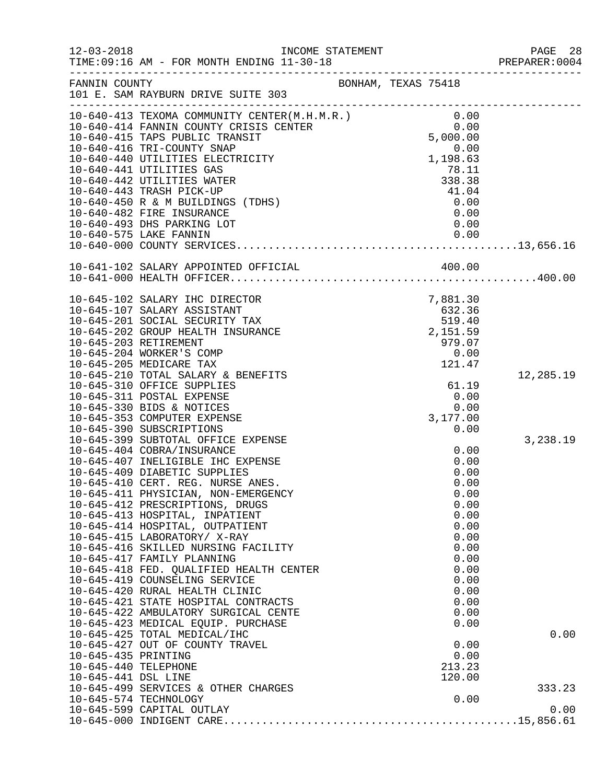| $12 - 03 - 2018$     | INCOME STATEMENT<br>TIME: 09:16 AM - FOR MONTH ENDING 11-30-18                                                                              |                                            |              | PAGE 28<br>PREPARER:0004 |
|----------------------|---------------------------------------------------------------------------------------------------------------------------------------------|--------------------------------------------|--------------|--------------------------|
| FANNIN COUNTY        |                                                                                                                                             | BONHAM, TEXAS 75418                        |              |                          |
|                      | 101 E. SAM RAYBURN DRIVE SUITE 303                                                                                                          |                                            |              |                          |
|                      |                                                                                                                                             |                                            |              |                          |
|                      | 10-640-413 TEXOMA COMMUNITY CENTER(M.H.M.R.) 0.00<br>10-640-414 FANNIN COUNTY CRISIS CENTER 0.00<br>10-640-415 TAPS PUBLIC TRANSIT 5,000.00 |                                            |              |                          |
|                      |                                                                                                                                             |                                            |              |                          |
|                      | 10-640-416 TRI-COUNTY SNAP                                                                                                                  |                                            | 0.00         |                          |
|                      | 10-640-440 UTILITIES ELECTRICITY                                                                                                            |                                            | 1,198.63     |                          |
|                      | 10-640-441 UTILITIES GAS                                                                                                                    |                                            | 78.11        |                          |
|                      | 10-640-442 UTILITIES WATER                                                                                                                  |                                            | 338.38       |                          |
|                      | 10-640-443 TRASH PICK-UP                                                                                                                    |                                            | 41.04        |                          |
|                      | 10-640-450 R & M BUILDINGS (TDHS)                                                                                                           |                                            | 0.00         |                          |
|                      | 10-640-482 FIRE INSURANCE                                                                                                                   |                                            | 0.00         |                          |
|                      | 10-640-493 DHS PARKING LOT<br>10-640-575 LAKE FANNIN                                                                                        |                                            | 0.00<br>0.00 |                          |
|                      |                                                                                                                                             |                                            |              |                          |
|                      |                                                                                                                                             |                                            |              |                          |
|                      |                                                                                                                                             |                                            |              |                          |
|                      |                                                                                                                                             |                                            |              |                          |
|                      | 10-645-102 SALARY IHC DIRECTOR                                                                                                              | 7, 881.30<br>632.36<br>519.40<br>2, 151.59 |              |                          |
|                      | 10-645-107 SALARY ASSISTANT                                                                                                                 |                                            |              |                          |
|                      | 10-645-201 SOCIAL SECURITY TAX                                                                                                              |                                            |              |                          |
|                      | 10-645-202 GROUP HEALTH INSURANCE                                                                                                           |                                            |              |                          |
|                      | 10-645-203 RETIREMENT                                                                                                                       |                                            | 979.07       |                          |
|                      | 10-645-204 WORKER'S COMP                                                                                                                    |                                            | 0.00         |                          |
|                      | 10-645-205 MEDICARE TAX                                                                                                                     |                                            | 121.47       |                          |
|                      | 10-645-210 TOTAL SALARY & BENEFITS                                                                                                          |                                            |              | 12,285.19                |
|                      | 10-645-310 OFFICE SUPPLIES                                                                                                                  |                                            | 61.19        |                          |
|                      | 10-645-311 POSTAL EXPENSE                                                                                                                   |                                            | 0.00         |                          |
|                      | 10-645-330 BIDS & NOTICES                                                                                                                   |                                            | 0.00         |                          |
|                      | 10-645-353 COMPUTER EXPENSE<br>10-645-390 SUBSCRIPTIONS                                                                                     |                                            | 3,177.00     |                          |
|                      | 10-645-399 SUBTOTAL OFFICE EXPENSE                                                                                                          |                                            | 0.00         | 3,238.19                 |
|                      | 10-645-404 COBRA/INSURANCE                                                                                                                  |                                            | 0.00         |                          |
|                      | 10-645-407 INELIGIBLE IHC EXPENSE                                                                                                           |                                            | 0.00         |                          |
|                      | 10-645-409 DIABETIC SUPPLIES                                                                                                                |                                            | 0.00         |                          |
|                      | 10-645-410 CERT. REG. NURSE ANES.                                                                                                           |                                            | 0.00         |                          |
|                      | 10-645-411 PHYSICIAN, NON-EMERGENCY                                                                                                         |                                            | 0.00         |                          |
|                      | 10-645-412 PRESCRIPTIONS, DRUGS                                                                                                             |                                            | 0.00         |                          |
|                      | 10-645-413 HOSPITAL, INPATIENT                                                                                                              |                                            | 0.00         |                          |
|                      | 10-645-414 HOSPITAL, OUTPATIENT                                                                                                             |                                            | 0.00         |                          |
|                      | 10-645-415 LABORATORY/ X-RAY                                                                                                                |                                            | 0.00         |                          |
|                      | 10-645-416 SKILLED NURSING FACILITY                                                                                                         |                                            | 0.00         |                          |
|                      | 10-645-417 FAMILY PLANNING                                                                                                                  |                                            | 0.00         |                          |
|                      | 10-645-418 FED. QUALIFIED HEALTH CENTER<br>10-645-419 COUNSELING SERVICE                                                                    |                                            | 0.00<br>0.00 |                          |
|                      | 10-645-420 RURAL HEALTH CLINIC                                                                                                              |                                            | 0.00         |                          |
|                      | 10-645-421 STATE HOSPITAL CONTRACTS                                                                                                         |                                            | 0.00         |                          |
|                      | 10-645-422 AMBULATORY SURGICAL CENTE                                                                                                        |                                            | 0.00         |                          |
|                      | 10-645-423 MEDICAL EQUIP. PURCHASE                                                                                                          |                                            | 0.00         |                          |
|                      | 10-645-425 TOTAL MEDICAL/IHC                                                                                                                |                                            |              | 0.00                     |
|                      | 10-645-427 OUT OF COUNTY TRAVEL                                                                                                             |                                            | 0.00         |                          |
| 10-645-435 PRINTING  |                                                                                                                                             |                                            | 0.00         |                          |
| 10-645-440 TELEPHONE |                                                                                                                                             |                                            | 213.23       |                          |
| 10-645-441 DSL LINE  |                                                                                                                                             |                                            | 120.00       |                          |
|                      | 10-645-499 SERVICES & OTHER CHARGES                                                                                                         |                                            |              | 333.23                   |
|                      | 10-645-574 TECHNOLOGY                                                                                                                       |                                            | 0.00         |                          |
|                      |                                                                                                                                             |                                            |              |                          |
|                      |                                                                                                                                             |                                            |              |                          |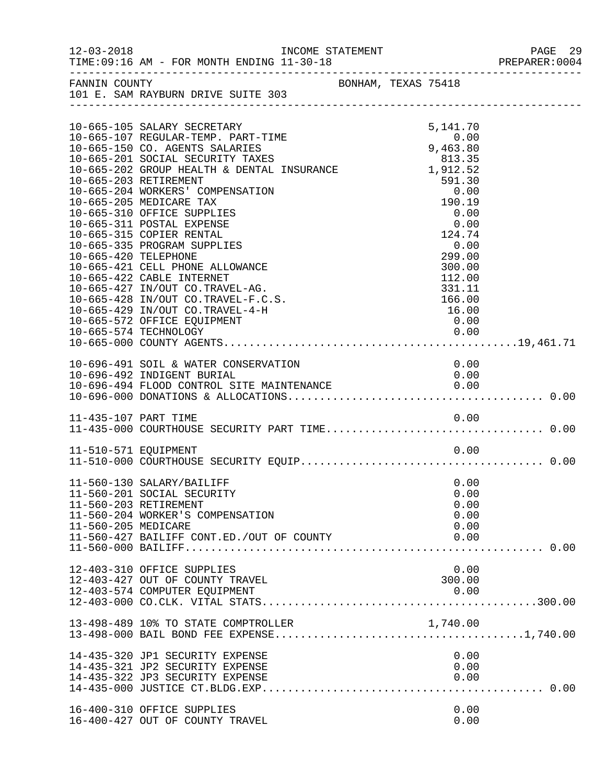| $12 - 03 - 2018$     | TIME: 09:16 AM - FOR MONTH ENDING 11-30-18<br>______________________________________                                                                                                                                                                                                                                                                                                                                                                                                                                                                                                                                                                                                 | INCOME STATEMENT |                     |                                                                                                                                                                                                                 | PAGE 29<br>PREPARER:0004 |
|----------------------|--------------------------------------------------------------------------------------------------------------------------------------------------------------------------------------------------------------------------------------------------------------------------------------------------------------------------------------------------------------------------------------------------------------------------------------------------------------------------------------------------------------------------------------------------------------------------------------------------------------------------------------------------------------------------------------|------------------|---------------------|-----------------------------------------------------------------------------------------------------------------------------------------------------------------------------------------------------------------|--------------------------|
| FANNIN COUNTY        | 101 E. SAM RAYBURN DRIVE SUITE 303                                                                                                                                                                                                                                                                                                                                                                                                                                                                                                                                                                                                                                                   |                  | BONHAM, TEXAS 75418 |                                                                                                                                                                                                                 |                          |
| 10-665-420 TELEPHONE | 10-665-105 SALARY SECRETARY<br>10-665-107 REGULAR-TEMP. PART-TIME<br>10-665-150 CO. AGENTS SALARIES<br>10-665-201 SOCIAL SECURITY TAXES<br>10-665-201 SOCIAL SECORTIT TAXES<br>10-665-202 GROUP HEALTH & DENTAL INSURANCE 1,912.52<br>10-665-203 RETIREMENT<br>10-665-204 WORKERS' COMPENSATION<br>10-665-205 MEDICARE TAX<br>10-665-310 OFFICE SUPPLIES<br>10-665-311 POSTAL EXPENSE<br>10-665-315 COPIER RENTAL<br>10-665-335 PROGRAM SUPPLIES<br>10-665-421 CELL PHONE ALLOWANCE<br>10-665-422 CABLE INTERNET<br>10-665-427 IN/OUT CO.TRAVEL-AG.<br>10-665-428 IN/OUT CO.TRAVEL-F.C.S.<br>10-665-429 IN/OUT CO.TRAVEL-4-H<br>10-665-572 OFFICE EQUIPMENT<br>10-665-574 TECHNOLOGY |                  |                     | 5,141.70<br>$\begin{array}{c} 0\, .\, 00 \end{array}$<br>813.35<br>591.30<br>0.00<br>190.19<br>0.00<br>$0.00$<br>0.00<br>124<br>0.00<br>299.00<br>300.00<br>112.00<br>331.11<br>166.00<br>16.00<br>0.00<br>0.00 |                          |
|                      | 10-696-491 SOIL & WATER CONSERVATION<br>10-696-492 INDIGENT BURIAL<br>10-696-494 FLOOD CONTROL SITE MAINTENANCE                                                                                                                                                                                                                                                                                                                                                                                                                                                                                                                                                                      |                  |                     | 0.00<br>0.00<br>0.00                                                                                                                                                                                            |                          |
| 11-435-107 PART TIME |                                                                                                                                                                                                                                                                                                                                                                                                                                                                                                                                                                                                                                                                                      |                  |                     | 0.00                                                                                                                                                                                                            |                          |
| 11-510-571 EQUIPMENT |                                                                                                                                                                                                                                                                                                                                                                                                                                                                                                                                                                                                                                                                                      |                  |                     | 0.00                                                                                                                                                                                                            |                          |
| 11-560-205 MEDICARE  | 11-560-130 SALARY/BAILIFF<br>11-560-201 SOCIAL SECURITY<br>11-560-203 RETIREMENT<br>11-560-204 WORKER'S COMPENSATION<br>11-560-427 BAILIFF CONT.ED./OUT OF COUNTY                                                                                                                                                                                                                                                                                                                                                                                                                                                                                                                    |                  |                     | 0.00<br>0.00<br>0.00<br>0.00<br>0.00<br>0.00                                                                                                                                                                    |                          |
|                      | 12-403-310 OFFICE SUPPLIES<br>12-403-427 OUT OF COUNTY TRAVEL<br>12-403-574 COMPUTER EOUIPMENT                                                                                                                                                                                                                                                                                                                                                                                                                                                                                                                                                                                       |                  |                     | 0.00<br>300.00<br>0.00                                                                                                                                                                                          |                          |
|                      | 13-498-489 10% TO STATE COMPTROLLER                                                                                                                                                                                                                                                                                                                                                                                                                                                                                                                                                                                                                                                  |                  |                     | 1,740.00                                                                                                                                                                                                        |                          |
|                      | 14-435-320 JP1 SECURITY EXPENSE<br>14-435-321 JP2 SECURITY EXPENSE<br>14-435-322 JP3 SECURITY EXPENSE                                                                                                                                                                                                                                                                                                                                                                                                                                                                                                                                                                                |                  |                     | 0.00<br>0.00<br>0.00                                                                                                                                                                                            |                          |
|                      | 16-400-310 OFFICE SUPPLIES<br>16-400-427 OUT OF COUNTY TRAVEL                                                                                                                                                                                                                                                                                                                                                                                                                                                                                                                                                                                                                        |                  |                     | 0.00<br>0.00                                                                                                                                                                                                    |                          |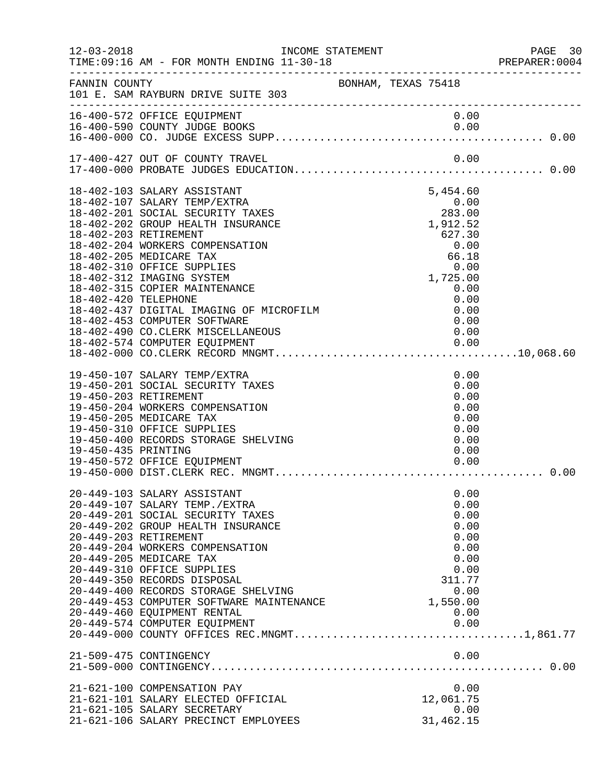| $12 - 03 - 2018$                             | INCOME STATEMENT<br>TIME: 09:16 AM - FOR MONTH ENDING 11-30-18<br>______________________________________                                                                                                                                                                                                                                                                                                                                                                 |                     |                                            |                                     |                                                                                      | PAGE 30<br>PREPARER:0004 |  |
|----------------------------------------------|--------------------------------------------------------------------------------------------------------------------------------------------------------------------------------------------------------------------------------------------------------------------------------------------------------------------------------------------------------------------------------------------------------------------------------------------------------------------------|---------------------|--------------------------------------------|-------------------------------------|--------------------------------------------------------------------------------------|--------------------------|--|
| FANNIN COUNTY                                | 101 E. SAM RAYBURN DRIVE SUITE 303                                                                                                                                                                                                                                                                                                                                                                                                                                       | BONHAM, TEXAS 75418 |                                            |                                     |                                                                                      |                          |  |
|                                              | 16-400-572 OFFICE EQUIPMENT                                                                                                                                                                                                                                                                                                                                                                                                                                              |                     |                                            |                                     | 0.00                                                                                 |                          |  |
|                                              | 17-400-427 OUT OF COUNTY TRAVEL                                                                                                                                                                                                                                                                                                                                                                                                                                          |                     |                                            | 0.00                                |                                                                                      |                          |  |
| 18-402-420 TELEPHONE                         | 18-402-103 SALARY ASSISTANT<br>18-402-107 SALARY TEMP/EXTRA<br>18-402-201 SOCIAL SECURITY TAXES<br>18-402-202 GROUP HEALTH INSURANCE<br>18-402-203 RETIREMENT<br>18-402-204 WORKERS COMPENSATION<br>18-402-205 MEDICARE TAX<br>18-402-310 OFFICE SUPPLIES<br>18-402-312 IMAGING SYSTEM<br>18-402-315 COPIER MAINTENANCE<br>18-402-437 DIGITAL IMAGING OF MICROFILM<br>18-402-453 COMPUTER SOFTWARE<br>18-402-490 CO.CLERK MISCELLANEOUS<br>18-402-574 COMPUTER EQUIPMENT |                     | $283.00$<br>1,912.52<br>627.30<br>1,725.00 | 5,454.60<br>627.30<br>0.00<br>66.18 | 0.00<br>0.00<br>0.00<br>0.00<br>0.00<br>0.00<br>0.00                                 |                          |  |
| 19-450-203 RETIREMENT<br>19-450-435 PRINTING | 19-450-107 SALARY TEMP/EXTRA<br>19-450-201 SOCIAL SECURITY TAXES<br>19-450-204 WORKERS COMPENSATION<br>19-450-205 MEDICARE TAX<br>19-450-310 OFFICE SUPPLIES<br>19-450-400 RECORDS STORAGE SHELVING<br>19-450-572 OFFICE EQUIPMENT                                                                                                                                                                                                                                       |                     |                                            |                                     | 0.00<br>0.00<br>0.00<br>0.00<br>0.00<br>0.00<br>0.00<br>0.00<br>0.00                 | 0.00                     |  |
|                                              | 20-449-103 SALARY ASSISTANT<br>20-449-107 SALARY TEMP./EXTRA<br>20-449-201 SOCIAL SECURITY TAXES<br>20-449-202 GROUP HEALTH INSURANCE<br>20-449-203 RETIREMENT<br>20-449-204 WORKERS COMPENSATION<br>20-449-205 MEDICARE TAX<br>20-449-310 OFFICE SUPPLIES<br>20-449-350 RECORDS DISPOSAL<br>20-449-400 RECORDS STORAGE SHELVING<br>20-449-453 COMPUTER SOFTWARE MAINTENANCE<br>20-449-460 EQUIPMENT RENTAL<br>20-449-574 COMPUTER EQUIPMENT                             |                     |                                            | 311.77<br>1,550.00                  | 0.00<br>0.00<br>0.00<br>0.00<br>0.00<br>0.00<br>0.00<br>0.00<br>0.00<br>0.00<br>0.00 |                          |  |
|                                              | 21-509-475 CONTINGENCY                                                                                                                                                                                                                                                                                                                                                                                                                                                   |                     |                                            |                                     | 0.00                                                                                 |                          |  |
|                                              | 21-621-100 COMPENSATION PAY<br>21-621-101 SALARY ELECTED OFFICIAL<br>21-621-105 SALARY SECRETARY<br>21-621-106 SALARY PRECINCT EMPLOYEES                                                                                                                                                                                                                                                                                                                                 |                     |                                            | 12,061.75<br>31,462.15              | 0.00<br>0.00                                                                         |                          |  |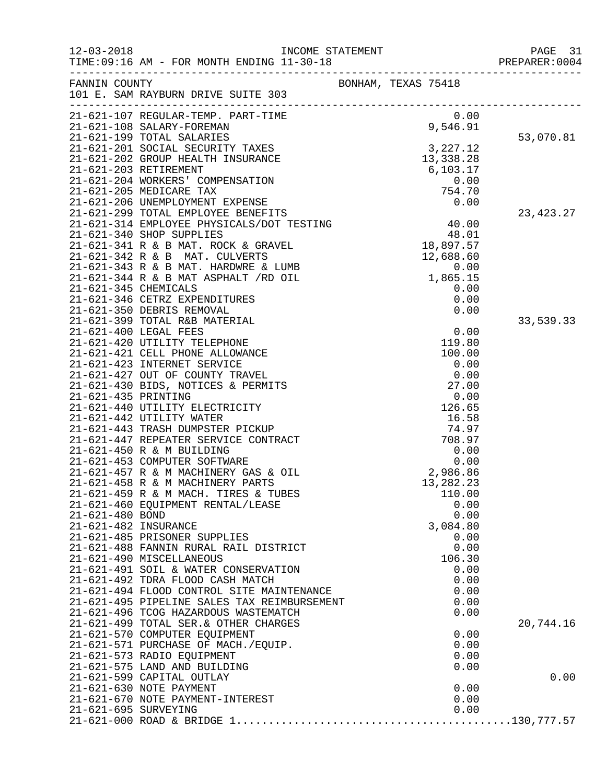| $12 - 03 - 2018$      | TIME: 09:16 AM - FOR MONTH ENDING 11-30-18                             | INCOME STATEMENT |                                                            | PAGE 31<br>PREPARER: 0004 |
|-----------------------|------------------------------------------------------------------------|------------------|------------------------------------------------------------|---------------------------|
| FANNIN COUNTY         | 101 E. SAM RAYBURN DRIVE SUITE 303                                     |                  | BONHAM, TEXAS 75418                                        |                           |
|                       | 21-621-107 REGULAR-TEMP. PART-TIME                                     |                  | 0.00                                                       |                           |
|                       | 21-621-108 SALARY-FOREMAN                                              |                  | 9,546.91                                                   |                           |
|                       | 21-621-199 TOTAL SALARIES                                              |                  |                                                            | 53,070.81                 |
|                       | 21-621-201 SOCIAL SECURITY TAXES                                       |                  | 3, 227.12                                                  |                           |
|                       | 21-621-202 GROUP HEALTH INSURANCE<br>21-621-203 RETIREMENT             |                  | 13,338.28                                                  |                           |
|                       | 21-621-204 WORKERS' COMPENSATION                                       |                  | 6,103.17<br>0.00                                           |                           |
|                       | 21-621-205 MEDICARE TAX                                                |                  | 754.70                                                     |                           |
|                       | 21-621-206 UNEMPLOYMENT EXPENSE                                        |                  | 0.00                                                       |                           |
|                       | 21-621-299 TOTAL EMPLOYEE BENEFITS                                     |                  | $\begin{array}{c} 40.00 \\ 48.01 \\ 18,897.57 \end{array}$ | 23,423.27                 |
|                       | 21-621-314 EMPLOYEE PHYSICALS/DOT TESTING                              |                  |                                                            |                           |
|                       | 21-621-340 SHOP SUPPLIES                                               |                  |                                                            |                           |
|                       | 21-621-341 R & B MAT. ROCK & GRAVEL                                    |                  |                                                            |                           |
|                       | 21-621-342 R & B MAT. CULVERTS<br>21-621-343 R & B MAT. HARDWRE & LUMB |                  | 12,688.60                                                  |                           |
|                       | 21-621-344 R & B MAT ASPHALT /RD OIL                                   |                  | $0.00$<br>1,865.15                                         |                           |
| 21-621-345 CHEMICALS  |                                                                        |                  | 0.00                                                       |                           |
|                       | 21-621-346 CETRZ EXPENDITURES                                          |                  | 0.00                                                       |                           |
|                       | 21-621-350 DEBRIS REMOVAL                                              |                  | 0.00                                                       |                           |
|                       | 21-621-399 TOTAL R&B MATERIAL                                          |                  |                                                            | 33,539.33                 |
| 21-621-400 LEGAL FEES |                                                                        |                  | 0.00                                                       |                           |
|                       | 21-621-420 UTILITY TELEPHONE                                           |                  | 119.80<br>100.00                                           |                           |
|                       | 21-621-421 CELL PHONE ALLOWANCE<br>21-621-423 INTERNET SERVICE         |                  | 0.00                                                       |                           |
|                       | 21-621-427 OUT OF COUNTY TRAVEL                                        |                  | 0.00                                                       |                           |
|                       | 21-621-430 BIDS, NOTICES & PERMITS                                     |                  | 27.00                                                      |                           |
| 21-621-435 PRINTING   |                                                                        |                  | 0.00                                                       |                           |
|                       | 21-621-440 UTILITY ELECTRICITY                                         |                  | 126.65                                                     |                           |
|                       | 21-621-442 UTILITY WATER                                               |                  | 16.58                                                      |                           |
|                       | 21-621-443 TRASH DUMPSTER PICKUP                                       |                  | 74.97                                                      |                           |
|                       | 21-621-447 REPEATER SERVICE CONTRACT<br>21-621-450 R & M BUILDING      |                  | 708.97<br>0.00                                             |                           |
|                       | 21-621-453 COMPUTER SOFTWARE                                           |                  | 0.00                                                       |                           |
|                       | 21-621-457 R & M MACHINERY GAS & OIL                                   |                  | 2,986.86                                                   |                           |
|                       | 21-621-458 R & M MACHINERY PARTS                                       |                  | 13,282.23                                                  |                           |
|                       | 21-621-459 R & M MACH. TIRES & TUBES                                   |                  | 110.00                                                     |                           |
|                       | 21-621-460 EQUIPMENT RENTAL/LEASE                                      |                  | 0.00                                                       |                           |
| 21-621-480 BOND       |                                                                        |                  | 0.00                                                       |                           |
| 21-621-482 INSURANCE  | 21-621-485 PRISONER SUPPLIES                                           |                  | 3,084.80<br>0.00                                           |                           |
|                       | 21-621-488 FANNIN RURAL RAIL DISTRICT                                  |                  | 0.00                                                       |                           |
|                       | 21-621-490 MISCELLANEOUS                                               |                  | 106.30                                                     |                           |
|                       | 21-621-491 SOIL & WATER CONSERVATION                                   |                  | 0.00                                                       |                           |
|                       | 21-621-492 TDRA FLOOD CASH MATCH                                       |                  | 0.00                                                       |                           |
|                       | 21-621-494 FLOOD CONTROL SITE MAINTENANCE                              |                  | 0.00                                                       |                           |
|                       | 21-621-495 PIPELINE SALES TAX REIMBURSEMENT                            |                  | 0.00                                                       |                           |
|                       | 21-621-496 TCOG HAZARDOUS WASTEMATCH                                   |                  | 0.00                                                       |                           |
|                       | 21-621-499 TOTAL SER. & OTHER CHARGES<br>21-621-570 COMPUTER EQUIPMENT |                  | 0.00                                                       | 20,744.16                 |
|                       | 21-621-571 PURCHASE OF MACH./EQUIP.                                    |                  | 0.00                                                       |                           |
|                       | 21-621-573 RADIO EQUIPMENT                                             |                  | 0.00                                                       |                           |
|                       | 21-621-575 LAND AND BUILDING                                           |                  | 0.00                                                       |                           |
|                       | 21-621-599 CAPITAL OUTLAY                                              |                  |                                                            | 0.00                      |
|                       | 21-621-630 NOTE PAYMENT                                                |                  | 0.00                                                       |                           |
|                       | 21-621-670 NOTE PAYMENT-INTEREST                                       |                  | 0.00                                                       |                           |
| 21-621-695 SURVEYING  |                                                                        |                  | 0.00                                                       |                           |
|                       |                                                                        |                  |                                                            |                           |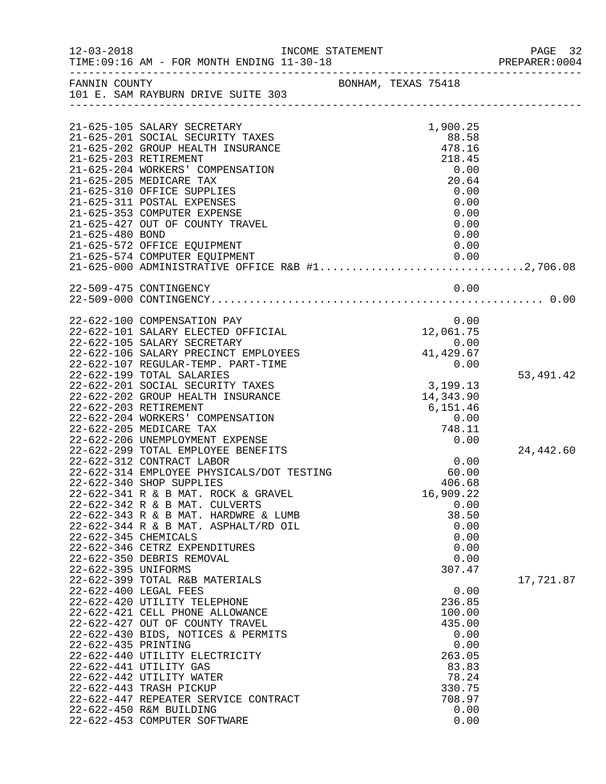| $12 - 03 - 2018$                           | TIME: 09:16 AM - FOR MONTH ENDING 11-30-18                                                                                                                                                                                                                                                                                                                                                                                | INCOME STATEMENT    |                     |                                                                                                                              | PAGE 32<br>PREPARER:0004 |
|--------------------------------------------|---------------------------------------------------------------------------------------------------------------------------------------------------------------------------------------------------------------------------------------------------------------------------------------------------------------------------------------------------------------------------------------------------------------------------|---------------------|---------------------|------------------------------------------------------------------------------------------------------------------------------|--------------------------|
| FANNIN COUNTY                              | 101 E. SAM RAYBURN DRIVE SUITE 303                                                                                                                                                                                                                                                                                                                                                                                        | BONHAM, TEXAS 75418 |                     |                                                                                                                              |                          |
|                                            |                                                                                                                                                                                                                                                                                                                                                                                                                           |                     |                     |                                                                                                                              |                          |
|                                            | 21-625-105 SALARY SECRETARY<br>21-625-201 SOCIAL SECURITY TAXES<br>21-625-202 GROUP HEALTH INSURANCE<br>21-625-203 RETIREMENT<br>21-625-204 WORKERS' COMPENSATION<br>21-625-205 MEDICARE TAX                                                                                                                                                                                                                              |                     |                     | 1,900.25<br>88.58<br>478.16<br>218.45<br>0.00<br>20.64                                                                       |                          |
| 21-625-480 BOND                            | 21-625-310 OFFICE SUPPLIES<br>21-625-311 POSTAL EXPENSES<br>21-625-353 COMPUTER EXPENSE<br>21-625-427 OUT OF COUNTY TRAVEL<br>21-625-572 OFFICE EQUIPMENT                                                                                                                                                                                                                                                                 |                     |                     | 0.00<br>0.00<br>0.00<br>0.00<br>0.00<br>0.00                                                                                 |                          |
|                                            |                                                                                                                                                                                                                                                                                                                                                                                                                           |                     |                     |                                                                                                                              |                          |
|                                            | 22-509-475 CONTINGENCY                                                                                                                                                                                                                                                                                                                                                                                                    |                     |                     | 0.00                                                                                                                         |                          |
|                                            | 22-622-100 COMPENSATION PAY<br>22-622-101 SALARY ELECTED OFFICIAL<br>22-622-105 SALARY SECRETARY<br>22-622-106 SALARY PRECINCT EMPLOYEES<br>22-622-107 REGULAR-TEMP. PART-TIME                                                                                                                                                                                                                                            |                     | $0.00$<br>41,429.67 | 0.00<br>12,061.75<br>0.00                                                                                                    |                          |
|                                            | 22-622-199 TOTAL SALARIES<br>22-622-201 SOCIAL SECURITY TAXES<br>22-622-202 GROUP HEALTH INSURANCE<br>22-622-203 RETIREMENT<br>22-622-204 WORKERS' COMPENSATION<br>22-622-205 MEDICARE TAX                                                                                                                                                                                                                                |                     |                     | 3,199.13<br>14,343.90<br>6,151.46<br>0.00<br>748.11                                                                          | 53,491.42                |
|                                            | 22-622-206 UNEMPLOYMENT EXPENSE<br>22-622-299 TOTAL EMPLOYEE BENEFITS<br>22-622-312 CONTRACT LABOR<br>22-622-314 EMPLOYEE PHYSICALS/DOT TESTING<br>22-622-340 SHOP SUPPLIES                                                                                                                                                                                                                                               |                     |                     | 0.00<br>0.00<br>60.00<br>406.68                                                                                              | 24,442.60                |
| 22-622-345 CHEMICALS                       | 22-622-341 R & B MAT. ROCK & GRAVEL<br>22-622-342 R & B MAT. CULVERTS<br>22-622-343 R & B MAT. HARDWRE & LUMB<br>22-622-344 R & B MAT. ASPHALT/RD OIL<br>22-622-346 CETRZ EXPENDITURES<br>22-622-350 DEBRIS REMOVAL                                                                                                                                                                                                       |                     |                     | 16,909.22<br>0.00<br>38.50<br>0.00<br>0.00<br>0.00<br>0.00                                                                   |                          |
| 22-622-395 UNIFORMS<br>22-622-435 PRINTING | 22-622-399 TOTAL R&B MATERIALS<br>22-622-400 LEGAL FEES<br>22-622-420 UTILITY TELEPHONE<br>22-622-421 CELL PHONE ALLOWANCE<br>22-622-427 OUT OF COUNTY TRAVEL<br>22-622-430 BIDS, NOTICES & PERMITS<br>22-622-440 UTILITY ELECTRICITY<br>22-622-441 UTILITY GAS<br>22-622-442 UTILITY WATER<br>22-622-443 TRASH PICKUP<br>22-622-447 REPEATER SERVICE CONTRACT<br>22-622-450 R&M BUILDING<br>22-622-453 COMPUTER SOFTWARE |                     |                     | 307.47<br>0.00<br>236.85<br>100.00<br>435.00<br>0.00<br>0.00<br>263.05<br>83.83<br>78.24<br>330.75<br>708.97<br>0.00<br>0.00 | 17,721.87                |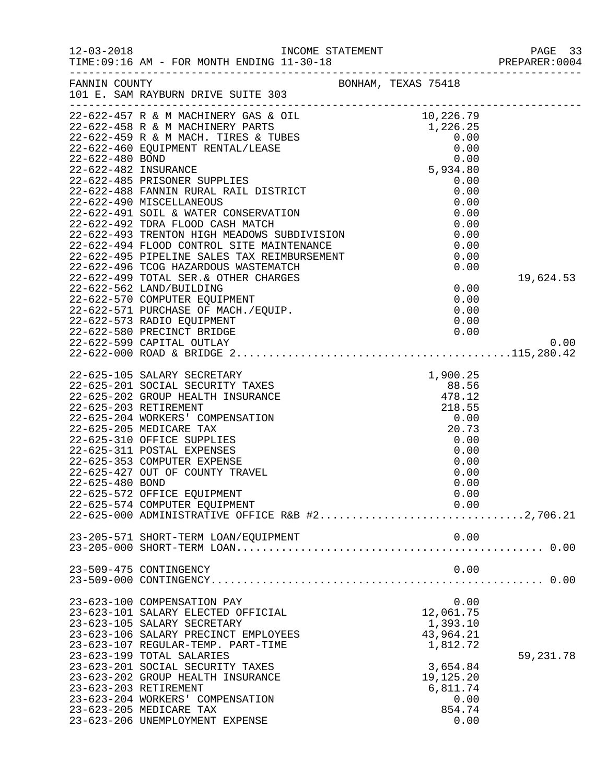|                 |                                                                                                                                                                                                                                                                                                                                                                                                                 |                                                                                                                       | PAGE 33<br>PREPARER:0004 |
|-----------------|-----------------------------------------------------------------------------------------------------------------------------------------------------------------------------------------------------------------------------------------------------------------------------------------------------------------------------------------------------------------------------------------------------------------|-----------------------------------------------------------------------------------------------------------------------|--------------------------|
|                 | FANNIN COUNTY<br>101 E. SAM RAYBURN DRIVE SUITE 303                                                                                                                                                                                                                                                                                                                                                             | BONHAM, TEXAS 75418                                                                                                   |                          |
|                 | 22-622-580 PRECINCT BRIDGE                                                                                                                                                                                                                                                                                                                                                                                      | 0.00                                                                                                                  | 19,624.53                |
|                 | 22-622-599 CAPITAL OUTLAY                                                                                                                                                                                                                                                                                                                                                                                       |                                                                                                                       | 0.00                     |
| 22-625-480 BOND | 22-625-353 COMPUTER EXPENSE<br>22-625-427 OUT OF COUNTY TRAVEL<br>22-625-572 OFFICE EQUIPMENT<br>22-625-574 COMPUTER EQUIPMENT<br>22-625-000 ADMINISTRATIVE OFFICE R&B #22,706.21                                                                                                                                                                                                                               | 0.00<br>0.00<br>0.00<br>0.00<br>0.00                                                                                  |                          |
|                 | 23-205-571 SHORT-TERM LOAN/EQUIPMENT                                                                                                                                                                                                                                                                                                                                                                            | 0.00                                                                                                                  |                          |
|                 | 23-509-475 CONTINGENCY                                                                                                                                                                                                                                                                                                                                                                                          | 0.00                                                                                                                  |                          |
|                 | 23-623-100 COMPENSATION PAY<br>23-623-101 SALARY ELECTED OFFICIAL<br>23-623-105 SALARY SECRETARY<br>23-623-106 SALARY PRECINCT EMPLOYEES<br>23-623-107 REGULAR-TEMP. PART-TIME<br>23-623-199 TOTAL SALARIES<br>23-623-201 SOCIAL SECURITY TAXES<br>23-623-202 GROUP HEALTH INSURANCE<br>23-623-203 RETIREMENT<br>23-623-204 WORKERS' COMPENSATION<br>23-623-205 MEDICARE TAX<br>23-623-206 UNEMPLOYMENT EXPENSE | 0.00<br>12,061.75<br>1,393.10<br>43,964.21<br>1,812.72<br>3,654.84<br>19,125.20<br>6,811.74<br>0.00<br>854.74<br>0.00 | 59,231.78                |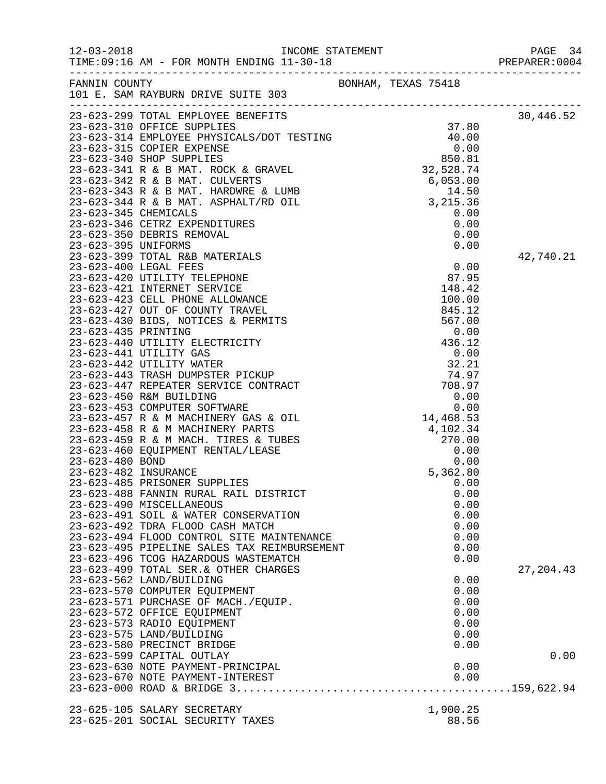|                                                        |                     |  |              | PAGE 34<br>PREPARER: 0004 |
|--------------------------------------------------------|---------------------|--|--------------|---------------------------|
| FANNIN COUNTY<br>101 E. SAM RAYBURN DRIVE SUITE 303    | BONHAM, TEXAS 75418 |  |              |                           |
|                                                        |                     |  |              | 30,446.52                 |
|                                                        |                     |  |              |                           |
|                                                        |                     |  |              |                           |
|                                                        |                     |  |              |                           |
|                                                        |                     |  |              |                           |
|                                                        |                     |  |              |                           |
|                                                        |                     |  |              |                           |
|                                                        |                     |  |              |                           |
|                                                        |                     |  |              |                           |
|                                                        |                     |  |              |                           |
|                                                        |                     |  |              |                           |
|                                                        |                     |  |              |                           |
|                                                        |                     |  |              | 42,740.21                 |
|                                                        |                     |  |              |                           |
|                                                        |                     |  |              |                           |
|                                                        |                     |  |              |                           |
|                                                        |                     |  |              |                           |
|                                                        |                     |  |              |                           |
|                                                        |                     |  |              |                           |
|                                                        |                     |  |              |                           |
|                                                        |                     |  |              |                           |
|                                                        |                     |  |              |                           |
|                                                        |                     |  |              |                           |
|                                                        |                     |  |              |                           |
|                                                        |                     |  |              |                           |
|                                                        |                     |  |              |                           |
|                                                        |                     |  |              |                           |
|                                                        |                     |  |              |                           |
|                                                        |                     |  |              |                           |
|                                                        |                     |  |              |                           |
|                                                        |                     |  |              |                           |
|                                                        |                     |  |              |                           |
| 23-623-485 PRISONER SUPPLIES                           |                     |  | 0.00         |                           |
| 23-623-488 FANNIN RURAL RAIL DISTRICT                  |                     |  | 0.00         |                           |
| 23-623-490 MISCELLANEOUS                               |                     |  | 0.00         |                           |
| 23-623-491 SOIL & WATER CONSERVATION                   |                     |  | 0.00         |                           |
| 23-623-492 TDRA FLOOD CASH MATCH                       |                     |  | 0.00         |                           |
| 23-623-494 FLOOD CONTROL SITE MAINTENANCE              |                     |  | 0.00         |                           |
| 23-623-495 PIPELINE SALES TAX REIMBURSEMENT            |                     |  | 0.00         |                           |
| 23-623-496 TCOG HAZARDOUS WASTEMATCH                   |                     |  | 0.00         |                           |
| 23-623-499 TOTAL SER. & OTHER CHARGES                  |                     |  |              | 27, 204.43                |
| 23-623-562 LAND/BUILDING                               |                     |  | 0.00         |                           |
| 23-623-570 COMPUTER EQUIPMENT                          |                     |  | 0.00         |                           |
| 23-623-571 PURCHASE OF MACH./EQUIP.                    |                     |  | 0.00         |                           |
| 23-623-572 OFFICE EQUIPMENT                            |                     |  | 0.00         |                           |
| 23-623-573 RADIO EQUIPMENT<br>23-623-575 LAND/BUILDING |                     |  | 0.00<br>0.00 |                           |
| 23-623-580 PRECINCT BRIDGE                             |                     |  | 0.00         |                           |
| 23-623-599 CAPITAL OUTLAY                              |                     |  |              | 0.00                      |
| 23-623-630 NOTE PAYMENT-PRINCIPAL                      |                     |  | 0.00         |                           |
| 23-623-670 NOTE PAYMENT-INTEREST                       |                     |  | 0.00         |                           |
|                                                        |                     |  |              |                           |
| 23-625-105 SALARY SECRETARY                            |                     |  | 1,900.25     |                           |
| 23-625-201 SOCIAL SECURITY TAXES                       |                     |  | 88.56        |                           |
|                                                        |                     |  |              |                           |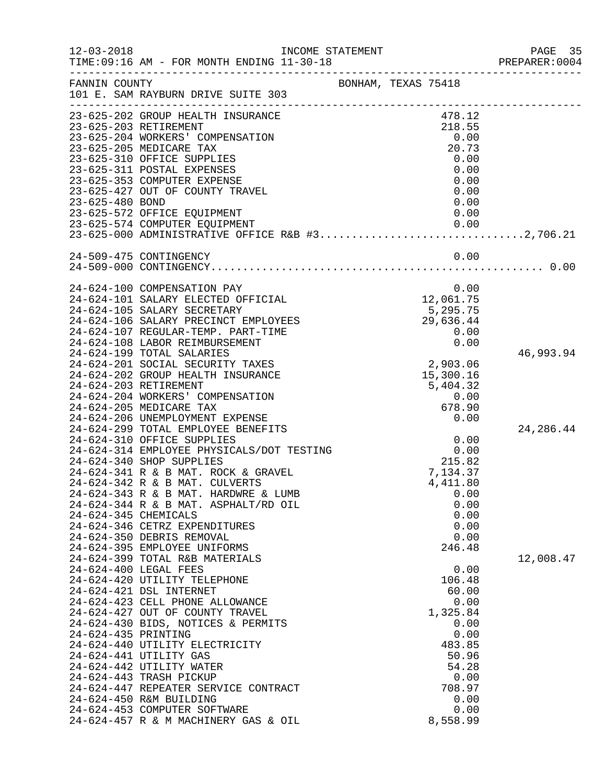| $12 - 03 - 2018$    | TIME: 09:16 AM - FOR MONTH ENDING 11-30-18                                                     | INCOME STATEMENT    |                          | PAGE 35<br>PREPARER: 0004 |
|---------------------|------------------------------------------------------------------------------------------------|---------------------|--------------------------|---------------------------|
| FANNIN COUNTY       | 101 E. SAM RAYBURN DRIVE SUITE 303                                                             | BONHAM, TEXAS 75418 |                          |                           |
|                     | 23-625-202 GROUP HEALTH INSURANCE<br>23-625-203 RETIREMENT<br>23-625-204 WORKERS' COMPENSATION |                     | 478.12<br>218.55<br>0.00 |                           |
|                     | 23-625-205 MEDICARE TAX                                                                        |                     | 20.73                    |                           |
|                     | 23-625-310 OFFICE SUPPLIES                                                                     |                     | 0.00                     |                           |
|                     | 23-625-311 POSTAL EXPENSES                                                                     |                     | 0.00                     |                           |
|                     | 23-625-353 COMPUTER EXPENSE<br>23-625-427 OUT OF COUNTY TRAVEL                                 |                     | 0.00<br>0.00             |                           |
| 23-625-480 BOND     |                                                                                                |                     | 0.00                     |                           |
|                     | 23-625-572 OFFICE EQUIPMENT                                                                    |                     | 0.00                     |                           |
|                     | 23-625-574 COMPUTER EQUIPMENT                                                                  |                     | 0.00                     |                           |
|                     | 23-625-000 ADMINISTRATIVE OFFICE R&B #32,706.21                                                |                     |                          |                           |
|                     | 24-509-475 CONTINGENCY                                                                         |                     | 0.00                     |                           |
|                     |                                                                                                |                     |                          |                           |
|                     | 24-624-100 COMPENSATION PAY                                                                    |                     | 0.00                     |                           |
|                     | 24-624-101 SALARY ELECTED OFFICIAL                                                             |                     | 12,061.75                |                           |
|                     | 24-624-105 SALARY SECRETARY<br>24-624-106 SALARY PRECINCT EMPLOYEES                            |                     | 5,295.75<br>29,636.44    |                           |
|                     | 24-624-107 REGULAR-TEMP. PART-TIME                                                             |                     | 0.00                     |                           |
|                     | 24-624-108 LABOR REIMBURSEMENT                                                                 |                     | 0.00                     |                           |
|                     | 24-624-199 TOTAL SALARIES                                                                      |                     |                          | 46,993.94                 |
|                     | 24-624-201 SOCIAL SECURITY TAXES                                                               |                     | 2,903.06                 |                           |
|                     | 24-624-202 GROUP HEALTH INSURANCE                                                              |                     | 15,300.16                |                           |
|                     | 24-624-203 RETIREMENT                                                                          |                     | 5,404.32                 |                           |
|                     | 24-624-204 WORKERS' COMPENSATION<br>24-624-205 MEDICARE TAX                                    |                     | 0.00<br>678.90           |                           |
|                     | 24-624-206 UNEMPLOYMENT EXPENSE                                                                |                     | 0.00                     |                           |
|                     | 24-624-299 TOTAL EMPLOYEE BENEFITS                                                             |                     |                          | 24, 286.44                |
|                     | 24-624-310 OFFICE SUPPLIES                                                                     |                     | 0.00                     |                           |
|                     | 24-624-314 EMPLOYEE PHYSICALS/DOT TESTING                                                      |                     | $0.00$<br>$215.82$       |                           |
|                     | 24-624-340 SHOP SUPPLIES                                                                       |                     |                          |                           |
|                     | 24-624-341 R & B MAT. ROCK & GRAVEL<br>24-624-342 R & B MAT. CULVERTS                          |                     | 7,134.37<br>4,411.80     |                           |
|                     | 24-624-343 R & B MAT. HARDWRE & LUMB                                                           |                     | 0.00                     |                           |
|                     | 24-624-344 R & B MAT. ASPHALT/RD OIL                                                           |                     | 0.00                     |                           |
|                     | 24-624-345 CHEMICALS                                                                           |                     | 0.00                     |                           |
|                     | 24-624-346 CETRZ EXPENDITURES                                                                  |                     | 0.00                     |                           |
|                     | 24-624-350 DEBRIS REMOVAL                                                                      |                     | 0.00                     |                           |
|                     | 24-624-395 EMPLOYEE UNIFORMS<br>24-624-399 TOTAL R&B MATERIALS                                 |                     | 246.48                   | 12,008.47                 |
|                     | 24-624-400 LEGAL FEES                                                                          |                     | 0.00                     |                           |
|                     | 24-624-420 UTILITY TELEPHONE                                                                   |                     | 106.48                   |                           |
|                     | 24-624-421 DSL INTERNET                                                                        |                     | 60.00                    |                           |
|                     | 24-624-423 CELL PHONE ALLOWANCE                                                                |                     | 0.00                     |                           |
|                     | 24-624-427 OUT OF COUNTY TRAVEL                                                                |                     | 1,325.84                 |                           |
|                     | 24-624-430 BIDS, NOTICES & PERMITS                                                             |                     | 0.00                     |                           |
| 24-624-435 PRINTING | 24-624-440 UTILITY ELECTRICITY                                                                 |                     | 0.00<br>483.85           |                           |
|                     | 24-624-441 UTILITY GAS                                                                         |                     | 50.96                    |                           |
|                     | 24-624-442 UTILITY WATER                                                                       |                     | 54.28                    |                           |
|                     | 24-624-443 TRASH PICKUP                                                                        |                     | 0.00                     |                           |
|                     | 24-624-447 REPEATER SERVICE CONTRACT                                                           |                     | 708.97                   |                           |
|                     | 24-624-450 R&M BUILDING                                                                        |                     | 0.00                     |                           |
|                     | 24-624-453 COMPUTER SOFTWARE                                                                   |                     | 0.00                     |                           |
|                     | 24-624-457 R & M MACHINERY GAS & OIL                                                           |                     | 8,558.99                 |                           |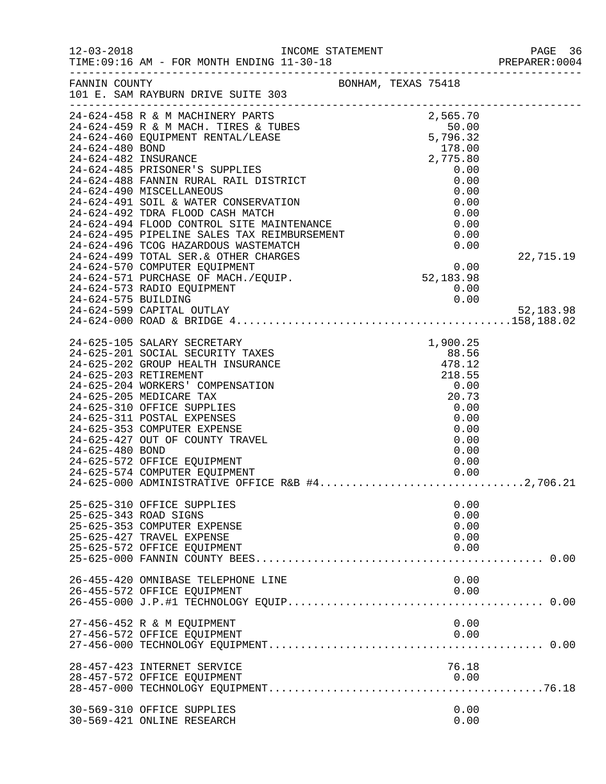| $12 - 03 - 2018$    | TIME: 09:16 AM - FOR MONTH ENDING 11-30-18                                                                                                                                                                                                                                                                                                                                                                                                    |                                                                                                              |                        |
|---------------------|-----------------------------------------------------------------------------------------------------------------------------------------------------------------------------------------------------------------------------------------------------------------------------------------------------------------------------------------------------------------------------------------------------------------------------------------------|--------------------------------------------------------------------------------------------------------------|------------------------|
| FANNIN COUNTY       | -------------------------<br>101 E. SAM RAYBURN DRIVE SUITE 303                                                                                                                                                                                                                                                                                                                                                                               | BONHAM, TEXAS 75418                                                                                          |                        |
|                     | 24-624-458 R & M MACHINERY PARTS<br>24-624-459 R & M MACH. TIRES & TUBES<br>24-624-460 EQUIPMENT RENTAL/LEASE 5,796.32<br>24-624-480 BOND 178.00                                                                                                                                                                                                                                                                                              |                                                                                                              |                        |
| 24-624-575 BUILDING | 24-624-573 RADIO EQUIPMENT<br>24-624-599 CAPITAL OUTLAY                                                                                                                                                                                                                                                                                                                                                                                       | 0.00<br>0.00                                                                                                 | 22,715.19<br>52,183.98 |
| 24-625-480 BOND     | 24-625-105 SALARY SECRETARY<br>24-625-201 SOCIAL SECURITY TAXES<br>24-625-202 GROUP HEALTH INSURANCE<br>24-625-203 RETIREMENT<br>24-625-204 WORKERS' COMPENSATION<br>24-625-205 MEDICARE TAX<br>24-625-310 OFFICE SUPPLIES<br>24-625-311 POSTAL EXPENSES<br>24-625-353 COMPUTER EXPENSE<br>24-625-427 OUT OF COUNTY TRAVEL<br>24-625-572 OFFICE EQUIPMENT<br>24-625-574 COMPUTER EQUIPMENT<br>24-625-000 ADMINISTRATIVE OFFICE R&B #42,706.21 | XES 88.56<br>ANCE 88.56<br>218.12<br>218.55<br>20.73<br>0.00<br>0.00<br>0.00<br>0.00<br>0.00<br>0.00<br>0.00 |                        |
|                     | 25-625-310 OFFICE SUPPLIES<br>25-625-343 ROAD SIGNS<br>25-625-353 COMPUTER EXPENSE<br>25-625-427 TRAVEL EXPENSE<br>25-625-572 OFFICE EQUIPMENT                                                                                                                                                                                                                                                                                                | 0.00<br>0.00<br>0.00<br>0.00<br>0.00                                                                         |                        |
|                     | 26-455-420 OMNIBASE TELEPHONE LINE<br>26-455-572 OFFICE EQUIPMENT                                                                                                                                                                                                                                                                                                                                                                             | 0.00<br>0.00                                                                                                 |                        |
|                     | 27-456-452 R & M EQUIPMENT<br>27-456-572 OFFICE EQUIPMENT                                                                                                                                                                                                                                                                                                                                                                                     | 0.00<br>0.00                                                                                                 |                        |
|                     | 28-457-423 INTERNET SERVICE<br>28-457-572 OFFICE EQUIPMENT                                                                                                                                                                                                                                                                                                                                                                                    | 76.18<br>0.00                                                                                                |                        |
|                     | 30-569-310 OFFICE SUPPLIES<br>30-569-421 ONLINE RESEARCH                                                                                                                                                                                                                                                                                                                                                                                      | 0.00<br>0.00                                                                                                 |                        |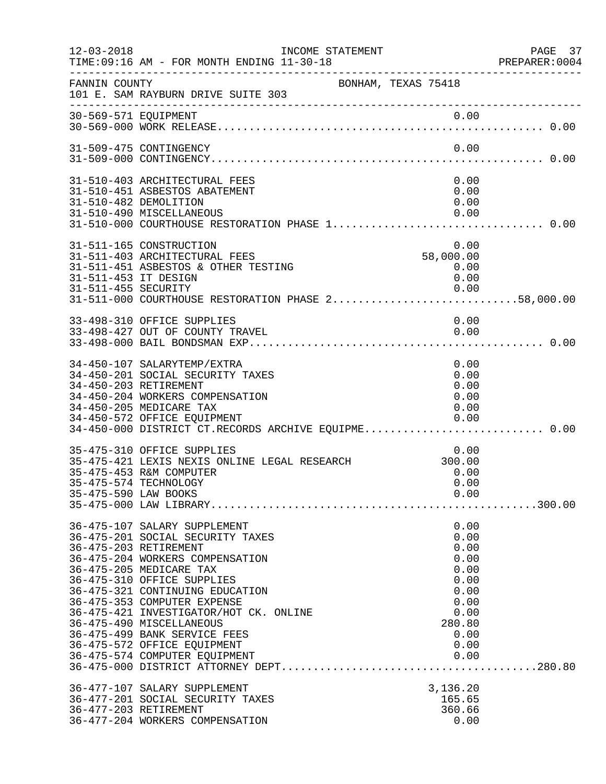| $12 - 03 - 2018$     | INCOME STATEMENT<br>TIME: 09:16 AM - FOR MONTH ENDING 11-30-18<br>___________________________                                                                                                                                                                                                                                                                                                                                 |                                                                                                        | PAGE 37<br>PREPARER: 0004 |
|----------------------|-------------------------------------------------------------------------------------------------------------------------------------------------------------------------------------------------------------------------------------------------------------------------------------------------------------------------------------------------------------------------------------------------------------------------------|--------------------------------------------------------------------------------------------------------|---------------------------|
| FANNIN COUNTY        | 101 E. SAM RAYBURN DRIVE SUITE 303                                                                                                                                                                                                                                                                                                                                                                                            | BONHAM, TEXAS 75418                                                                                    |                           |
|                      |                                                                                                                                                                                                                                                                                                                                                                                                                               |                                                                                                        |                           |
|                      | 31-509-475 CONTINGENCY                                                                                                                                                                                                                                                                                                                                                                                                        | 0.00                                                                                                   |                           |
|                      | 31-510-403 ARCHITECTURAL FEES<br>31-510-451 ASBESTOS ABATEMENT<br>31-510-482 DEMOLITION<br>31-510-490 MISCELLANEOUS<br>31-510-000 COURTHOUSE RESTORATION PHASE 1 0.00                                                                                                                                                                                                                                                         | 0.00<br>0.00<br>0.00<br>0.00                                                                           |                           |
| 31-511-453 IT DESIGN | 31-511-165 CONSTRUCTION<br>31-511-403 ARCHITECTURAL FEES<br>31-511-451 ASBESTOS & OTHER TESTING<br>0.00   0.00   0.00   0.00   0.00   0.00   0.00<br>31-511-000   COURTHOUSE RESTORATION PHASE 258,000.00                                                                                                                                                                                                                     | 0.00<br>58,000.00<br>0.00<br>0.00                                                                      |                           |
|                      | 33-498-310 OFFICE SUPPLIES<br>33-498-427 OUT OF COUNTY TRAVEL                                                                                                                                                                                                                                                                                                                                                                 | 0.00<br>0.00                                                                                           |                           |
|                      | 34-450-107 SALARYTEMP/EXTRA<br>34-450-201 SOCIAL SECURITY TAXES<br>34-450-203 RETIREMENT<br>34-450-204 WORKERS COMPENSATION<br>34-450-205 MEDICARE TAX<br>34-450-572 OFFICE EQUIPMENT<br>34-450-000 DISTRICT CT.RECORDS ARCHIVE EQUIPME 0.00                                                                                                                                                                                  | 0.00<br>0.00<br>0.00<br>0.00<br>0.00<br>0.00                                                           |                           |
|                      | 35-475-310 OFFICE SUPPLIES<br>35-475-421 LEXIS NEXIS ONLINE LEGAL RESEARCH<br>35-475-453 R&M COMPUTER<br>35-475-574 TECHNOLOGY                                                                                                                                                                                                                                                                                                | 0.00<br>300.00<br>0.00<br>0.00                                                                         |                           |
|                      | 36-475-107 SALARY SUPPLEMENT<br>36-475-201 SOCIAL SECURITY TAXES<br>36-475-203 RETIREMENT<br>36-475-204 WORKERS COMPENSATION<br>36-475-205 MEDICARE TAX<br>36-475-310 OFFICE SUPPLIES<br>36-475-321 CONTINUING EDUCATION<br>36-475-353 COMPUTER EXPENSE<br>36-475-421 INVESTIGATOR/HOT CK. ONLINE<br>36-475-490 MISCELLANEOUS<br>36-475-499 BANK SERVICE FEES<br>36-475-572 OFFICE EQUIPMENT<br>36-475-574 COMPUTER EQUIPMENT | 0.00<br>0.00<br>0.00<br>0.00<br>0.00<br>0.00<br>0.00<br>0.00<br>0.00<br>280.80<br>0.00<br>0.00<br>0.00 |                           |
|                      | 36-477-107 SALARY SUPPLEMENT<br>36-477-201 SOCIAL SECURITY TAXES<br>36-477-203 RETIREMENT<br>36-477-204 WORKERS COMPENSATION                                                                                                                                                                                                                                                                                                  | 3,136.20<br>165.65<br>360.66<br>0.00                                                                   |                           |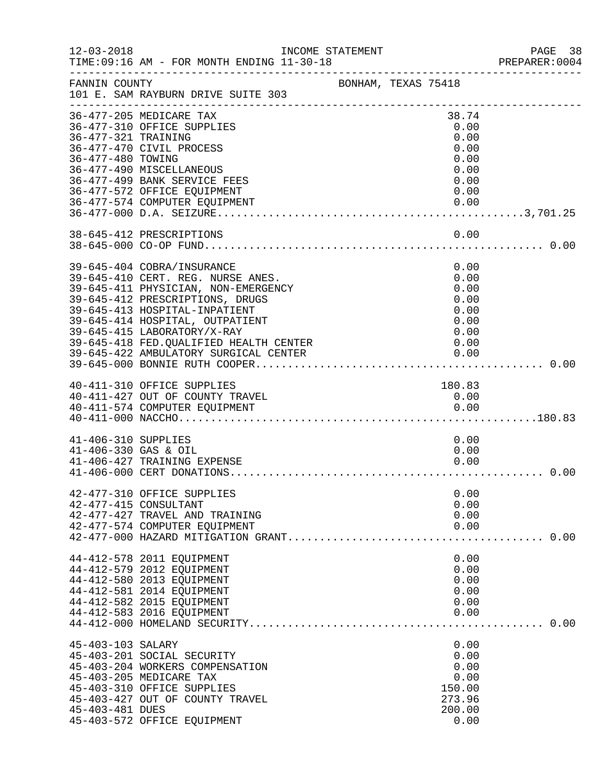| $12 - 03 - 2018$     | INCOME STATEMENT<br>TIME: 09:16 AM - FOR MONTH ENDING 11-30-18 |  |              | PAGE 38<br>PREPARER: 0004 |
|----------------------|----------------------------------------------------------------|--|--------------|---------------------------|
| FANNIN COUNTY        | BONHAM, TEXAS 75418                                            |  |              |                           |
|                      | 101 E. SAM RAYBURN DRIVE SUITE 303                             |  |              |                           |
|                      | 36-477-205 MEDICARE TAX                                        |  | 38.74        |                           |
|                      | 36-477-310 OFFICE SUPPLIES                                     |  | 0.00         |                           |
| 36-477-321 TRAINING  |                                                                |  | 0.00         |                           |
|                      | 36-477-470 CIVIL PROCESS                                       |  | 0.00         |                           |
| 36-477-480 TOWING    |                                                                |  | 0.00         |                           |
|                      | 36-477-490 MISCELLANEOUS                                       |  | 0.00         |                           |
|                      | 36-477-499 BANK SERVICE FEES                                   |  | 0.00         |                           |
|                      | 36-477-572 OFFICE EQUIPMENT                                    |  | 0.00         |                           |
|                      | 36-477-574 COMPUTER EQUIPMENT                                  |  | 0.00         |                           |
|                      |                                                                |  |              |                           |
|                      | 38-645-412 PRESCRIPTIONS                                       |  | 0.00         |                           |
|                      |                                                                |  |              |                           |
|                      |                                                                |  |              |                           |
|                      | 39-645-404 COBRA/INSURANCE                                     |  | 0.00         |                           |
|                      | 39-645-410 CERT. REG. NURSE ANES.                              |  | 0.00         |                           |
|                      | 39-645-411 PHYSICIAN, NON-EMERGENCY                            |  | 0.00         |                           |
|                      | 39-645-412 PRESCRIPTIONS, DRUGS                                |  | 0.00         |                           |
|                      | 39-645-413 HOSPITAL-INPATIENT                                  |  | 0.00         |                           |
|                      | 39-645-414 HOSPITAL, OUTPATIENT                                |  | 0.00         |                           |
|                      | 39-645-415 LABORATORY/X-RAY                                    |  | 0.00         |                           |
|                      | 39-645-418 FED. QUALIFIED HEALTH CENTER                        |  | 0.00         |                           |
|                      |                                                                |  |              |                           |
|                      |                                                                |  |              |                           |
|                      | 40-411-310 OFFICE SUPPLIES                                     |  | 180.83       |                           |
|                      | 40-411-427 OUT OF COUNTY TRAVEL                                |  | 0.00         |                           |
|                      | 40-411-574 COMPUTER EQUIPMENT                                  |  |              |                           |
|                      |                                                                |  |              |                           |
| 41-406-310 SUPPLIES  |                                                                |  | 0.00         |                           |
| 41-406-330 GAS & OIL |                                                                |  | 0.00         |                           |
|                      | 41-406-427 TRAINING EXPENSE                                    |  | 0.00         |                           |
|                      |                                                                |  |              |                           |
|                      |                                                                |  |              |                           |
|                      | 42-477-310 OFFICE SUPPLIES                                     |  | 0.00         |                           |
|                      | 42-477-415 CONSULTANT                                          |  | 0.00         |                           |
|                      | 42-477-427 TRAVEL AND TRAINING                                 |  | 0.00         |                           |
|                      | 42-477-574 COMPUTER EQUIPMENT                                  |  | 0.00         |                           |
|                      |                                                                |  |              |                           |
|                      | 44-412-578 2011 EQUIPMENT                                      |  | 0.00         |                           |
|                      | 44-412-579 2012 EQUIPMENT                                      |  | 0.00         |                           |
|                      | 44-412-580 2013 EQUIPMENT                                      |  | 0.00         |                           |
|                      | 44-412-581 2014 EQUIPMENT                                      |  | 0.00         |                           |
|                      | 44-412-582 2015 EQUIPMENT                                      |  | 0.00         |                           |
|                      | 44-412-583 2016 EQUIPMENT                                      |  | 0.00         |                           |
|                      |                                                                |  |              |                           |
|                      |                                                                |  |              |                           |
| 45-403-103 SALARY    | 45-403-201 SOCIAL SECURITY                                     |  | 0.00<br>0.00 |                           |
|                      | 45-403-204 WORKERS COMPENSATION                                |  | 0.00         |                           |
|                      | 45-403-205 MEDICARE TAX                                        |  | 0.00         |                           |
|                      | 45-403-310 OFFICE SUPPLIES                                     |  | 150.00       |                           |
|                      | 45-403-427 OUT OF COUNTY TRAVEL                                |  | 273.96       |                           |
| 45-403-481 DUES      |                                                                |  | 200.00       |                           |
|                      | 45-403-572 OFFICE EQUIPMENT                                    |  | 0.00         |                           |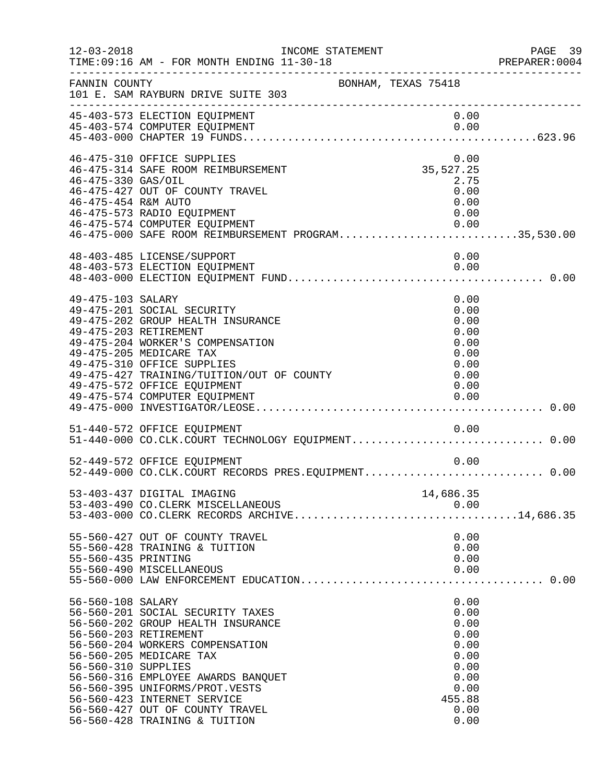| $12 - 03 - 2018$                          | INCOME STATEMENT<br>TIME: 09:16 AM - FOR MONTH ENDING 11-30-18                                                                                                                                                                                                                                                                          |                     |                                                                                                | PAGE 39<br>PREPARER: 0004 |
|-------------------------------------------|-----------------------------------------------------------------------------------------------------------------------------------------------------------------------------------------------------------------------------------------------------------------------------------------------------------------------------------------|---------------------|------------------------------------------------------------------------------------------------|---------------------------|
| FANNIN COUNTY                             | 101 E. SAM RAYBURN DRIVE SUITE 303                                                                                                                                                                                                                                                                                                      | BONHAM, TEXAS 75418 |                                                                                                |                           |
|                                           | 45-403-573 ELECTION EQUIPMENT                                                                                                                                                                                                                                                                                                           |                     | 0.00                                                                                           |                           |
| 46-475-330 GAS/OIL<br>46-475-454 R&M AUTO | 46-475-310 OFFICE SUPPLIES<br>46-475-314 SAFE ROOM REIMBURSEMENT<br>46-475-427 OUT OF COUNTY TRAVEL<br>46-475-573 RADIO EQUIPMENT<br>46-475-574 COMPUTER EQUIPMENT<br>46-475-574 COMPUTER EQUIPMENT<br>46-475-000 SAFE ROOM REIMBURSEMENT PROGRAM35,530.00                                                                              |                     | 0.00<br>35, 527. 25<br>2.75<br>0.00<br>0.00<br>0.00<br>0.00                                    |                           |
|                                           | 48-403-485 LICENSE/SUPPORT                                                                                                                                                                                                                                                                                                              |                     | 0.00                                                                                           |                           |
| 49-475-103 SALARY                         | 49-475-201 SOCIAL SECURITY<br>49-475-202 GROUP HEALTH INSURANCE<br>49-475-203 RETIREMENT<br>49-475-204 WORKER'S COMPENSATION<br>49-475-205 MEDICARE TAX<br>49-475-310 OFFICE SUPPLIES<br>49-475-427 TRAINING/TUITION/OUT OF COUNTY<br>49-475-572 OFFICE EQUIPMENT<br>49-475-574 COMPUTER EQUIPMENT                                      |                     | 0.00<br>0.00<br>0.00<br>0.00<br>0.00<br>0.00<br>0.00<br>0.00<br>0.00<br>0.00                   |                           |
|                                           | 51-440-572 OFFICE EQUIPMENT<br>51-440-572 OFFICE EQUIPMENT<br>51-440-000 CO.CLK.COURT TECHNOLOGY EQUIPMENT0.00                                                                                                                                                                                                                          |                     | 0.00                                                                                           |                           |
|                                           | 52-449-572 OFFICE EQUIPMENT<br>52-449-000 CO.CLK.COURT RECORDS PRES.EQUIPMENT 0.00                                                                                                                                                                                                                                                      |                     | 0.00                                                                                           |                           |
|                                           | 53-403-437 DIGITAL IMAGING<br>53-403-490 CO. CLERK MISCELLANEOUS<br>53-403-490 CO.CLERK MISCELLANEOUS 0.00<br>53-403-000 CO.CLERK RECORDS ARCHIVE14,686.35                                                                                                                                                                              |                     | 14,686.35<br>0.00                                                                              |                           |
| 55-560-435 PRINTING                       | 55-560-427 OUT OF COUNTY TRAVEL<br>55-560-428 TRAINING & TUITION<br>55-560-490 MISCELLANEOUS                                                                                                                                                                                                                                            |                     | 0.00<br>0.00<br>0.00<br>0.00                                                                   |                           |
| 56-560-108 SALARY<br>56-560-310 SUPPLIES  | 56-560-201 SOCIAL SECURITY TAXES<br>56-560-202 GROUP HEALTH INSURANCE<br>56-560-203 RETIREMENT<br>56-560-204 WORKERS COMPENSATION<br>56-560-205 MEDICARE TAX<br>56-560-316 EMPLOYEE AWARDS BANQUET<br>56-560-395 UNIFORMS/PROT.VESTS<br>56-560-423 INTERNET SERVICE<br>56-560-427 OUT OF COUNTY TRAVEL<br>56-560-428 TRAINING & TUITION |                     | 0.00<br>0.00<br>0.00<br>0.00<br>0.00<br>0.00<br>0.00<br>0.00<br>0.00<br>455.88<br>0.00<br>0.00 |                           |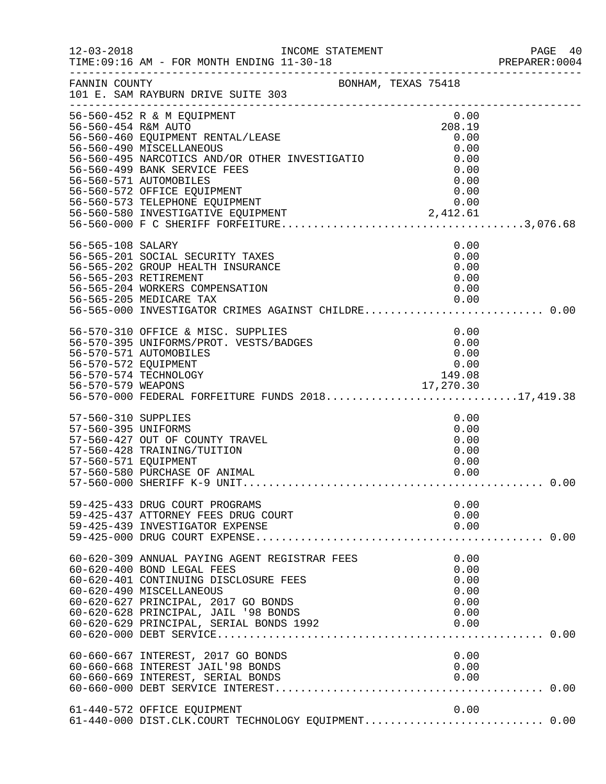|                                                                    |                                                                                                                                                                                                                                                                                                      |                                                                        | PREPARER: 0004 |
|--------------------------------------------------------------------|------------------------------------------------------------------------------------------------------------------------------------------------------------------------------------------------------------------------------------------------------------------------------------------------------|------------------------------------------------------------------------|----------------|
|                                                                    | FANNIN COUNTY BONHAM, TEXAS 75418<br>101 E. SAM RAYBURN DRIVE SUITE 303                                                                                                                                                                                                                              |                                                                        |                |
| 56-560-454 R&M AUTO                                                | 56-560-452 R & M EQUIPMENT<br>56-560-460 EQUIPMENT RENTAL/LEASE<br>56-560-490 MISCELLANEOUS<br>56-560-490 MISCELLANEOUS<br>56-560-495 NARCOTICS AND/OR OTHER INVESTIGATIO<br>56-560-499 BANK SERVICE FEES<br>56-560-571 AUTOMOBILES<br>56-560-572 OFFICE EQUIPMENT<br>56-560-573 TELEPHONE EQUIPMENT | 0.00<br>208.19<br>0.00<br>0.00<br>0.00<br>0.00<br>0.00<br>0.00<br>0.00 |                |
| 56-565-108 SALARY                                                  | 56-565-201 SOCIAL SECURITY TAXES<br>56-565-202 GROUP HEALTH INSURANCE<br>56-565-203 RETIREMENT<br>56-565-204 WORKERS COMPENSATION<br>56-565-205 MEDICARE TAX<br>56-565-000 INVESTIGATOR CRIMES AGAINST CHILDRE 0.00                                                                                  | 0.00<br>0.00<br>0.00<br>0.00<br>0.00<br>0.00                           |                |
| 56-570-572 EQUIPMENT                                               | 56-570-310 OFFICE & MISC. SUPPLIES<br>56-570-395 UNIFORMS/PROT. VESTS/BADGES<br>56-570-571 AUTOMOBILES<br>56-570-574 TECHNOLOGY<br>56-570-579 WEAPONS 17,270.30<br>56-570-000 FEDERAL FORFEITURE FUNDS 201817,419.38                                                                                 | 0.00<br>0.00<br>0.00<br>0.00<br>149.08                                 |                |
| 57-560-310 SUPPLIES<br>57-560-395 UNIFORMS<br>57-560-571 EQUIPMENT | 57-560-427 OUT OF COUNTY TRAVEL<br>57-560-428 TRAINING/TUITION<br>57-560-580 PURCHASE OF ANIMAL                                                                                                                                                                                                      | 0.00<br>0.00<br>0.00<br>0.00<br>0.00<br>0.00                           |                |
|                                                                    | 59-425-433 DRUG COURT PROGRAMS<br>59-425-437 ATTORNEY FEES DRUG COURT<br>59-425-439 INVESTIGATOR EXPENSE                                                                                                                                                                                             | 0.00<br>0.00<br>0.00                                                   |                |
|                                                                    | 60-620-309 ANNUAL PAYING AGENT REGISTRAR FEES<br>60-620-400 BOND LEGAL FEES<br>60-620-401 CONTINUING DISCLOSURE FEES<br>60-620-490 MISCELLANEOUS<br>60-620-627 PRINCIPAL, 2017 GO BONDS<br>60-620-628 PRINCIPAL, JAIL '98 BONDS<br>60-620-629 PRINCIPAL, SERIAL BONDS 1992                           | 0.00<br>0.00<br>0.00<br>0.00<br>0.00<br>0.00<br>0.00                   |                |
|                                                                    | 60-660-667 INTEREST, 2017 GO BONDS<br>60-660-668 INTEREST JAIL'98 BONDS<br>60-660-669 INTEREST, SERIAL BONDS                                                                                                                                                                                         | 0.00<br>0.00<br>0.00                                                   |                |
|                                                                    | 61-440-572 OFFICE EQUIPMENT<br>61-440-000 DIST.CLK.COURT TECHNOLOGY EQUIPMENT 0.00                                                                                                                                                                                                                   | 0.00                                                                   |                |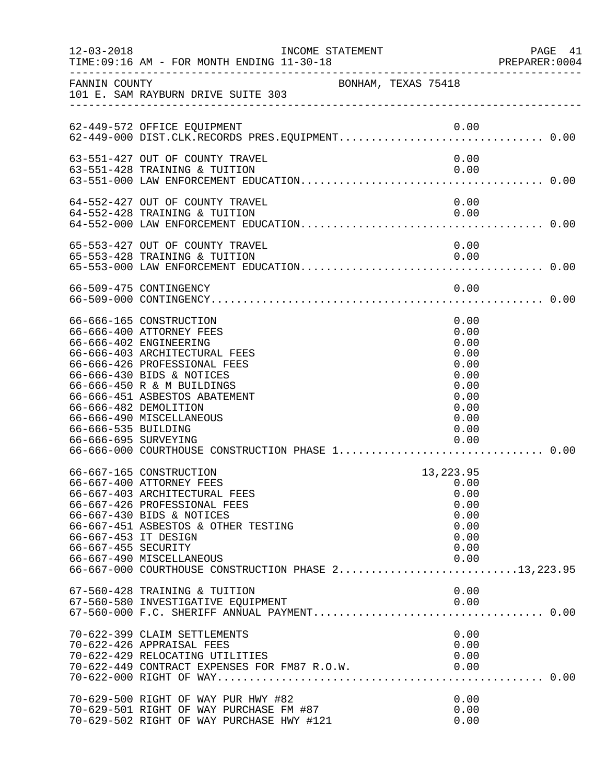| $12 - 03 - 2018$                            | INCOME STATEMENT<br>TIME: 09:16 AM - FOR MONTH ENDING 11-30-18                                                                                                                                                                                                                                                                                     |                     |                                                                                              | PAGE 41<br>PREPARER: 0004 |
|---------------------------------------------|----------------------------------------------------------------------------------------------------------------------------------------------------------------------------------------------------------------------------------------------------------------------------------------------------------------------------------------------------|---------------------|----------------------------------------------------------------------------------------------|---------------------------|
| FANNIN COUNTY                               | 101 E. SAM RAYBURN DRIVE SUITE 303                                                                                                                                                                                                                                                                                                                 | BONHAM, TEXAS 75418 |                                                                                              |                           |
|                                             | 62-449-572 OFFICE EQUIPMENT                                                                                                                                                                                                                                                                                                                        |                     | 0.00                                                                                         |                           |
|                                             | 63-551-427 OUT OF COUNTY TRAVEL<br>63-551-428 TRAINING & TUITION                                                                                                                                                                                                                                                                                   |                     | 0.00<br>0.00                                                                                 |                           |
|                                             | 64-552-427 OUT OF COUNTY TRAVEL<br>64-552-428 TRAINING & TUITION                                                                                                                                                                                                                                                                                   |                     | 0.00<br>0.00                                                                                 |                           |
|                                             | 65-553-427 OUT OF COUNTY TRAVEL<br>65-553-428 TRAINING & TUITION                                                                                                                                                                                                                                                                                   |                     | 0.00<br>0.00                                                                                 |                           |
|                                             | 66-509-475 CONTINGENCY                                                                                                                                                                                                                                                                                                                             |                     | 0.00                                                                                         |                           |
| 66-666-535 BUILDING<br>66-666-695 SURVEYING | 66-666-165 CONSTRUCTION<br>66-666-400 ATTORNEY FEES<br>66-666-402 ENGINEERING<br>66-666-403 ARCHITECTURAL FEES<br>66-666-426 PROFESSIONAL FEES<br>66-666-430 BIDS & NOTICES<br>66-666-450 R & M BUILDINGS<br>66-666-451 ASBESTOS ABATEMENT<br>66-666-482 DEMOLITION<br>66-666-490 MISCELLANEOUS<br>66-666-000 COURTHOUSE CONSTRUCTION PHASE 1 0.00 |                     | 0.00<br>0.00<br>0.00<br>0.00<br>0.00<br>0.00<br>0.00<br>0.00<br>0.00<br>0.00<br>0.00<br>0.00 |                           |
| 66-667-453 IT DESIGN<br>66-667-455 SECURITY | 66-667-165 CONSTRUCTION<br>66-667-400 ATTORNEY FEES<br>66-667-403 ARCHITECTURAL FEES<br>66-667-426 PROFESSIONAL FEES<br>66-667-430 BIDS & NOTICES<br>66-667-451 ASBESTOS & OTHER TESTING<br>66-667-490 MISCELLANEOUS                                                                                                                               |                     | 13, 223.95<br>0.00<br>0.00<br>0.00<br>0.00<br>0.00<br>0.00<br>0.00<br>0.00                   |                           |
|                                             | 67-560-428 TRAINING & TUITION<br>67-560-580 INVESTIGATIVE EQUIPMENT                                                                                                                                                                                                                                                                                |                     | 0.00<br>0.00                                                                                 |                           |
|                                             | 70-622-399 CLAIM SETTLEMENTS<br>70-622-426 APPRAISAL FEES<br>70-622-429 RELOCATING UTILITIES<br>70-622-449 CONTRACT EXPENSES FOR FM87 R.O.W.                                                                                                                                                                                                       |                     | 0.00<br>0.00<br>0.00<br>0.00                                                                 |                           |
|                                             | 70-629-500 RIGHT OF WAY PUR HWY #82<br>70-629-501 RIGHT OF WAY PURCHASE FM #87<br>70-629-502 RIGHT OF WAY PURCHASE HWY #121                                                                                                                                                                                                                        |                     | 0.00<br>0.00<br>0.00                                                                         |                           |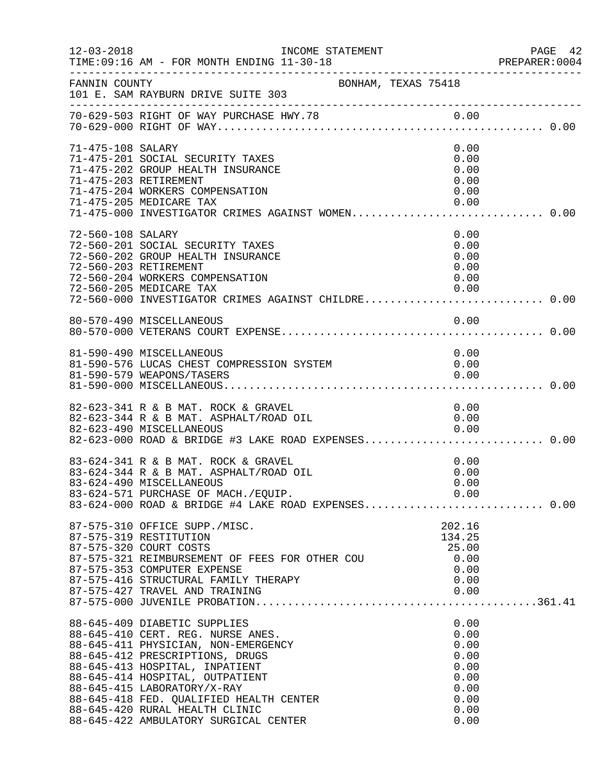| $12 - 03 - 2018$  | INCOME STATEMENT<br>TIME: 09:16 AM - FOR MONTH ENDING 11-30-18                                                                                                                                                                                                                                                                                                        |                                                                              | PAGE 42<br>PREPARER: 0004 |
|-------------------|-----------------------------------------------------------------------------------------------------------------------------------------------------------------------------------------------------------------------------------------------------------------------------------------------------------------------------------------------------------------------|------------------------------------------------------------------------------|---------------------------|
| FANNIN COUNTY     | BONHAM, TEXAS 75418<br>101 E. SAM RAYBURN DRIVE SUITE 303                                                                                                                                                                                                                                                                                                             |                                                                              |                           |
|                   |                                                                                                                                                                                                                                                                                                                                                                       |                                                                              |                           |
| 71-475-108 SALARY | 71-475-201 SOCIAL SECURITY TAXES<br>71-475-202 GROUP HEALTH INSURANCE<br>71-475-203 RETIREMENT<br>71-475-204 WORKERS COMPENSATION<br>71-475-205 MEDICARE TAX<br>71-475-000 INVESTIGATOR CRIMES AGAINST WOMEN 0.00                                                                                                                                                     | 0.00<br>0.00<br>0.00<br>0.00<br>0.00<br>0.00                                 |                           |
| 72-560-108 SALARY | 72-560-201 SOCIAL SECURITY TAXES<br>72-560-202 GROUP HEALTH INSURANCE<br>72-560-203 RETIREMENT<br>72-560-204 WORKERS COMPENSATION<br>72-560-205 MEDICARE TAX<br>72-560-000 INVESTIGATOR CRIMES AGAINST CHILDRE 0.00                                                                                                                                                   | 0.00<br>0.00<br>0.00<br>0.00<br>0.00<br>0.00                                 |                           |
|                   | 80-570-490 MISCELLANEOUS                                                                                                                                                                                                                                                                                                                                              | 0.00                                                                         |                           |
|                   | 81-590-490 MISCELLANEOUS<br>81-590-576 LUCAS CHEST COMPRESSION SYSTEM<br>81-590-579 WEAPONS/TASERS                                                                                                                                                                                                                                                                    | 0.00<br>0.00<br>0.00                                                         |                           |
|                   | 82-623-341 R & B MAT. ROCK & GRAVEL<br>82-623-344 R & B MAT. ASPHALT/ROAD OIL<br>82-623-490 MISCELLANEOUS                                                                                                                                                                                                                                                             | 0.00<br>0.00<br>0.00                                                         |                           |
|                   | 83-624-341 R & B MAT. ROCK & GRAVEL<br>83-624-344 R & B MAT. ASPHALT/ROAD OIL<br>83-624-490 MISCELLANEOUS<br>83-624-571 PURCHASE OF MACH./EQUIP. 0.00<br>83-624-000 ROAD & BRIDGE #4 LAKE ROAD EXPENSES0.00                                                                                                                                                           | 0.00<br>0.00<br>0.00                                                         |                           |
|                   | 87-575-310 OFFICE SUPP./MISC.<br>87-575-319 RESTITUTION<br>87-575-320 COURT COSTS<br>87-575-321 REIMBURSEMENT OF FEES FOR OTHER COU<br>87-575-353 COMPUTER EXPENSE                                                                                                                                                                                                    | 202.16<br>134.25<br>25.00<br>0.00<br>0.00                                    |                           |
|                   | 88-645-409 DIABETIC SUPPLIES<br>88-645-410 CERT. REG. NURSE ANES.<br>88-645-411 PHYSICIAN, NON-EMERGENCY<br>88-645-412 PRESCRIPTIONS, DRUGS<br>88-645-413 HOSPITAL, INPATIENT<br>88-645-414 HOSPITAL, OUTPATIENT<br>88-645-415 LABORATORY/X-RAY<br>88-645-418 FED. QUALIFIED HEALTH CENTER<br>88-645-420 RURAL HEALTH CLINIC<br>88-645-422 AMBULATORY SURGICAL CENTER | 0.00<br>0.00<br>0.00<br>0.00<br>0.00<br>0.00<br>0.00<br>0.00<br>0.00<br>0.00 |                           |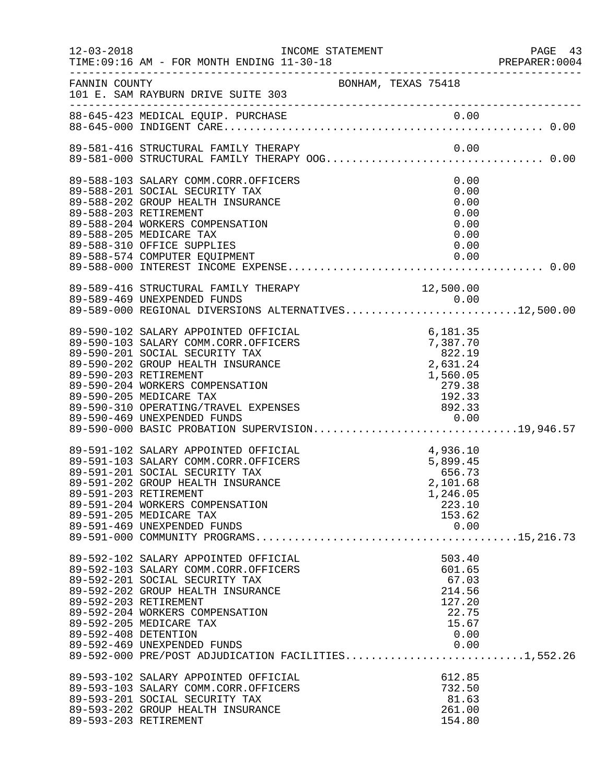| $12 - 03 - 2018$      | TIME: 09:16 AM - FOR MONTH ENDING 11-30-18                                          |                                                                                                               |                 | PAGE 43<br>PREPARER:0004 |
|-----------------------|-------------------------------------------------------------------------------------|---------------------------------------------------------------------------------------------------------------|-----------------|--------------------------|
| FANNIN COUNTY         | BONHAM, TEXAS 75418<br>101 E. SAM RAYBURN DRIVE SUITE 303                           |                                                                                                               |                 |                          |
|                       |                                                                                     |                                                                                                               |                 |                          |
|                       |                                                                                     |                                                                                                               |                 |                          |
|                       | 89-588-103 SALARY COMM.CORR.OFFICERS                                                |                                                                                                               | 0.00            |                          |
|                       | 89-588-201 SOCIAL SECURITY TAX                                                      |                                                                                                               | 0.00            |                          |
|                       | 89-588-202 GROUP HEALTH INSURANCE                                                   |                                                                                                               | 0.00            |                          |
| 89-588-203 RETIREMENT |                                                                                     |                                                                                                               | 0.00            |                          |
|                       | 89-588-204 WORKERS COMPENSATION                                                     |                                                                                                               | 0.00            |                          |
|                       | 89-588-205 MEDICARE TAX                                                             |                                                                                                               | 0.00            |                          |
|                       | 89-588-310 OFFICE SUPPLIES                                                          |                                                                                                               | 0.00            |                          |
|                       |                                                                                     |                                                                                                               |                 |                          |
|                       |                                                                                     |                                                                                                               |                 |                          |
|                       | 89-589-416 STRUCTURAL FAMILY THERAPY<br>89-589-469 UNEXPENDED FUNDS                 |                                                                                                               | 12,500.00       |                          |
|                       | 89-589-469 UNEXPENDED FUNDS<br>89-589-000 REGIONAL DIVERSIONS ALTERNATIVES12,500.00 |                                                                                                               |                 |                          |
|                       |                                                                                     |                                                                                                               |                 |                          |
|                       | 89-590-102 SALARY APPOINTED OFFICIAL                                                | 6, 181.35<br>7, 387.70<br>822.19<br>2, 631.24<br>2, 631.24<br>1, 560.05<br>279.38<br>192.33<br>892.33<br>0.00 |                 |                          |
|                       | 89-590-103 SALARY COMM.CORR.OFFICERS                                                |                                                                                                               |                 |                          |
|                       | 89-590-201 SOCIAL SECURITY TAX                                                      |                                                                                                               |                 |                          |
|                       | 89-590-202 GROUP HEALTH INSURANCE                                                   |                                                                                                               |                 |                          |
| 89-590-203 RETIREMENT |                                                                                     |                                                                                                               |                 |                          |
|                       | 89-590-204 WORKERS COMPENSATION<br>89-590-205 MEDICARE TAX                          |                                                                                                               |                 |                          |
|                       | 89-590-310 OPERATING/TRAVEL EXPENSES                                                |                                                                                                               |                 |                          |
|                       |                                                                                     |                                                                                                               |                 |                          |
|                       | 89-590-469 UNEXPENDED FUNDS<br>89-590-000 BASIC PROBATION SUPERVISION19,946.57      |                                                                                                               |                 |                          |
|                       | 89-591-102 SALARY APPOINTED OFFICIAL                                                |                                                                                                               |                 |                          |
|                       | 89-591-103 SALARY COMM.CORR.OFFICERS                                                |                                                                                                               |                 |                          |
|                       | 89-591-201 SOCIAL SECURITY TAX                                                      |                                                                                                               |                 |                          |
|                       | 89-591-202 GROUP HEALTH INSURANCE                                                   | $4,936.10$<br>$5,899.45$<br>$656.73$<br>$2,101.68$                                                            |                 |                          |
| 89-591-203 RETIREMENT |                                                                                     |                                                                                                               | 1,246.05        |                          |
|                       | 89-591-204 WORKERS COMPENSATION                                                     |                                                                                                               | 223.10          |                          |
|                       | 89-591-205 MEDICARE TAX<br>89-591-469 UNEXPENDED FUNDS                              |                                                                                                               | 153.62<br>0.00  |                          |
|                       |                                                                                     |                                                                                                               |                 |                          |
|                       |                                                                                     |                                                                                                               |                 |                          |
|                       | 89-592-102 SALARY APPOINTED OFFICIAL                                                |                                                                                                               | 503.40          |                          |
|                       | 89-592-103 SALARY COMM.CORR.OFFICERS<br>89-592-201 SOCIAL SECURITY TAX              |                                                                                                               | 601.65<br>67.03 |                          |
|                       | 89-592-202 GROUP HEALTH INSURANCE                                                   |                                                                                                               | 214.56          |                          |
| 89-592-203 RETIREMENT |                                                                                     |                                                                                                               | 127.20          |                          |
|                       | 89-592-204 WORKERS COMPENSATION                                                     |                                                                                                               | 22.75           |                          |
|                       | 89-592-205 MEDICARE TAX                                                             |                                                                                                               | 15.67           |                          |
| 89-592-408 DETENTION  |                                                                                     |                                                                                                               | 0.00            |                          |
|                       | 89-592-469 UNEXPENDED FUNDS                                                         |                                                                                                               | 0.00            |                          |
|                       | 89-592-000 PRE/POST ADJUDICATION FACILITIES1,552.26                                 |                                                                                                               |                 |                          |
|                       | 89-593-102 SALARY APPOINTED OFFICIAL                                                |                                                                                                               | 612.85          |                          |
|                       | 89-593-103 SALARY COMM.CORR.OFFICERS                                                |                                                                                                               | 732.50          |                          |
|                       | 89-593-201 SOCIAL SECURITY TAX                                                      |                                                                                                               | 81.63           |                          |
|                       | 89-593-202 GROUP HEALTH INSURANCE                                                   |                                                                                                               | 261.00          |                          |
| 89-593-203 RETIREMENT |                                                                                     |                                                                                                               | 154.80          |                          |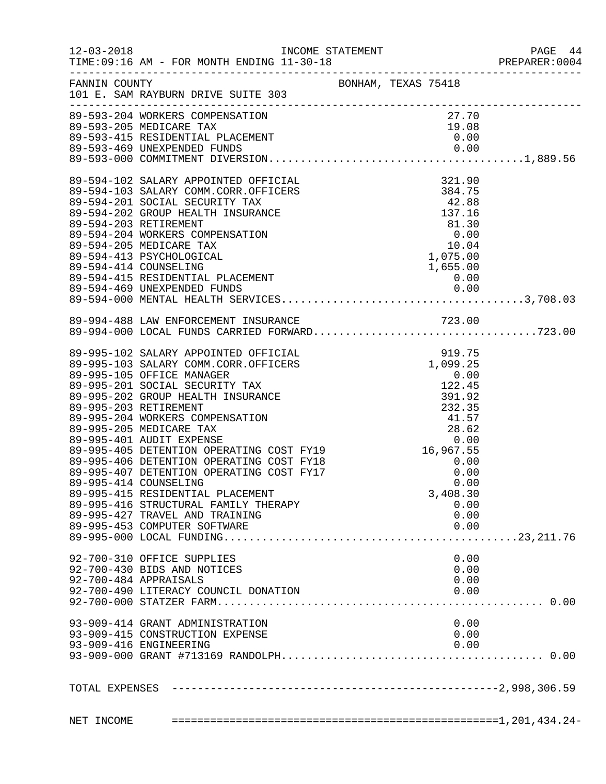|            |                                                     |  |          | 44 PAGE<br>2001:PREPARER<br>PAGE 44 |
|------------|-----------------------------------------------------|--|----------|-------------------------------------|
|            | FANNIN COUNTY<br>101 E. SAM RAYBURN DRIVE SUITE 303 |  |          |                                     |
|            | 89-593-204 WORKERS COMPENSATION                     |  | 27.70    |                                     |
|            |                                                     |  |          |                                     |
|            |                                                     |  |          |                                     |
|            |                                                     |  |          |                                     |
|            |                                                     |  |          |                                     |
|            |                                                     |  |          |                                     |
|            |                                                     |  |          |                                     |
|            |                                                     |  |          |                                     |
|            |                                                     |  |          |                                     |
|            |                                                     |  |          |                                     |
|            |                                                     |  |          |                                     |
|            |                                                     |  |          |                                     |
|            |                                                     |  |          |                                     |
|            |                                                     |  |          |                                     |
|            |                                                     |  |          |                                     |
|            |                                                     |  |          |                                     |
|            |                                                     |  |          |                                     |
|            |                                                     |  |          |                                     |
|            |                                                     |  |          |                                     |
|            |                                                     |  |          |                                     |
|            |                                                     |  |          |                                     |
|            |                                                     |  |          |                                     |
|            |                                                     |  |          |                                     |
|            |                                                     |  |          |                                     |
|            | 89-995-415 RESIDENTIAL PLACEMENT                    |  | 3,408.30 |                                     |
|            | 89-995-416 STRUCTURAL FAMILY THERAPY                |  | 0.00     |                                     |
|            | 89-995-427 TRAVEL AND TRAINING                      |  | 0.00     |                                     |
|            | 89-995-453 COMPUTER SOFTWARE                        |  | 0.00     |                                     |
|            |                                                     |  |          |                                     |
|            | 92-700-310 OFFICE SUPPLIES                          |  | 0.00     |                                     |
|            | 92-700-430 BIDS AND NOTICES                         |  | 0.00     |                                     |
|            | 92-700-484 APPRAISALS                               |  | 0.00     |                                     |
|            | 92-700-490 LITERACY COUNCIL DONATION                |  | 0.00     |                                     |
|            |                                                     |  |          |                                     |
|            | 93-909-414 GRANT ADMINISTRATION                     |  | 0.00     |                                     |
|            | 93-909-415 CONSTRUCTION EXPENSE                     |  | 0.00     |                                     |
|            | 93-909-416 ENGINEERING                              |  | 0.00     |                                     |
|            |                                                     |  |          |                                     |
|            |                                                     |  |          |                                     |
| NET INCOME |                                                     |  |          |                                     |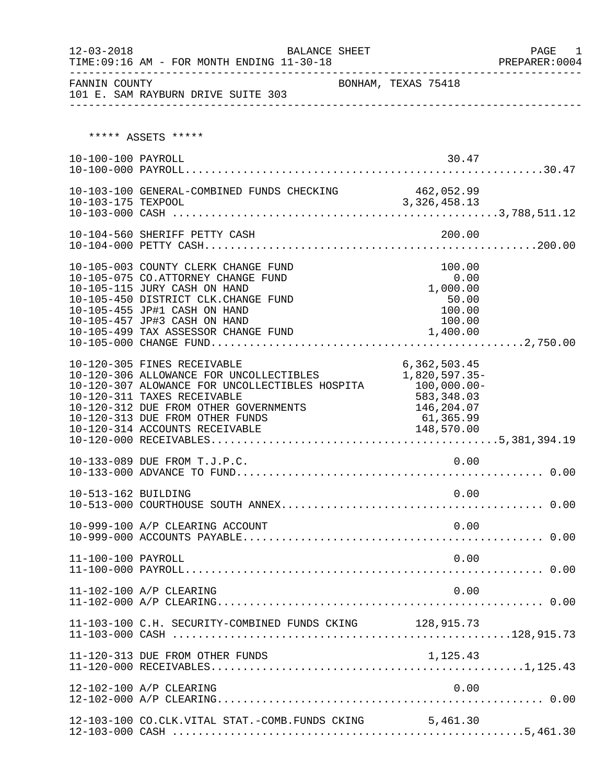| TIME: 09:16 AM - FOR MONTH ENDING 11-30-18 | PREPARER:0004                                                                                                                                                                                                                                                                     |                                                                                        |  |
|--------------------------------------------|-----------------------------------------------------------------------------------------------------------------------------------------------------------------------------------------------------------------------------------------------------------------------------------|----------------------------------------------------------------------------------------|--|
| FANNIN COUNTY                              | 101 E. SAM RAYBURN DRIVE SUITE 303                                                                                                                                                                                                                                                | BONHAM, TEXAS 75418                                                                    |  |
|                                            | ***** ASSETS *****                                                                                                                                                                                                                                                                |                                                                                        |  |
| 10-100-100 PAYROLL                         |                                                                                                                                                                                                                                                                                   | 30.47                                                                                  |  |
|                                            | 10-103-100 GENERAL-COMBINED FUNDS CHECKING 462,052.99                                                                                                                                                                                                                             |                                                                                        |  |
|                                            |                                                                                                                                                                                                                                                                                   |                                                                                        |  |
|                                            | 10-105-003 COUNTY CLERK CHANGE FUND<br>10-105-075 CO.ATTORNEY CHANGE FUND<br>10-105-115 JURY CASH ON HAND<br>10-105-450 DISTRICT CLK.CHANGE FUND<br>10-105-455 JP#1 CASH ON HAND<br>10-105-457 JP#3 CASH ON HAND                                                                  | 100.00<br>0.00<br>1,000.00<br>50.00<br>100.00<br>100.00                                |  |
|                                            | 10-120-305 FINES RECEIVABLE<br>10-120-306 ALLOWANCE FOR UNCOLLECTIBLES<br>10-120-307 ALOWANCE FOR UNCOLLECTIBLES HOSPITA 100,000.00-<br>10-120-311 TAXES RECEIVABLE<br>10-120-312 DUE FROM OTHER GOVERNMENTS<br>10-120-313 DUE FROM OTHER FUNDS<br>10-120-314 ACCOUNTS RECEIVABLE | 6, 362, 503.45<br>1,820,597.35-<br>583,348.03<br>146,204.07<br>61,365.99<br>148,570.00 |  |
|                                            | 10-133-089 DUE FROM T.J.P.C.                                                                                                                                                                                                                                                      | 0.00                                                                                   |  |
| 10-513-162 BUILDING                        |                                                                                                                                                                                                                                                                                   | 0.00                                                                                   |  |
|                                            | 10-999-100 A/P CLEARING ACCOUNT                                                                                                                                                                                                                                                   | 0.00                                                                                   |  |
| 11-100-100 PAYROLL                         |                                                                                                                                                                                                                                                                                   | 0.00                                                                                   |  |
|                                            | 11-102-100 A/P CLEARING                                                                                                                                                                                                                                                           | 0.00                                                                                   |  |
|                                            | 11-103-100 C.H. SECURITY-COMBINED FUNDS CKING 128, 915.73                                                                                                                                                                                                                         |                                                                                        |  |
|                                            | 11-120-313 DUE FROM OTHER FUNDS                                                                                                                                                                                                                                                   | 1,125.43                                                                               |  |
|                                            | 12-102-100 A/P CLEARING                                                                                                                                                                                                                                                           | 0.00                                                                                   |  |
|                                            | 12-103-100 CO.CLK.VITAL STAT.-COMB.FUNDS CKING 5,461.30                                                                                                                                                                                                                           |                                                                                        |  |

12-103-000 CASH .......................................................5,461.30

12-03-2018 BALANCE SHEET PAGE 1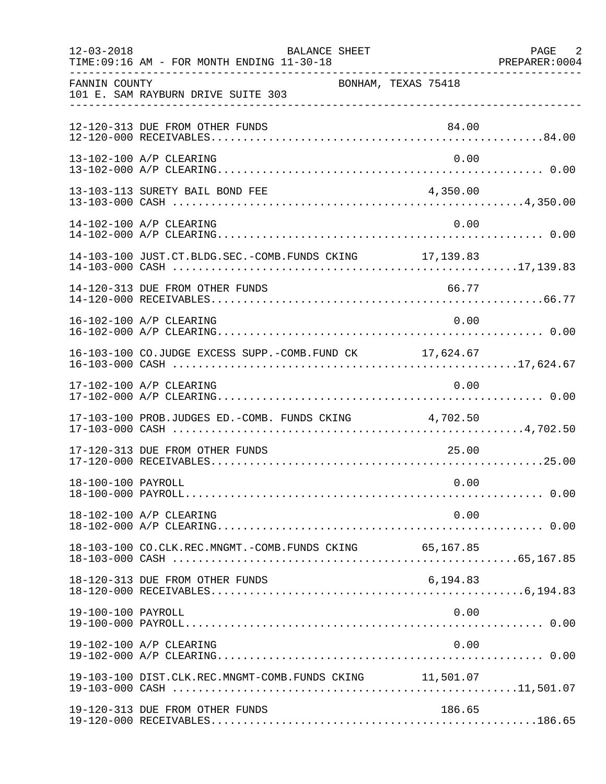| $12 - 03 - 2018$   | <b>BALANCE SHEET</b><br>TIME: 09:16 AM - FOR MONTH ENDING 11-30-18 |                     | PAGE 2<br>PREPARER: 0004 |
|--------------------|--------------------------------------------------------------------|---------------------|--------------------------|
| FANNIN COUNTY      | 101 E. SAM RAYBURN DRIVE SUITE 303                                 | BONHAM, TEXAS 75418 |                          |
|                    | 12-120-313 DUE FROM OTHER FUNDS                                    | 84.00               |                          |
|                    | 13-102-100 A/P CLEARING                                            | 0.00                |                          |
|                    | 13-103-113 SURETY BAIL BOND FEE                                    | 4,350.00            |                          |
|                    | 14-102-100 A/P CLEARING                                            | 0.00                |                          |
|                    | 14-103-100 JUST.CT.BLDG.SEC.-COMB.FUNDS CKING 17,139.83            |                     |                          |
|                    | 14-120-313 DUE FROM OTHER FUNDS                                    | 66.77               |                          |
|                    | 16-102-100 A/P CLEARING                                            | 0.00                |                          |
|                    | 16-103-100 CO.JUDGE EXCESS SUPP.-COMB.FUND CK 17,624.67            |                     |                          |
|                    | 17-102-100 A/P CLEARING                                            | 0.00                |                          |
|                    | 17-103-100 PROB.JUDGES ED.-COMB. FUNDS CKING 4,702.50              |                     |                          |
|                    | 17-120-313 DUE FROM OTHER FUNDS                                    | 25.00               |                          |
| 18-100-100 PAYROLL |                                                                    | 0.00                |                          |
|                    | 18-102-100 A/P CLEARING                                            | 0.00                |                          |
|                    |                                                                    |                     |                          |
|                    | 18-120-313 DUE FROM OTHER FUNDS                                    | 6,194.83            |                          |
| 19-100-100 PAYROLL |                                                                    | 0.00                |                          |
|                    | 19-102-100 A/P CLEARING                                            | 0.00                |                          |
|                    | 19-103-100 DIST.CLK.REC.MNGMT-COMB.FUNDS CKING 11,501.07           |                     |                          |
|                    | 19-120-313 DUE FROM OTHER FUNDS                                    | 186.65              |                          |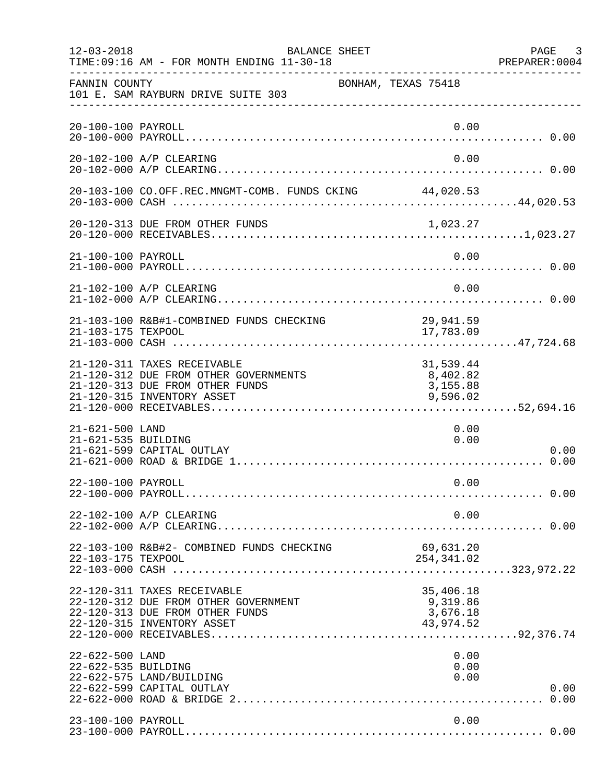| $12 - 03 - 2018$                       | BALANCE SHEET<br>TIME: 09:16 AM - FOR MONTH ENDING 11-30-18                                                                           |                                                | PAGE 3<br>PREPARER: 0004 |
|----------------------------------------|---------------------------------------------------------------------------------------------------------------------------------------|------------------------------------------------|--------------------------|
| FANNIN COUNTY                          | 101 E. SAM RAYBURN DRIVE SUITE 303                                                                                                    | BONHAM, TEXAS 75418                            |                          |
| 20-100-100 PAYROLL                     |                                                                                                                                       | 0.00                                           |                          |
|                                        | 20-102-100 A/P CLEARING                                                                                                               | 0.00                                           |                          |
|                                        | 20-103-100 CO.OFF.REC.MNGMT-COMB. FUNDS CKING 44,020.53                                                                               |                                                |                          |
|                                        | 20-120-313 DUE FROM OTHER FUNDS                                                                                                       | 1,023.27                                       |                          |
| 21-100-100 PAYROLL                     |                                                                                                                                       | 0.00                                           |                          |
|                                        | 21-102-100 A/P CLEARING                                                                                                               | 0.00                                           |                          |
| 21-103-175 TEXPOOL                     | 21-103-100 R&B#1-COMBINED FUNDS CHECKING                                                                                              | 29,941.59<br>17,783.09                         |                          |
|                                        | 21-120-311 TAXES RECEIVABLE<br>21-120-312 DUE FROM OTHER GOVERNMENTS<br>21-120-313 DUE FROM OTHER FUNDS<br>21-120-315 INVENTORY ASSET | 31,539.44<br>8,402.82<br>3,155.88<br>9,596.02  |                          |
| 21-621-500 LAND<br>21-621-535 BUILDING | 21-621-599 CAPITAL OUTLAY                                                                                                             | 0.00<br>0.00                                   | 0.00                     |
| 22-100-100 PAYROLL                     |                                                                                                                                       | 0.00                                           |                          |
|                                        | 22-102-100 A/P CLEARING                                                                                                               | 0.00                                           |                          |
| 22-103-175 TEXPOOL                     | 22-103-100 R&B#2- COMBINED FUNDS CHECKING                                                                                             | 69,631.20<br>254,341.02                        |                          |
|                                        | 22-120-311 TAXES RECEIVABLE<br>22-120-312 DUE FROM OTHER GOVERNMENT<br>22-120-313 DUE FROM OTHER FUNDS<br>22-120-315 INVENTORY ASSET  | 35,406.18<br>9,319.86<br>3,676.18<br>43,974.52 |                          |
| 22-622-500 LAND<br>22-622-535 BUILDING | 22-622-575 LAND/BUILDING<br>22-622-599 CAPITAL OUTLAY                                                                                 | 0.00<br>0.00<br>0.00                           | 0.00                     |
| 23-100-100 PAYROLL                     |                                                                                                                                       | 0.00                                           |                          |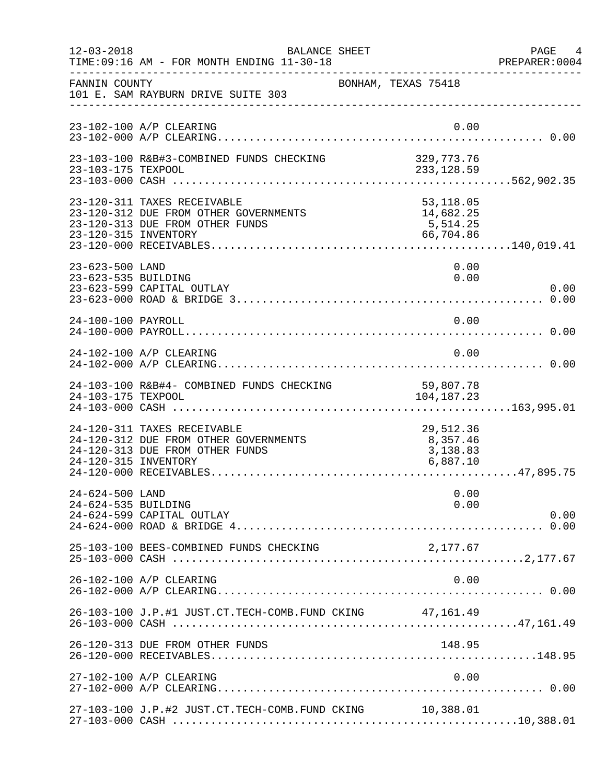| $12 - 03 - 2018$                       | <b>BALANCE SHEET</b><br>TIME: 09:16 AM - FOR MONTH ENDING 11-30-18                                      |                                                  | PAGE 4<br>PREPARER: 0004 |
|----------------------------------------|---------------------------------------------------------------------------------------------------------|--------------------------------------------------|--------------------------|
| FANNIN COUNTY                          | 101 E. SAM RAYBURN DRIVE SUITE 303                                                                      | BONHAM, TEXAS 75418                              |                          |
|                                        | 23-102-100 A/P CLEARING                                                                                 | 0.00                                             |                          |
| 23-103-175 TEXPOOL                     | 23-103-100 R&B#3-COMBINED FUNDS CHECKING                                                                | 329,773.76<br>233, 128.59                        |                          |
| 23-120-315 INVENTORY                   | 23-120-311 TAXES RECEIVABLE<br>23-120-312 DUE FROM OTHER GOVERNMENTS<br>23-120-313 DUE FROM OTHER FUNDS | 53,118.05<br>14,682.25<br>5, 514.25<br>66,704.86 |                          |
| 23-623-500 LAND<br>23-623-535 BUILDING | 23-623-599 CAPITAL OUTLAY                                                                               | 0.00<br>0.00                                     | 0.00                     |
| 24-100-100 PAYROLL                     |                                                                                                         | 0.00                                             |                          |
|                                        | 24-102-100 A/P CLEARING                                                                                 | 0.00                                             |                          |
| 24-103-175 TEXPOOL                     | 24-103-100 R&B#4- COMBINED FUNDS CHECKING                                                               | 59,807.78<br>104, 187. 23                        |                          |
| 24-120-315 INVENTORY                   | 24-120-311 TAXES RECEIVABLE<br>24-120-312 DUE FROM OTHER GOVERNMENTS<br>24-120-313 DUE FROM OTHER FUNDS | 29,512.36<br>8,357.46<br>3,138.83<br>6,887.10    |                          |
| 24-624-500 LAND<br>24-624-535 BUILDING | 24-624-599 CAPITAL OUTLAY                                                                               | 0.00<br>0.00                                     | 0.00                     |
|                                        | 25-103-100 BEES-COMBINED FUNDS CHECKING                                                                 | 2,177.67                                         |                          |
|                                        | 26-102-100 A/P CLEARING                                                                                 | 0.00                                             |                          |
|                                        | 26-103-100 J.P.#1 JUST.CT.TECH-COMB.FUND CKING 47,161.49                                                |                                                  |                          |
|                                        | 26-120-313 DUE FROM OTHER FUNDS                                                                         | 148.95                                           |                          |
|                                        | 27-102-100 A/P CLEARING                                                                                 | 0.00                                             |                          |
|                                        | 27-103-100 J.P.#2 JUST.CT.TECH-COMB.FUND CKING 10,388.01                                                |                                                  |                          |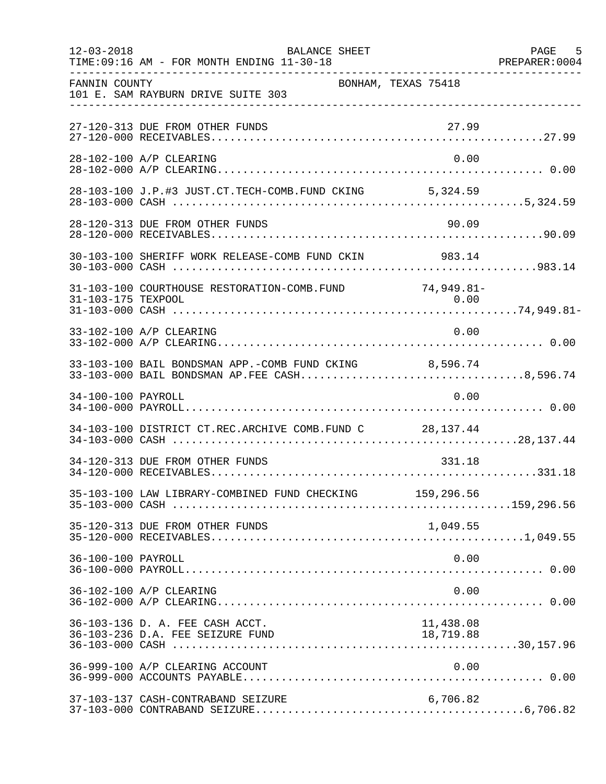| $12 - 03 - 2018$   | <b>BALANCE SHEET</b><br>TIME: 09:16 AM - FOR MONTH ENDING 11-30-18                                      |                        | PAGE 5 |
|--------------------|---------------------------------------------------------------------------------------------------------|------------------------|--------|
| FANNIN COUNTY      | 101 E. SAM RAYBURN DRIVE SUITE 303                                                                      | BONHAM, TEXAS 75418    |        |
|                    | 27-120-313 DUE FROM OTHER FUNDS                                                                         | 27.99                  |        |
|                    | 28-102-100 A/P CLEARING                                                                                 | 0.00                   |        |
|                    | 28-103-100 J.P.#3 JUST.CT.TECH-COMB.FUND CKING 5,324.59                                                 |                        |        |
|                    | 28-120-313 DUE FROM OTHER FUNDS                                                                         | 90.09                  |        |
|                    | 30-103-100 SHERIFF WORK RELEASE-COMB FUND CKIN 983.14                                                   |                        |        |
| 31-103-175 TEXPOOL | 31-103-100 COURTHOUSE RESTORATION-COMB. FUND 74,949.81-                                                 | 0.00                   |        |
|                    | 33-102-100 A/P CLEARING                                                                                 | 0.00                   |        |
|                    | 33-103-100 BAIL BONDSMAN APP.-COMB FUND CKING 8,596.74<br>33-103-000 BAIL BONDSMAN AP. FEE CASH8,596.74 |                        |        |
| 34-100-100 PAYROLL |                                                                                                         | 0.00                   |        |
|                    | 34-103-100 DISTRICT CT.REC.ARCHIVE COMB.FUND C 28,137.44                                                |                        |        |
|                    | 34-120-313 DUE FROM OTHER FUNDS                                                                         | 331.18                 |        |
|                    | 35-103-100 LAW LIBRARY-COMBINED FUND CHECKING 159,296.56                                                |                        |        |
|                    | 35-120-313 DUE FROM OTHER FUNDS                                                                         | 1,049.55               |        |
| 36-100-100 PAYROLL |                                                                                                         | 0.00                   |        |
|                    | 36-102-100 A/P CLEARING                                                                                 | 0.00                   |        |
|                    | 36-103-136 D. A. FEE CASH ACCT.<br>36-103-236 D.A. FEE SEIZURE FUND                                     | 11,438.08<br>18,719.88 |        |
|                    | 36-999-100 A/P CLEARING ACCOUNT                                                                         | 0.00                   |        |
|                    | 37-103-137 CASH-CONTRABAND SEIZURE                                                                      | 6,706.82               |        |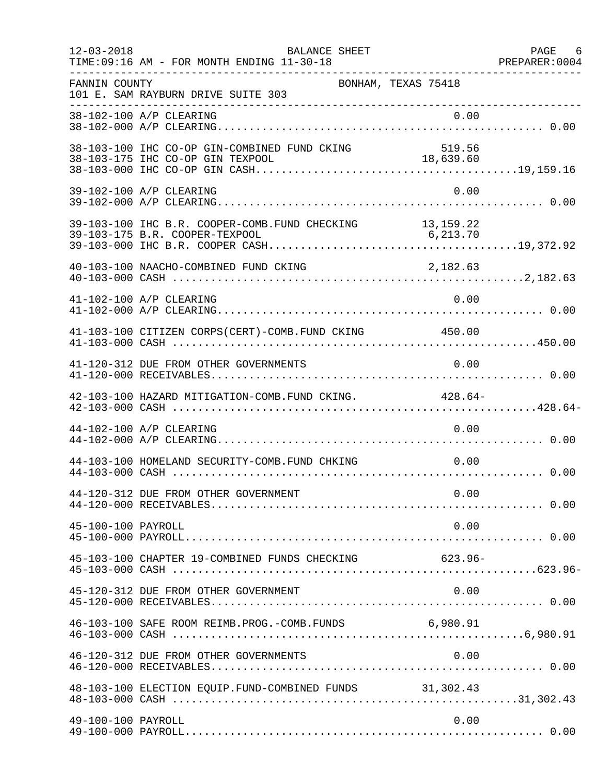| $12 - 03 - 2018$   | BALANCE SHEET<br>TIME: 09:16 AM - FOR MONTH ENDING 11-30-18 |                     | PAGE 6<br>PREPARER: 0004 |
|--------------------|-------------------------------------------------------------|---------------------|--------------------------|
| FANNIN COUNTY      | 101 E. SAM RAYBURN DRIVE SUITE 303                          | BONHAM, TEXAS 75418 |                          |
|                    | 38-102-100 A/P CLEARING                                     | 0.00                |                          |
|                    | 38-103-100 IHC CO-OP GIN-COMBINED FUND CKING                | 519.56              |                          |
|                    | 39-102-100 A/P CLEARING                                     | 0.00                |                          |
|                    | 39-103-100 IHC B.R. COOPER-COMB. FUND CHECKING 13,159.22    |                     |                          |
|                    | 40-103-100 NAACHO-COMBINED FUND CKING                       | 2,182.63            |                          |
|                    | 41-102-100 A/P CLEARING                                     | 0.00                |                          |
|                    | 41-103-100 CITIZEN CORPS(CERT)-COMB. FUND CKING 450.00      |                     |                          |
|                    | 41-120-312 DUE FROM OTHER GOVERNMENTS                       | 0.00                |                          |
|                    | 42-103-100 HAZARD MITIGATION-COMB. FUND CKING. 428.64-      |                     |                          |
|                    | 44-102-100 A/P CLEARING                                     | 0.00                |                          |
|                    | 44-103-100 HOMELAND SECURITY-COMB. FUND CHKING 0.00         |                     |                          |
|                    | 44-120-312 DUE FROM OTHER GOVERNMENT                        | 0.00                |                          |
| 45-100-100 PAYROLL |                                                             | 0.00                |                          |
|                    | 45-103-100 CHAPTER 19-COMBINED FUNDS CHECKING               | $623.96 -$          |                          |
|                    | 45-120-312 DUE FROM OTHER GOVERNMENT                        | 0.00                |                          |
|                    | 46-103-100 SAFE ROOM REIMB. PROG. - COMB. FUNDS 6,980.91    |                     |                          |
|                    | 46-120-312 DUE FROM OTHER GOVERNMENTS                       | 0.00                |                          |
|                    | 48-103-100 ELECTION EQUIP. FUND-COMBINED FUNDS 31,302.43    |                     |                          |
| 49-100-100 PAYROLL |                                                             | 0.00                |                          |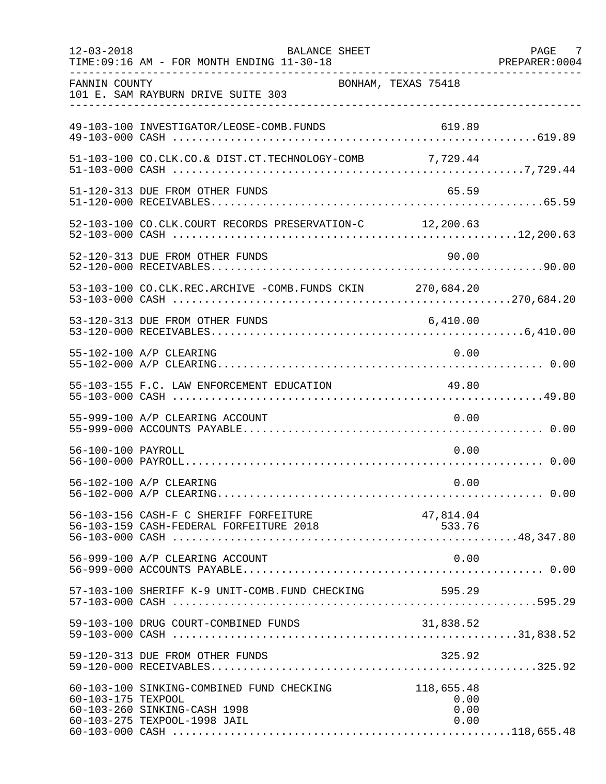| $12 - 03 - 2018$   | <b>BALANCE SHEET</b><br>TIME: 09:16 AM - FOR MONTH ENDING 11-30-18                                        |                                    | PAGE 7<br>PREPARER: 0004 |
|--------------------|-----------------------------------------------------------------------------------------------------------|------------------------------------|--------------------------|
| FANNIN COUNTY      | 101 E. SAM RAYBURN DRIVE SUITE 303                                                                        | BONHAM, TEXAS 75418                |                          |
|                    | 49-103-100 INVESTIGATOR/LEOSE-COMB.FUNDS                                                                  | 619.89                             |                          |
|                    | 51-103-100 CO.CLK.CO.& DIST.CT.TECHNOLOGY-COMB 7,729.44                                                   |                                    |                          |
|                    | 51-120-313 DUE FROM OTHER FUNDS                                                                           | 65.59                              |                          |
|                    | 52-103-100 CO.CLK.COURT RECORDS PRESERVATION-C 12,200.63                                                  |                                    |                          |
|                    | 52-120-313 DUE FROM OTHER FUNDS                                                                           | 90.00                              |                          |
|                    | 53-103-100 CO.CLK.REC.ARCHIVE -COMB.FUNDS CKIN 270,684.20                                                 |                                    |                          |
|                    | 53-120-313 DUE FROM OTHER FUNDS                                                                           | 6,410.00                           |                          |
|                    | 55-102-100 A/P CLEARING                                                                                   | 0.00                               |                          |
|                    | 55-103-155 F.C. LAW ENFORCEMENT EDUCATION                                                                 | 49.80                              |                          |
|                    | 55-999-100 A/P CLEARING ACCOUNT                                                                           | 0.00                               |                          |
| 56-100-100 PAYROLL |                                                                                                           | 0.00                               |                          |
|                    | 56-102-100 A/P CLEARING                                                                                   | 0.00                               |                          |
|                    | 56-103-156 CASH-F C SHERIFF FORFEITURE                                                                    | 47,814.04                          |                          |
|                    | 56-999-100 A/P CLEARING ACCOUNT                                                                           | 0.00                               |                          |
|                    | 57-103-100 SHERIFF K-9 UNIT-COMB.FUND CHECKING                                                            | 595.29                             |                          |
|                    | 59-103-100 DRUG COURT-COMBINED FUNDS                                                                      | 31,838.52                          |                          |
|                    | 59-120-313 DUE FROM OTHER FUNDS                                                                           | 325.92                             |                          |
| 60-103-175 TEXPOOL | 60-103-100 SINKING-COMBINED FUND CHECKING<br>60-103-260 SINKING-CASH 1998<br>60-103-275 TEXPOOL-1998 JAIL | 118,655.48<br>0.00<br>0.00<br>0.00 |                          |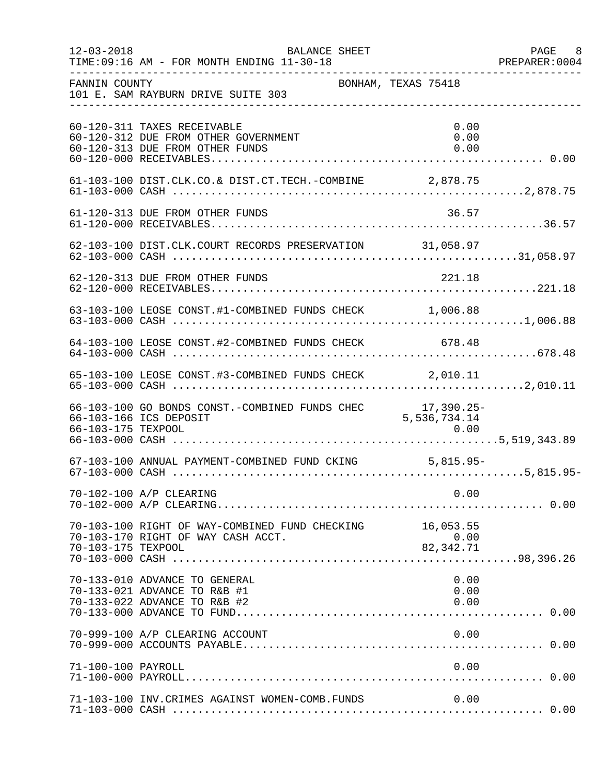| $12 - 03 - 2018$   | BALANCE SHEET<br>TIME: 09:16 AM - FOR MONTH ENDING 11-30-18                                            |                              | PAGE 8<br>PREPARER:0004 |
|--------------------|--------------------------------------------------------------------------------------------------------|------------------------------|-------------------------|
| FANNIN COUNTY      | 101 E. SAM RAYBURN DRIVE SUITE 303                                                                     | BONHAM, TEXAS 75418          |                         |
|                    | 60-120-311 TAXES RECEIVABLE<br>60-120-312 DUE FROM OTHER GOVERNMENT<br>60-120-313 DUE FROM OTHER FUNDS | 0.00<br>0.00<br>0.00         |                         |
|                    |                                                                                                        |                              |                         |
|                    | 61-120-313 DUE FROM OTHER FUNDS                                                                        | 36.57                        |                         |
|                    | 62-103-100 DIST.CLK.COURT RECORDS PRESERVATION 31,058.97                                               |                              |                         |
|                    | 62-120-313 DUE FROM OTHER FUNDS                                                                        | 221.18                       |                         |
|                    | 63-103-100 LEOSE CONST.#1-COMBINED FUNDS CHECK 1,006.88                                                |                              |                         |
|                    | 64-103-100 LEOSE CONST.#2-COMBINED FUNDS CHECK 678.48                                                  |                              |                         |
|                    | 65-103-100 LEOSE CONST.#3-COMBINED FUNDS CHECK 2,010.11                                                |                              |                         |
| 66-103-175 TEXPOOL | 66-103-100 GO BONDS CONST.-COMBINED FUNDS CHEC<br>66-103-166 ICS DEPOSIT                               | 17,390.25-<br>5, 536, 734.14 |                         |
|                    | 67-103-100 ANNUAL PAYMENT-COMBINED FUND CKING 5,815.95-                                                |                              |                         |
|                    | 70-102-100 A/P CLEARING                                                                                | 0.00                         |                         |
| 70-103-175 TEXPOOL | 70-103-100 RIGHT OF WAY-COMBINED FUND CHECKING 16,053.55<br>70-103-170 RIGHT OF WAY CASH ACCT.         | 0.00<br>ں.ں<br>82,342.71     |                         |
|                    | 70-133-010 ADVANCE TO GENERAL<br>70-133-021 ADVANCE TO R&B #1<br>70-133-022 ADVANCE TO R&B #2          | 0.00<br>0.00<br>0.00         |                         |
|                    | 70-999-100 A/P CLEARING ACCOUNT                                                                        | 0.00                         |                         |
| 71-100-100 PAYROLL |                                                                                                        | 0.00                         |                         |
|                    | 71-103-100 INV. CRIMES AGAINST WOMEN-COMB. FUNDS                                                       | 0.00                         |                         |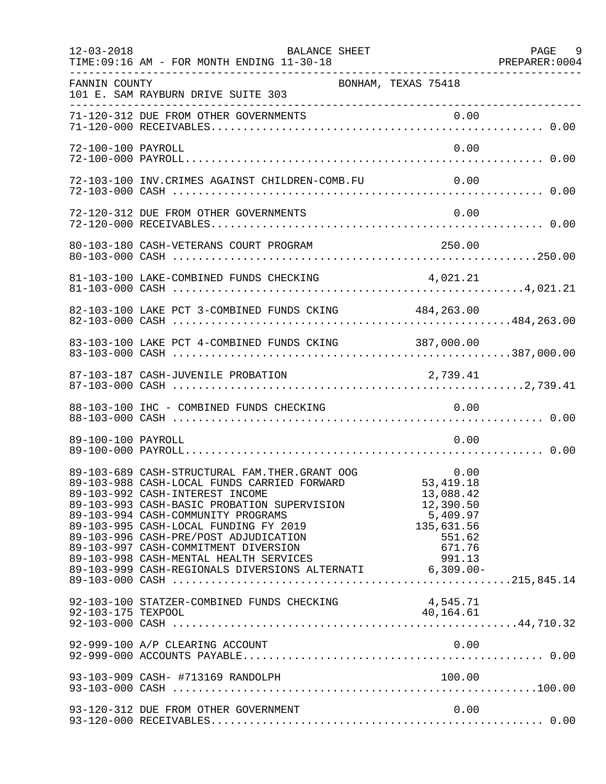| $12 - 03 - 2018$   | BALANCE SHEET<br>TIME: 09:16 AM - FOR MONTH ENDING 11-30-18                                                                                                                                                                                                                                                                                                                                   |                                                                                                       | PAGE 9<br>PREPARER: 0004 |
|--------------------|-----------------------------------------------------------------------------------------------------------------------------------------------------------------------------------------------------------------------------------------------------------------------------------------------------------------------------------------------------------------------------------------------|-------------------------------------------------------------------------------------------------------|--------------------------|
| FANNIN COUNTY      | 101 E. SAM RAYBURN DRIVE SUITE 303                                                                                                                                                                                                                                                                                                                                                            | BONHAM, TEXAS 75418                                                                                   |                          |
|                    | 71-120-312 DUE FROM OTHER GOVERNMENTS                                                                                                                                                                                                                                                                                                                                                         | 0.00                                                                                                  |                          |
| 72-100-100 PAYROLL |                                                                                                                                                                                                                                                                                                                                                                                               | 0.00                                                                                                  |                          |
|                    | 72-103-100 INV.CRIMES AGAINST CHILDREN-COMB.FU                                                                                                                                                                                                                                                                                                                                                | 0.00                                                                                                  |                          |
|                    | 72-120-312 DUE FROM OTHER GOVERNMENTS                                                                                                                                                                                                                                                                                                                                                         | 0.00                                                                                                  |                          |
|                    |                                                                                                                                                                                                                                                                                                                                                                                               |                                                                                                       |                          |
|                    |                                                                                                                                                                                                                                                                                                                                                                                               | 4,021.21                                                                                              |                          |
|                    | 82-103-100 LAKE PCT 3-COMBINED FUNDS CKING 484,263.00                                                                                                                                                                                                                                                                                                                                         |                                                                                                       |                          |
|                    | 83-103-100 LAKE PCT 4-COMBINED FUNDS CKING 387,000.00                                                                                                                                                                                                                                                                                                                                         |                                                                                                       |                          |
|                    | 87-103-187 CASH-JUVENILE PROBATION                                                                                                                                                                                                                                                                                                                                                            | 2,739.41                                                                                              |                          |
|                    | 88-103-100 IHC - COMBINED FUNDS CHECKING                                                                                                                                                                                                                                                                                                                                                      | 0.00                                                                                                  |                          |
| 89-100-100 PAYROLL |                                                                                                                                                                                                                                                                                                                                                                                               | 0.00                                                                                                  |                          |
|                    | 89-103-689 CASH-STRUCTURAL FAM.THER.GRANT OOG<br>89-103-988 CASH-LOCAL FUNDS CARRIED FORWARD 53,4<br>89-103-992 CASH-INTEREST INCOME<br>89-103-993 CASH-BASIC PROBATION SUPERVISION<br>89-103-994 CASH-COMMUNITY PROGRAMS<br>89-103-995 CASH-LOCAL FUNDING FY 2019<br>89-103-996 CASH-PRE/POST ADJUDICATION<br>89-103-997 CASH-COMMITMENT DIVERSION<br>89-103-998 CASH-MENTAL HEALTH SERVICES | 0.00<br>53, 419. 18<br>13,088.42<br>12,390.50<br>5,409.97<br>135,631.56<br>551.62<br>671.76<br>991.13 |                          |
|                    | 92-103-100 STATZER-COMBINED FUNDS CHECKING                                                                                                                                                                                                                                                                                                                                                    | 4,545.71<br>40,164.61                                                                                 |                          |
|                    | 92-999-100 A/P CLEARING ACCOUNT                                                                                                                                                                                                                                                                                                                                                               | 0.00                                                                                                  |                          |
|                    | 93-103-909 CASH- #713169 RANDOLPH                                                                                                                                                                                                                                                                                                                                                             | 100.00                                                                                                |                          |
|                    | 93-120-312 DUE FROM OTHER GOVERNMENT                                                                                                                                                                                                                                                                                                                                                          | 0.00                                                                                                  |                          |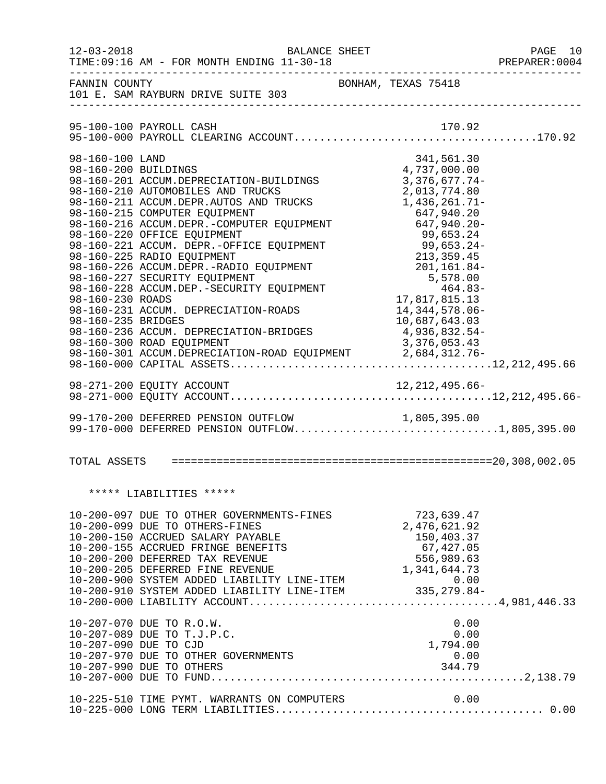| $12 - 03 - 2018$                                                                  | BALANCE SHEET<br>TIME: 09:16 AM - FOR MONTH ENDING 11-30-18                                                                                                                                                                                                                                                                                                                                                                                                                                                                                                                                                                                            |                                                                                                                                                                                                                                             | PAGE 10<br>PREPARER: 0004 |
|-----------------------------------------------------------------------------------|--------------------------------------------------------------------------------------------------------------------------------------------------------------------------------------------------------------------------------------------------------------------------------------------------------------------------------------------------------------------------------------------------------------------------------------------------------------------------------------------------------------------------------------------------------------------------------------------------------------------------------------------------------|---------------------------------------------------------------------------------------------------------------------------------------------------------------------------------------------------------------------------------------------|---------------------------|
| FANNIN COUNTY                                                                     | 101 E. SAM RAYBURN DRIVE SUITE 303                                                                                                                                                                                                                                                                                                                                                                                                                                                                                                                                                                                                                     | BONHAM, TEXAS 75418                                                                                                                                                                                                                         |                           |
|                                                                                   |                                                                                                                                                                                                                                                                                                                                                                                                                                                                                                                                                                                                                                                        |                                                                                                                                                                                                                                             |                           |
| 98-160-100 LAND<br>98-160-200 BUILDINGS<br>98-160-230 ROADS<br>98-160-235 BRIDGES | 98-160-201 ACCUM.DEPRECIATION-BUILDINGS<br>98-160-210 AUTOMOBILES AND TRUCKS<br>98-160-211 ACCUM.DEPR.AUTOS AND TRUCKS 1,436,261.71-<br>98-160-215 COMPUTER EQUIPMENT 647,940.20<br>98-160-216 ACCUM.DEPR.-COMPUTER EQUIPMENT 647,940.20<br>98-160-220 OFFICE EQUIPMENT<br>98-160-221 ACCUM. DEPR.-OFFICE EQUIPMENT<br>98-160-225 RADIO EQUIPMENT<br>98-160-226 ACCUM.DEPR.-RADIO EQUIPMENT<br>98-160-227 SECURITY EQUIPMENT<br>98-160-228 ACCUM.DEP.-SECURITY EQUIPMENT<br>98-160-231 ACCUM. DEPRECIATION-ROADS<br>98-160-236 ACCUM. DEPRECIATION-BRIDGES<br>98-160-300 ROAD EQUIPMENT<br>98-160-301 ACCUM. DEPRECIATION-ROAD EQUIPMENT 2,684,312.76- | 341,561.30<br>4,737,000.00<br>$3,376,677.74-$<br>2,013,774.80<br>99, 053.24-<br>99, 653.24-<br>213, 359.45<br>201, 161.84-<br>5, 578.00<br>464.83-<br>17, 817, 815.13<br>14, 344, 578.06-<br>10,687,643.03<br>4,936,832.54-<br>3,376,053.43 |                           |
|                                                                                   |                                                                                                                                                                                                                                                                                                                                                                                                                                                                                                                                                                                                                                                        |                                                                                                                                                                                                                                             |                           |
|                                                                                   | 99-170-200 DEFERRED PENSION OUTFLOW<br>99-170-200 DEFERRED PENSION OUTFLOW 1,805,395.00<br>99-170-000 DEFERRED PENSION OUTFLOW1,805,395.00                                                                                                                                                                                                                                                                                                                                                                                                                                                                                                             |                                                                                                                                                                                                                                             |                           |
|                                                                                   |                                                                                                                                                                                                                                                                                                                                                                                                                                                                                                                                                                                                                                                        |                                                                                                                                                                                                                                             |                           |
|                                                                                   | ***** LIABILITIES *****                                                                                                                                                                                                                                                                                                                                                                                                                                                                                                                                                                                                                                |                                                                                                                                                                                                                                             |                           |
|                                                                                   | 10-200-097 DUE TO OTHER GOVERNMENTS-FINES<br>10-200-099 DUE TO OTHERS-FINES<br>10-200-099 DUE TO OTHERS-FINES<br>10-200-150 ACCRUED SALARY PAYABLE<br>10-200-155 ACCRUED FRINGE BENEFITS<br>10-200-200 DEFERRED TAX REVENUE<br>10-200-205 DEFERRED TINE REVENUE<br>10-200-900 SYSTEM AD                                                                                                                                                                                                                                                                                                                                                                | 723,639.47                                                                                                                                                                                                                                  |                           |
|                                                                                   | 10-207-070 DUE TO R.O.W.<br>10-207-089 DUE TO T.J.P.C.<br>10-207-090 DUE TO CJD<br>10-207-970 DUE TO OTHER GOVERNMENTS<br>10-207-990 DUE TO OTHERS                                                                                                                                                                                                                                                                                                                                                                                                                                                                                                     | 0.00<br>0.00<br>1,794.00<br>$0.00$<br>344.79                                                                                                                                                                                                |                           |
|                                                                                   | 10-225-510 TIME PYMT. WARRANTS ON COMPUTERS                                                                                                                                                                                                                                                                                                                                                                                                                                                                                                                                                                                                            | 0.00                                                                                                                                                                                                                                        |                           |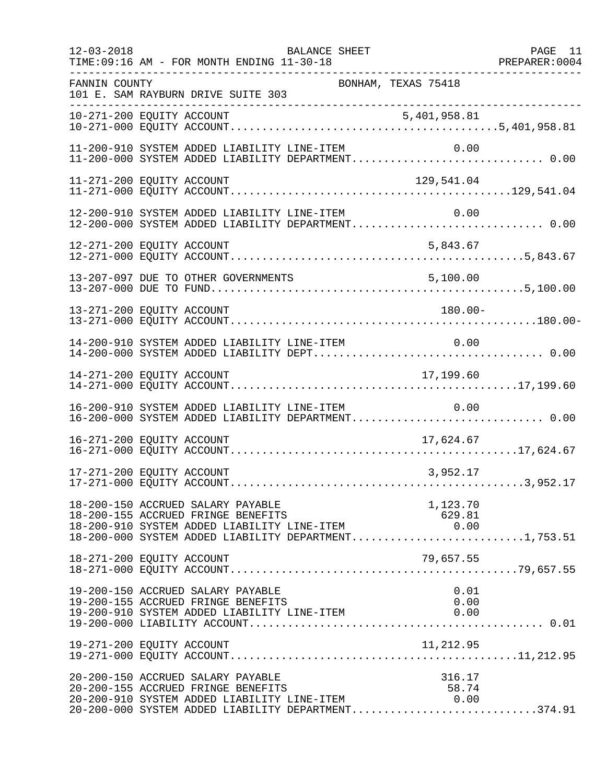| $12 - 03 - 2018$ | BALANCE SHEET<br>TIME: 09:16 AM - FOR MONTH ENDING 11-30-18                                                                                                                                                  | PAGE 11 |
|------------------|--------------------------------------------------------------------------------------------------------------------------------------------------------------------------------------------------------------|---------|
| FANNIN COUNTY    | BONHAM, TEXAS 75418<br>101 E. SAM RAYBURN DRIVE SUITE 303<br>______________________                                                                                                                          |         |
|                  |                                                                                                                                                                                                              |         |
|                  | 11-200-910 SYSTEM ADDED LIABILITY LINE-ITEM<br>0.00<br>11-200-910 SYSTEM ADDED LIABILITY LINE-ITEM          0.00<br>11-200-000 SYSTEM ADDED LIABILITY DEPARTMENT 0.00                                        |         |
|                  | 11-271-200 EQUITY ACCOUNT<br>129,541.04                                                                                                                                                                      |         |
|                  | 12-200-910 SYSTEM ADDED LIABILITY LINE-ITEM<br>0.00<br>12-200-000 SYSTEM ADDED LIABILITY DEPARTMENT 0.00                                                                                                     |         |
|                  | 5,843.67<br>12-271-200 EQUITY ACCOUNT                                                                                                                                                                        |         |
|                  |                                                                                                                                                                                                              |         |
|                  | 13-271-200 EQUITY ACCOUNT<br>180.00-                                                                                                                                                                         |         |
|                  | 14-200-910 SYSTEM ADDED LIABILITY LINE-ITEM<br>0.00                                                                                                                                                          |         |
|                  | 17,199.60                                                                                                                                                                                                    |         |
|                  | 16-200-910 SYSTEM ADDED LIABILITY LINE-ITEM<br>0.00<br>16-200-000 SYSTEM ADDED LIABILITY DEPARTMENT 0.00                                                                                                     |         |
|                  | 16-271-200 EQUITY ACCOUNT<br>17,624.67                                                                                                                                                                       |         |
|                  | 17-271-200 EQUITY ACCOUNT<br>3,952.17                                                                                                                                                                        |         |
|                  | 18-200-150 ACCRUED SALARY PAYABLE<br>1,123.70<br>18-200-155 ACCRUED FRINGE BENEFITS<br>629.81<br>18-200-910 SYSTEM ADDED LIABILITY LINE-ITEM<br>0.00<br>18-200-000 SYSTEM ADDED LIABILITY DEPARTMENT1,753.51 |         |
|                  | 18-271-200 EQUITY ACCOUNT<br>79,657.55                                                                                                                                                                       |         |
|                  | 19-200-150 ACCRUED SALARY PAYABLE<br>0.01<br>0.00<br>19-200-155 ACCRUED FRINGE BENEFITS<br>19-200-910 SYSTEM ADDED LIABILITY LINE-ITEM<br>0.00                                                               |         |
|                  | 11,212.95<br>19-271-200 EQUITY ACCOUNT                                                                                                                                                                       |         |
|                  | 20-200-150 ACCRUED SALARY PAYABLE<br>316.17<br>20-200-155 ACCRUED FRINGE BENEFITS<br>58.74<br>20-200-910 SYSTEM ADDED LIABILITY LINE-ITEM<br>0.00<br>20-200-000 SYSTEM ADDED LIABILITY DEPARTMENT374.91      |         |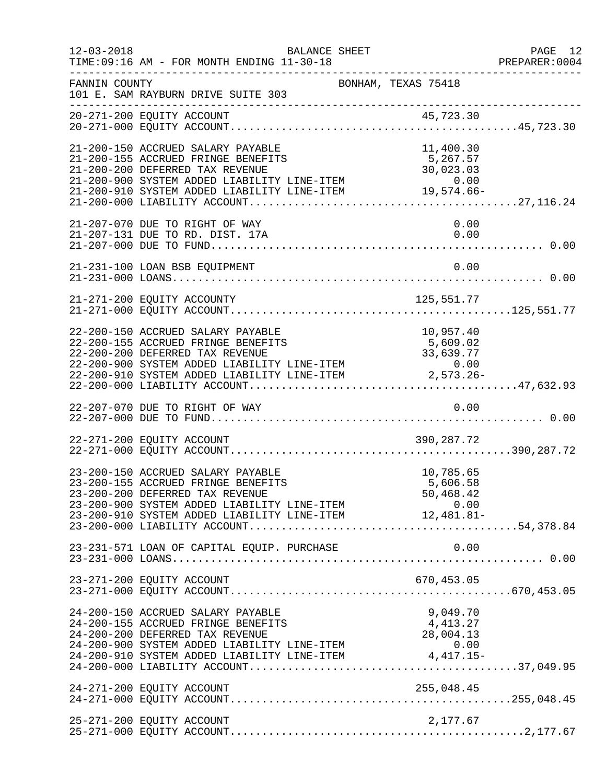| $12 - 03 - 2018$ | TIME: 09:16 AM - FOR MONTH ENDING 11-30-18                                                                                                                                                                                                                          | BALANCE SHEET       |                                    | PAGE 12<br>PREPARER: 0004 |
|------------------|---------------------------------------------------------------------------------------------------------------------------------------------------------------------------------------------------------------------------------------------------------------------|---------------------|------------------------------------|---------------------------|
| FANNIN COUNTY    | 101 E. SAM RAYBURN DRIVE SUITE 303                                                                                                                                                                                                                                  | BONHAM, TEXAS 75418 |                                    |                           |
|                  |                                                                                                                                                                                                                                                                     |                     |                                    |                           |
|                  | 21-200-150 ACCRUED SALARY PAYABLE<br>21-200-155 ACCRUED FRINGE BENEFITS<br>21-200-200 DEFERRED TAX REVENUE<br>0.00 0 0.00 SYSTEM ADDED LIABILITY LINE-ITEM 0.00<br>21-200-910 SYSTEM ADDED LIABILITY LINE-ITEM 19,574.66-<br>21-200-000 LIABILITY ACCOUNT           |                     | 11,400.30<br>5,267.57<br>30,023.03 |                           |
|                  | 21-207-070 DUE TO RIGHT OF WAY<br>21-207-131 DUE TO RD. DIST. 17A                                                                                                                                                                                                   |                     | 0.00<br>0.00                       |                           |
|                  | 21-231-100 LOAN BSB EQUIPMENT                                                                                                                                                                                                                                       |                     | 0.00                               |                           |
|                  |                                                                                                                                                                                                                                                                     |                     |                                    |                           |
|                  | 22-200-150 ACCRUED SALARY PAYABLE<br>22-200-155 ACCRUED FRINGE BENEFITS<br>22-200-200 DEFERRED TAX REVENUE<br>22-200-900 SYSTEM ADDED LIABILITY LINE-ITEM 0.00<br>22-200-910 SYSTEM ADDED LIABILITY LINE-ITEM 2,573.26-<br>22-200-000 LIABILITY LINE-ITEM 2,573.26- |                     | 10,957.40<br>5,609.02              |                           |
|                  | 22-207-070 DUE TO RIGHT OF WAY                                                                                                                                                                                                                                      |                     | 0.00                               |                           |
|                  | 22-271-200 EQUITY ACCOUNT                                                                                                                                                                                                                                           |                     | 390,287.72                         |                           |
|                  | 23-200-150 ACCRUED SALARY PAYABLE<br>23-200-155 ACCRUED FRINGE BENEFITS<br>23-200-200 DEFERRED TAX REVENUE<br>23-200-900 SYSTEM ADDED LIABILITY LINE-ITEM 0.00<br>23-200-910 SYSTEM ADDED LIABILITY LINE-ITEM 12,481.81-                                            |                     | 10,785.65<br>5,606.58<br>50,468.42 |                           |
|                  |                                                                                                                                                                                                                                                                     |                     |                                    |                           |
|                  |                                                                                                                                                                                                                                                                     |                     |                                    |                           |
|                  | 24-200-150 ACCRUED SALARY PAYABLE<br>24-200-155 ACCRUED FRINGE BENEFITS<br>24-200-200 DEFERRED TAX REVENUE<br>24-200-200 DEFERSION TAX REVERSE<br>24-200-900 SYSTEM ADDED LIABILITY LINE-ITEM 0.00<br>24-200-910 SYSTEM ADDED LIABILITY LINE-ITEM 4,417.15-         |                     | 9,049.70<br>4, 413.27<br>28,004.13 |                           |
|                  | 24-271-200 EQUITY ACCOUNT                                                                                                                                                                                                                                           |                     |                                    |                           |
|                  | 25-271-200 EQUITY ACCOUNT                                                                                                                                                                                                                                           |                     | 2,177.67                           |                           |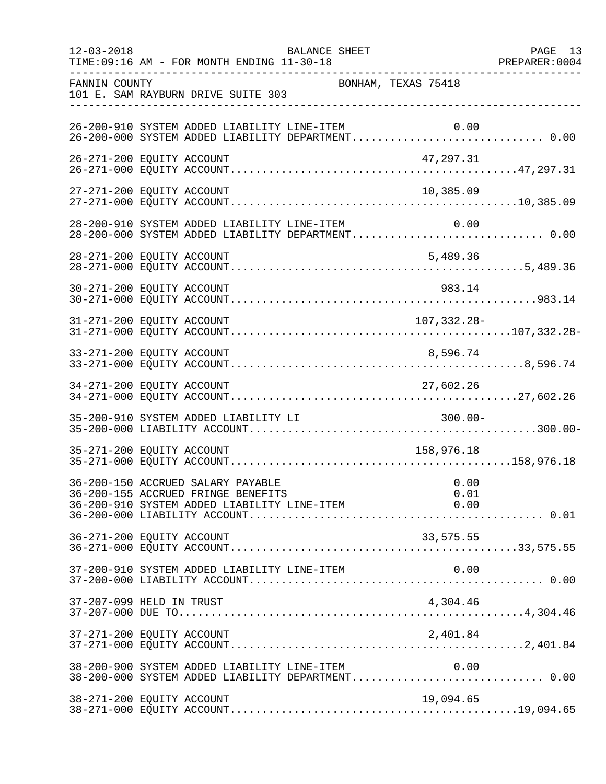| $12 - 03 - 2018$ | <b>BALANCE SHEET</b><br>TIME: 09:16 AM - FOR MONTH ENDING 11-30-18                                    | PREPARER: 0004      | PAGE 13 |
|------------------|-------------------------------------------------------------------------------------------------------|---------------------|---------|
| FANNIN COUNTY    | 101 E. SAM RAYBURN DRIVE SUITE 303                                                                    | BONHAM, TEXAS 75418 |         |
|                  | 26-200-910 SYSTEM ADDED LIABILITY LINE-ITEM                                                           | 0.00                |         |
|                  | 26-271-200 EQUITY ACCOUNT                                                                             | 47,297.31           |         |
|                  | 27-271-200 EQUITY ACCOUNT                                                                             | 10,385.09           |         |
|                  | 28-200-910 SYSTEM ADDED LIABILITY LINE-ITEM 0.00<br>28-200-000 SYSTEM ADDED LIABILITY DEPARTMENT 0.00 |                     |         |
|                  | 28-271-200 EQUITY ACCOUNT                                                                             | 5,489.36            |         |
|                  | 30-271-200 EQUITY ACCOUNT                                                                             | 983.14              |         |
|                  | 31-271-200 EQUITY ACCOUNT                                                                             | 107,332.28-         |         |
|                  | 33-271-200 EQUITY ACCOUNT                                                                             | 8,596.74            |         |
|                  | 34-271-200 EQUITY ACCOUNT                                                                             | 27,602.26           |         |
|                  | 35-200-910 SYSTEM ADDED LIABILITY LI                                                                  | $300.00 -$          |         |
|                  | 35-271-200 EQUITY ACCOUNT                                                                             | 158,976.18          |         |
|                  | 36-200-150 ACCRUED SALARY PAYABLE<br>36-200-155 ACCRUED FRINGE BENEFITS                               | 0.00<br>0.01        |         |
|                  | 36-271-200 EQUITY ACCOUNT                                                                             | 33,575.55           |         |
|                  | 37-200-910 SYSTEM ADDED LIABILITY LINE-ITEM                                                           | 0.00                |         |
|                  | 37-207-099 HELD IN TRUST                                                                              | 4,304.46            |         |
|                  | 37-271-200 EQUITY ACCOUNT                                                                             | 2,401.84            |         |
|                  | 38-200-900 SYSTEM ADDED LIABILITY LINE-ITEM                                                           | 0.00                |         |
|                  | 38-271-200 EQUITY ACCOUNT                                                                             | 19,094.65           |         |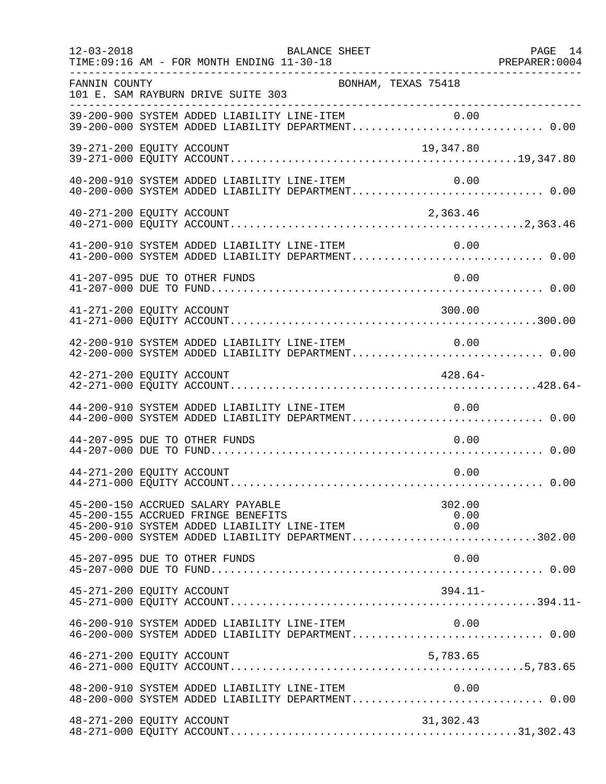| $12 - 03 - 2018$          | TIME:09:16 AM - FOR MONTH ENDING 11-30-18                               | BALANCE SHEET                               |                                                                                                               | PAGE 14 |
|---------------------------|-------------------------------------------------------------------------|---------------------------------------------|---------------------------------------------------------------------------------------------------------------|---------|
| FANNIN COUNTY             | 101 E. SAM RAYBURN DRIVE SUITE 303                                      | BONHAM, TEXAS 75418                         |                                                                                                               |         |
|                           |                                                                         |                                             | 39-200-900 SYSTEM ADDED LIABILITY LINE-ITEM 0.00<br>39-200-000 SYSTEM ADDED LIABILITY DEPARTMENT 0.00         |         |
| 39-271-200 EQUITY ACCOUNT |                                                                         |                                             | 19,347.80                                                                                                     |         |
|                           | 40-200-910 SYSTEM ADDED LIABILITY LINE-ITEM                             |                                             | 0.00                                                                                                          |         |
| 40-271-200 EQUITY ACCOUNT |                                                                         |                                             | 2,363.46                                                                                                      |         |
|                           |                                                                         |                                             | 41-200-910 SYSTEM ADDED LIABILITY LINE-ITEM 0.00<br>41-200-000 SYSTEM ADDED LIABILITY DEPARTMENT 0.00         |         |
|                           | 41-207-095 DUE TO OTHER FUNDS                                           |                                             | 0.00                                                                                                          |         |
| 41-271-200 EQUITY ACCOUNT |                                                                         |                                             | 300.00                                                                                                        |         |
|                           |                                                                         | 42-200-910 SYSTEM ADDED LIABILITY LINE-ITEM | 0.00<br>42-200-000 SYSTEM ADDED LIABILITY DEPARTMENT 0.00                                                     |         |
| 42-271-200 EQUITY ACCOUNT |                                                                         |                                             | $428.64-$                                                                                                     |         |
|                           | 44-200-910 SYSTEM ADDED LIABILITY LINE-ITEM                             |                                             | 0.00<br>44-200-000 SYSTEM ADDED LIABILITY DEPARTMENT 0.00                                                     |         |
|                           | 44-207-095 DUE TO OTHER FUNDS                                           |                                             | 0.00                                                                                                          |         |
| 44-271-200 EQUITY ACCOUNT |                                                                         |                                             | 0.00                                                                                                          |         |
|                           | 45-200-150 ACCRUED SALARY PAYABLE<br>45-200-155 ACCRUED FRINGE BENEFITS | 45-200-910 SYSTEM ADDED LIABILITY LINE-ITEM | 302.00<br>0.00<br>0.00<br>45-200-000 SYSTEM ADDED LIABILITY DEPARTMENT302.00                                  |         |
|                           | 45-207-095 DUE TO OTHER FUNDS                                           |                                             | 0.00                                                                                                          |         |
| 45-271-200 EQUITY ACCOUNT |                                                                         |                                             | 394.11-                                                                                                       |         |
|                           |                                                                         | 46-200-910 SYSTEM ADDED LIABILITY LINE-ITEM | 0.00<br>46-200-000 SYSTEM ADDED LIABILITY DEPARTMENT 0.00                                                     |         |
| 46-271-200 EQUITY ACCOUNT |                                                                         |                                             | 5,783.65                                                                                                      |         |
|                           |                                                                         | 48-200-910 SYSTEM ADDED LIABILITY LINE-ITEM | 0.00<br>48-200-910 SYSTEM ADDED LIABILITY LINE-ITEM 0.00<br>48-200-000 SYSTEM ADDED LIABILITY DEPARTMENT 0.00 |         |
| 48-271-200 EQUITY ACCOUNT |                                                                         |                                             | 31,302.43                                                                                                     |         |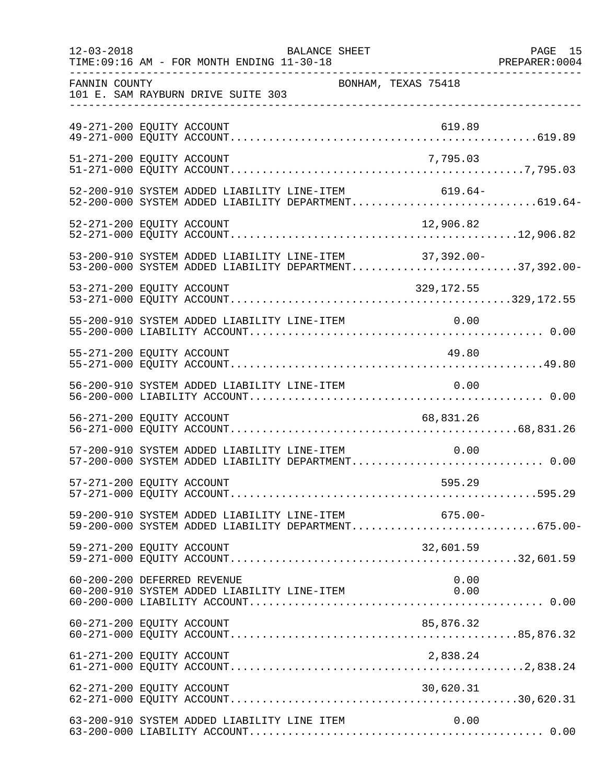| $12 - 03 - 2018$ | BALANCE SHEET<br>TIME: 09:16 AM - FOR MONTH ENDING 11-30-18                                                      | PAGE 15 |
|------------------|------------------------------------------------------------------------------------------------------------------|---------|
| FANNIN COUNTY    | BONHAM, TEXAS 75418<br>101 E. SAM RAYBURN DRIVE SUITE 303                                                        |         |
|                  | 49-271-200 EQUITY ACCOUNT<br>619.89                                                                              |         |
|                  | 51-271-200 EQUITY ACCOUNT<br>7,795.03                                                                            |         |
|                  | 52-200-910 SYSTEM ADDED LIABILITY LINE-ITEM<br>$619.64-$<br>52-200-000 SYSTEM ADDED LIABILITY DEPARTMENT619.64-  |         |
|                  | 12,906.82<br>52-271-200 EQUITY ACCOUNT                                                                           |         |
|                  | 53-200-910 SYSTEM ADDED LIABILITY LINE-ITEM 37,392.00-<br>53-200-000 SYSTEM ADDED LIABILITY DEPARTMENT37,392.00- |         |
|                  | 53-271-200 EQUITY ACCOUNT<br>329,172.55                                                                          |         |
|                  | 55-200-910 SYSTEM ADDED LIABILITY LINE-ITEM 0.00                                                                 |         |
|                  | 55-271-200 EQUITY ACCOUNT<br>49.80                                                                               |         |
|                  | 56-200-910 SYSTEM ADDED LIABILITY LINE-ITEM<br>0.00                                                              |         |
|                  | 56-271-200 EQUITY ACCOUNT<br>68,831.26                                                                           |         |
|                  | 57-200-910 SYSTEM ADDED LIABILITY LINE-ITEM<br>0.00<br>57-200-000 SYSTEM ADDED LIABILITY DEPARTMENT 0.00         |         |
|                  | 57-271-200 EQUITY ACCOUNT<br>595.29                                                                              |         |
|                  | 59-200-910 SYSTEM ADDED LIABILITY LINE-ITEM 675.00-<br>59-200-000 SYSTEM ADDED LIABILITY DEPARTMENT675.00-       |         |
|                  | 59-271-200 EQUITY ACCOUNT<br>32,601.59                                                                           |         |
|                  | 60-200-200 DEFERRED REVENUE<br>0.00<br>60-200-910 SYSTEM ADDED LIABILITY LINE-ITEM<br>0.00                       |         |
|                  | 85,876.32<br>60-271-200 EQUITY ACCOUNT                                                                           |         |
|                  | 61-271-200 EQUITY ACCOUNT<br>2,838.24                                                                            |         |
|                  | 62-271-200 EQUITY ACCOUNT<br>30,620.31                                                                           |         |
|                  | 63-200-910 SYSTEM ADDED LIABILITY LINE ITEM<br>0.00                                                              |         |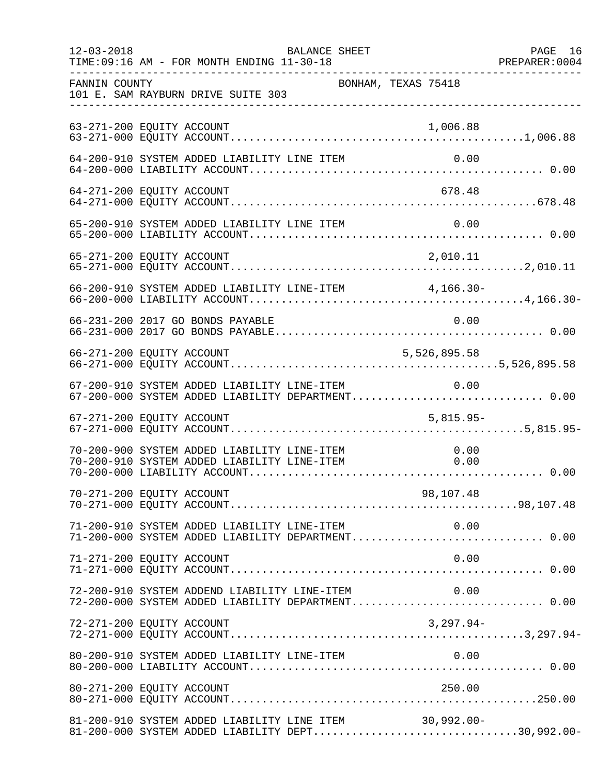| $12 - 03 - 2018$ | BALANCE SHEET                                                                                              |                     | PAGE 16 |
|------------------|------------------------------------------------------------------------------------------------------------|---------------------|---------|
| FANNIN COUNTY    | 101 E. SAM RAYBURN DRIVE SUITE 303<br>___________________________________                                  | BONHAM, TEXAS 75418 |         |
|                  | 63-271-200 EQUITY ACCOUNT                                                                                  | 1,006.88            |         |
|                  | 64-200-910 SYSTEM ADDED LIABILITY LINE ITEM                                                                | 0.00                |         |
|                  | 64-271-200 EQUITY ACCOUNT                                                                                  | 678.48              |         |
|                  |                                                                                                            |                     |         |
|                  |                                                                                                            |                     |         |
|                  | 66-200-910 SYSTEM ADDED LIABILITY LINE-ITEM 4,166.30-                                                      |                     |         |
|                  | 66-231-200 2017 GO BONDS PAYABLE                                                                           | 0.00                |         |
|                  | 66-271-200 EQUITY ACCOUNT                                                                                  | 5,526,895.58        |         |
|                  | 67-200-910 SYSTEM ADDED LIABILITY LINE-ITEM<br>67-200-000 SYSTEM ADDED LIABILITY DEPARTMENT 0.00           | 0.00                |         |
|                  | 67-271-200 EQUITY ACCOUNT                                                                                  | $5,815.95-$         |         |
|                  | 70-200-900 SYSTEM ADDED LIABILITY LINE-ITEM<br>70-200-910 SYSTEM ADDED LIABILITY LINE-ITEM 0.00            | 0.00                |         |
|                  |                                                                                                            |                     |         |
|                  | 71-200-910 SYSTEM ADDED LIABILITY LINE-ITEM $0.00$<br>71-200-000 SYSTEM ADDED LIABILITY DEPARTMENT0.00     |                     |         |
|                  | 71-271-200 EQUITY ACCOUNT                                                                                  | 0.00                |         |
|                  | 72-200-910 SYSTEM ADDEND LIABILITY LINE-ITEM<br>72-200-000 SYSTEM ADDED LIABILITY DEPARTMENT 0.00          | 0.00                |         |
|                  | 72-271-200 EQUITY ACCOUNT                                                                                  | $3,297.94-$         |         |
|                  |                                                                                                            |                     |         |
|                  | 80-271-200 EQUITY ACCOUNT                                                                                  | 250.00              |         |
|                  | 81-200-910 SYSTEM ADDED LIABILITY LINE ITEM 30,992.00-<br>81-200-000 SYSTEM ADDED LIABILITY DEPT30,992.00- |                     |         |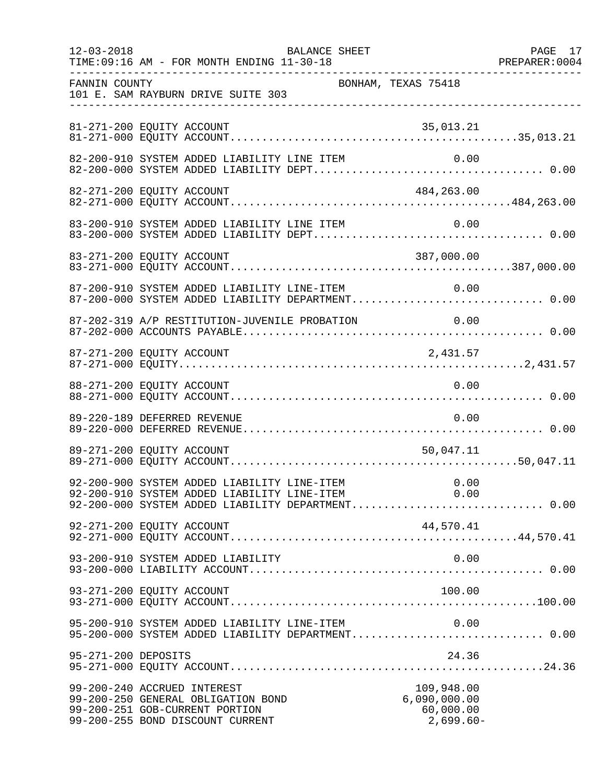| $12 - 03 - 2018$    | TIME: 09:16 AM - FOR MONTH ENDING 11-30-18                                                                                                               | <b>BALANCE SHEET</b> |                                                        | PAGE 17 |
|---------------------|----------------------------------------------------------------------------------------------------------------------------------------------------------|----------------------|--------------------------------------------------------|---------|
| FANNIN COUNTY       | 101 E. SAM RAYBURN DRIVE SUITE 303                                                                                                                       | BONHAM, TEXAS 75418  |                                                        |         |
|                     | 81-271-200 EQUITY ACCOUNT                                                                                                                                |                      | 35,013.21                                              |         |
|                     | 82-200-910 SYSTEM ADDED LIABILITY LINE ITEM                                                                                                              |                      | 0.00                                                   |         |
|                     | 82-271-200 EQUITY ACCOUNT                                                                                                                                |                      | 484,263.00                                             |         |
|                     | 83-200-910 SYSTEM ADDED LIABILITY LINE ITEM                                                                                                              |                      | 0.00                                                   |         |
|                     |                                                                                                                                                          |                      |                                                        |         |
|                     | 87-200-910 SYSTEM ADDED LIABILITY LINE-ITEM<br>87-200-000 SYSTEM ADDED LIABILITY DEPARTMENT 0.00                                                         |                      | 0.00                                                   |         |
|                     | 87-202-319 A/P RESTITUTION-JUVENILE PROBATION                                                                                                            |                      | 0.00                                                   |         |
|                     | 87-271-200 EQUITY ACCOUNT                                                                                                                                |                      | 2,431.57                                               |         |
|                     | 88-271-200 EQUITY ACCOUNT                                                                                                                                |                      | 0.00                                                   |         |
|                     | 89-220-189 DEFERRED REVENUE                                                                                                                              |                      | 0.00                                                   |         |
|                     | 89-271-200 EQUITY ACCOUNT                                                                                                                                |                      | 50,047.11                                              |         |
|                     | 92-200-900 SYSTEM ADDED LIABILITY LINE-ITEM 0.00<br>92-200-910 SYSTEM ADDED LIABILITY LINE-ITEM 0.00<br>92-200-000 SYSTEM ADDED LIABILITY DEPARTMENT0.00 |                      |                                                        |         |
|                     | 92-271-200 EQUITY ACCOUNT                                                                                                                                |                      | 44,570.41                                              |         |
|                     | 93-200-910 SYSTEM ADDED LIABILITY                                                                                                                        |                      | 0.00                                                   |         |
|                     | 93-271-200 EQUITY ACCOUNT                                                                                                                                |                      | 100.00                                                 |         |
|                     | 95-200-910 SYSTEM ADDED LIABILITY LINE-ITEM<br>95-200-000 SYSTEM ADDED LIABILITY DEPARTMENT 0.00                                                         |                      | 0.00                                                   |         |
| 95-271-200 DEPOSITS |                                                                                                                                                          |                      | 24.36                                                  |         |
|                     | 99-200-240 ACCRUED INTEREST<br>99-200-250 GENERAL OBLIGATION BOND<br>99-200-251 GOB-CURRENT PORTION<br>99-200-255 BOND DISCOUNT CURRENT                  |                      | 109,948.00<br>6,090,000.00<br>60,000.00<br>$2,699.60-$ |         |